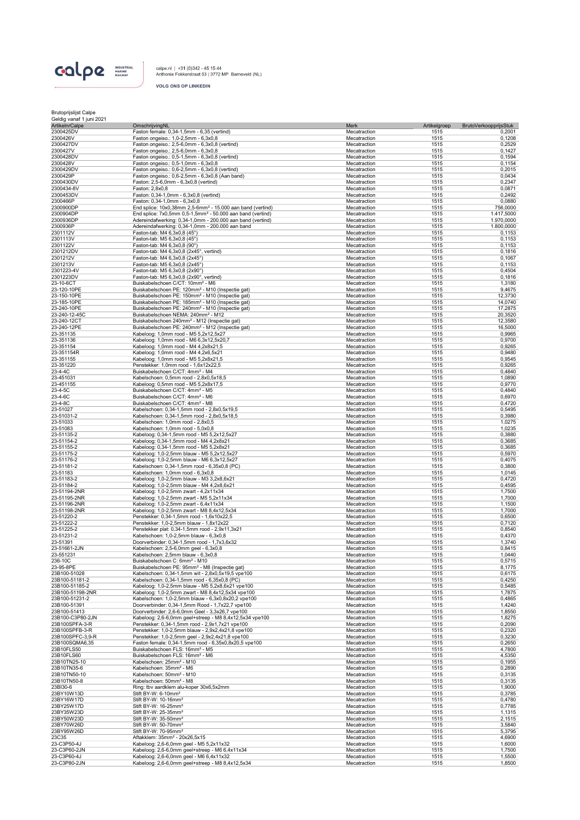

calpe.nl | +31 (0)342 - 45 15 44<br>Anthonie Fokkerstraat 53 | 3772 MP Barneveld (NL)

**VOLG ONS OP LINKEDIN** 

| Brutoprijslijst Calpe    |  |
|--------------------------|--|
| Geldig vanaf 1 juni 2021 |  |

| <b>ArtikelnrCalpe</b>              | OmschrijvingNL                                                                                          | Merk                         | Artikelgroep<br>BrutoVerkoopprijsStuk |                  |
|------------------------------------|---------------------------------------------------------------------------------------------------------|------------------------------|---------------------------------------|------------------|
| 2300425DV                          | Faston female: 0,34-1,5mm - 6,35 (vertind)                                                              | Mecatraction                 | 1515                                  | 0,2001           |
| 2300426V                           | Faston ongeiso.: 1,0-2,5mm - 6,3x0,8                                                                    | Mecatraction                 | 1515                                  | 0,1208           |
| 2300427DV                          | Faston ongeiso.: 2,5-6,0mm - 6,3x0,8 (vertind)                                                          | Mecatraction                 | 1515                                  | 0,2529           |
| 2300427V                           | Faston ongeiso.: 2,5-6,0mm - 6,3x0,8<br>Faston ongeiso.: 0,5-1,5mm - 6,3x0,8 (vertind)                  | Mecatraction<br>Mecatraction | 1515<br>1515                          | 0,1427           |
| 2300428DV<br>2300428V              | Faston ongeiso.: 0,5-1,0mm - 6,3x0,8                                                                    | Mecatraction                 | 1515                                  | 0,1594<br>0,1154 |
| 2300429DV                          | Faston ongeiso.: 0,6-2,5mm - 6,3x0,8 (vertind)                                                          | Mecatraction                 | 1515                                  | 0,2015           |
| 2300429P                           | Faston ongeiso.: 0,6-2,5mm - 6,3x0,8 (Aan band)                                                         | Mecatraction                 | 1515                                  | 0,0434           |
| 2300430DV                          | Faston: 2,5-6,0mm - 6,3x0,8 (vertind)                                                                   | Mecatraction                 | 1515                                  | 0,2347           |
| 2300434-8V                         | Faston: 2.8x0.8                                                                                         | Mecatraction                 | 1515                                  | 0,0871           |
| 2300453DV                          | Faston: 0,34-1,0mm - 6,3x0,8 (vertind)                                                                  | Mecatraction                 | 1515                                  | 0,2492           |
| 2300466P                           | Faston: 0,34-1,0mm - 6,3x0,8                                                                            | Mecatraction                 | 1515                                  | 0,0880           |
| 2300900DP                          | End splice: 10x0,38mm 2,5-6mm <sup>2</sup> - 15.000 aan band (vertind)                                  | Mecatraction                 | 1515                                  | 756,0000         |
| 2300904DP                          | End splice: 7x0,5mm 0,5-1,5mm <sup>2</sup> - 50.000 aan band (vertind)                                  | Mecatraction                 | 1515                                  | 1.417,5000       |
| 2300936DP                          | Adereindafwerking: 0,34-1,0mm - 200.000 aan band (vertind)                                              | Mecatraction                 | 1515                                  | 1.970,0000       |
| 2300936P                           | Adereindafwerking: 0,34-1,0mm - 200.000 aan band                                                        | Mecatraction                 | 1515                                  | 1.800,0000       |
| 2301112V                           | Faston-tab: M4 6,3x0,8 (45°)                                                                            | Mecatraction                 | 1515                                  | 0,1153           |
| 2301113V                           | Faston-tab: M5 6,3x0,8 (45°)                                                                            | Mecatraction                 | 1515                                  | 0,1153           |
| 2301122V                           | Faston-tab: M4 6,3x0,8 (90°)                                                                            | Mecatraction                 | 1515                                  | 0,1153           |
| 2301212DV                          | Faston-tab: M4 6,3x0,8 (2x45°, vertind)                                                                 | Mecatraction                 | 1515                                  | 0,1816           |
| 2301212V                           | Faston-tab: M4 6,3x0,8 (2x45°)                                                                          | Mecatraction                 | 1515                                  | 0,1067           |
| 2301213V                           | Faston-tab: M5 6,3x0,8 (2x45°)                                                                          | Mecatraction                 | 1515                                  | 0,1153           |
| 2301223-4V<br>2301223DV            | Faston-tab: M5 6,3x0,8 (2x90°)<br>Faston-tab: M5 6,3x0,8 (2x90°, vertind)                               | Mecatraction                 | 1515<br>1515                          | 0,4504<br>0,1816 |
| 23-10-6CT                          | Buiskabelschoen C/CT: 10mm <sup>2</sup> - M6                                                            | Mecatraction<br>Mecatraction | 1515                                  | 1,3180           |
| 23-120-10PE                        | Buiskabelschoen PE: 120mm <sup>2</sup> - M10 (Inspectie gat)                                            | Mecatraction                 | 1515                                  | 9,4675           |
| 23-150-10PE                        | Buiskabelschoen PE: 150mm <sup>2</sup> - M10 (Inspectie gat)                                            | Mecatraction                 | 1515                                  | 12,3730          |
| 23-185-10PE                        | Buiskabelschoen PE: 185mm <sup>2</sup> - M10 (Inspectie gat)                                            | Mecatraction                 | 1515                                  | 14,0740          |
| 23-240-10PE                        | Buiskabelschoen PE: 240mm <sup>2</sup> - M10 (Inspectie gat)                                            | Mecatraction                 | 1515                                  | 17,2875          |
| 23-240-12-45C                      | Buiskabelschoen NEMA: 240mm <sup>2</sup> - M12                                                          | Mecatraction                 | 1515                                  | 20,3520          |
| 23-240-12CT                        | Buiskabelschoen 240mm <sup>2</sup> - M12 (Inspectie gat)                                                | Mecatraction                 | 1515                                  | 12,3580          |
| 23-240-12PE                        | Buiskabelschoen PE: 240mm <sup>2</sup> - M12 (Inspectie gat)                                            | Mecatraction                 | 1515                                  | 16,5000          |
| 23-351135                          | Kabeloog: 1,0mm rood - M5 5,2x12,5x27                                                                   | Mecatraction                 | 1515                                  | 0,9965           |
| 23-351136                          | Kabeloog: 1,0mm rood - M6 6,3x12,5x20,7                                                                 | Mecatraction                 | 1515                                  | 0,9700           |
| 23-351154                          | Kabeloog: 1,0mm rood - M4 4,2x8x21,5                                                                    | Mecatraction                 | 1515                                  | 0,9265           |
| 23-351154R                         | Kabeloog: 1,0mm rood - M4 4,2x6,5x21                                                                    | Mecatraction                 | 1515                                  | 0,9480           |
| 23-351155                          | Kabeloog: 1,0mm rood - M5 5,2x8x21,5                                                                    | Mecatraction                 | 1515                                  | 0,9545           |
| 23-351220                          | Penstekker: 1,0mm rood - 1,6x12x22,5                                                                    | Mecatraction                 | 1515                                  | 0,9265           |
| 23-4-4C                            | Buiskabelschoen C/CT: 4mm <sup>2</sup> - M4                                                             | Mecatraction                 | 1515                                  | 0,4840           |
| 23-451031                          | Kabelschoen: 0,5mm rood - 2,8x0,5x18,5                                                                  | Mecatraction                 | 1515                                  | 1,0890           |
| 23-451155                          | Kabeloog: 0,5mm rood - M5 5,2x8x17,5                                                                    | Mecatraction                 | 1515                                  | 0,9770           |
| 23-4-5C                            | Buiskabelschoen C/CT: 4mm <sup>2</sup> - M5                                                             | Mecatraction                 | 1515                                  | 0,4840           |
| 23-4-6C                            | Buiskabelschoen C/CT: 4mm <sup>2</sup> - M6                                                             | Mecatraction                 | 1515                                  | 0,6970           |
| 23-4-8C                            | Buiskabelschoen C/CT: 4mm <sup>2</sup> - M8                                                             | Mecatraction                 | 1515                                  | 0,4720           |
| 23-51027                           | Kabelschoen: 0,34-1,5mm rood - 2,8x0,5x19,5                                                             | Mecatraction                 | 1515                                  | 0,5495           |
| 23-51031-2                         | Kabelschoen: 0,34-1,5mm rood - 2,8x0,5x18,5                                                             | Mecatraction                 | 1515                                  | 0,3980           |
| 23-51033                           | Kabelschoen: 1,0mm rood - 2,8x0,5                                                                       | Mecatraction                 | 1515                                  | 1,0275           |
| 23-51083                           | Kabelschoen: 1,0mm rood - 5,0x0,8                                                                       | Mecatraction                 | 1515                                  | 1,0235           |
| 23-51135-2                         | Kabeloog: 0,34-1,5mm rood - M5 5,2x12,5x27                                                              | Mecatraction                 | 1515                                  | 0,3880           |
| 23-51154-2                         | Kabeloog: 0,34-1,5mm rood - M4 4,2x8x21                                                                 | Mecatraction                 | 1515                                  | 0,3685           |
| 23-51155-2                         | Kabeloog: 0,34-1,5mm rood - M5 5,2x8x21                                                                 | Mecatraction                 | 1515                                  | 0,3685           |
| 23-51175-2<br>23-51176-2           | Kabeloog: 1,0-2,5mm blauw - M5 5,2x12,5x27<br>Kabeloog: 1,0-2,5mm blauw - M6 6,3x12,5x27                | Mecatraction<br>Mecatraction | 1515<br>1515                          | 0,5970<br>0,4075 |
| 23-51181-2                         | Kabelschoen: 0,34-1,5mm rood - 6,35x0,8 (PC)                                                            | Mecatraction                 | 1515                                  | 0,3800           |
| 23-51183                           | Kabelschoen: 1,0mm rood - 6,3x0,8                                                                       | Mecatraction                 | 1515                                  | 1,0145           |
| 23-51183-2                         | Kabeloog: 1,0-2,5mm blauw - M3 3,2x8,6x21                                                               | Mecatraction                 | 1515                                  | 0,4720           |
| 23-51184-2                         | Kabeloog: 1,0-2,5mm blauw - M4 4,2x8,6x21                                                               | Mecatraction                 | 1515                                  | 0,4595           |
| 23-51194-2NR                       | Kabeloog: 1,0-2,5mm zwart - 4,2x11x34                                                                   | Mecatraction                 | 1515                                  | 1,7500           |
| 23-51195-2NR                       | Kabeloog: 1,0-2,5mm zwart - M5 5,2x11x34                                                                | Mecatraction                 | 1515                                  | 1,7000           |
| 23-51196-2NR                       | Kabeloog: 1,0-2,5mm zwart - 6,4x11x34                                                                   | Mecatraction                 | 1515                                  | 1,1500           |
| 23-51198-2NR                       | Kabeloog: 1,0-2,5mm zwart - M8 8,4x12,5x34                                                              | Mecatraction                 | 1515                                  | 1,7000           |
| 23-51220-2                         | Penstekker: 0,34-1,5mm rood - 1,6x10x22,5                                                               | Mecatraction                 | 1515                                  | 0,6500           |
| 23-51222-2                         | Penstekker: 1,0-2,5mm blauw - 1,8x12x22                                                                 | Mecatraction                 | 1515                                  | 0,7120           |
| 23-51225-2                         | Penstekker plat: 0,34-1,5mm rood - 2,9x11,3x21                                                          | Mecatraction                 | 1515                                  | 0,8540           |
| 23-51231-2                         | Kabelschoen: 1,0-2,5mm blauw - 6,3x0,8                                                                  | Mecatraction                 | 1515                                  | 0,4370           |
| 23-51391                           | Doorverbinder: 0,34-1,5mm rood - 1,7x3,6x32                                                             | Mecatraction                 | 1515                                  | 1,3740           |
| 23-51661-2JN                       | Kabelschoen: 2,5-6,0mm geel - 6,3x0,8                                                                   | Mecatraction                 | 1515                                  | 0,8415           |
| 23-551231                          | Kabelschoen: 2,5mm blauw - 6,3x0,8                                                                      | Mecatraction                 | 1515                                  | 1,0440           |
| 236-10C                            | Buiskabelschoen C: 6mm <sup>2</sup> - M10                                                               | Mecatraction                 | 1515                                  | 0,5715           |
| 23-95-8PE                          | Buiskabelschoen PE: 95mm <sup>2</sup> - M8 (Inspectie gat)                                              | Mecatraction                 | 1515                                  | 8,1775           |
| 23B100-51028                       | Kabelschoen: 0,34-1,5mm wit - 2,8x0,5x19,5 vpe100                                                       | Mecatraction                 | 1515                                  | 0,6175           |
| 23B100-51181-2<br>23B100-51185-2   | Kabelschoen: 0,34-1,5mm rood - 6,35x0,8 (PC)                                                            | Mecatraction                 | 1515                                  | 0,4250           |
|                                    | Kabeloog: 1,0-2,5mm blauw - M5 5,2x8,6x21 vpe100                                                        | Mecatraction                 | 1515                                  | 0,5485           |
| 23B100-51198-2NR<br>23B100-51231-2 | Kabeloog: 1,0-2,5mm zwart - M8 8,4x12,5x34 vpe100<br>Kabelschoen: 1,0-2,5mm blauw - 6,3x0,8x20,2 vpe100 | Mecatraction                 | 1515                                  | 1,7875<br>0,4865 |
| 23B100-51391                       | Doorverbinder: 0,34-1,5mm Rood - 1,7x22,7 vpe100                                                        | Mecatraction<br>Mecatraction | 1515<br>1515                          | 1,4240           |
| 23B100-51413                       | Doorverbinder: 2,6-6,0mm Geel - 3,3x26,7 vpe100                                                         | Mecatraction                 | 1515                                  | 1,8550           |
| 23B100-C3P80-2JN                   | Kabeloog: 2,6-6,0mm geel+streep - M8 8,4x12,5x34 vpe100                                                 | Mecatraction                 | 1515                                  | 1,8275           |
| 23B100SPFA-3-R                     | Penstekker: 0,34-1,5mm rood - 2,9x1,7x21 vpe100                                                         | Mecatraction                 | 1515                                  | 0,2090           |
| 23B100SPFB-3-R                     | Penstekker: 1,0-2,5mm blauw - 2,9x2,4x21,8 vpe100                                                       | Mecatraction                 | 1515                                  | 0,2320           |
| 23B100SPFC-3,9-R                   | Penstekker: 1,0-2,5mm geel - 2,9x2,4x21,8 vpe100                                                        | Mecatraction                 | 1515                                  | 0,3230           |
| 23B100SQMA6,35                     | Faston female: 0,34-1,5mm rood - 6,35x0,8x20,5 vpe100                                                   | Mecatraction                 | 1515                                  | 0,2650           |
| 23B10FLS50                         | Buiskabelschoen FLS: 16mm <sup>2</sup> - M5                                                             | Mecatraction                 | 1515                                  | 4,7800           |
| 23B10FLS60                         | Buiskabelschoen FLS: 16mm <sup>2</sup> - M6                                                             | Mecatraction                 | 1515                                  | 4,5350           |
| 23B10TN25-10                       | Kabelschoen: 25mm <sup>2</sup> - M10                                                                    | Mecatraction                 | 1515                                  | 0,1955           |
| 23B10TN35-6                        | Kabelschoen: 35mm <sup>2</sup> - M6                                                                     | Mecatraction                 | 1515                                  | 0,2890           |
| 23B10TN50-10                       | Kabelschoen: 50mm <sup>2</sup> - M10                                                                    | Mecatraction                 | 1515                                  | 0,3135           |
| 23B10TN50-8                        | Kabelschoen: 50mm <sup>2</sup> - M8                                                                     | Mecatraction                 | 1515                                  | 0,3135           |
| 23BI30-6                           | Ring: tbv aardklem alu-koper 30x6,5x2mm                                                                 | Mecatraction                 | 1515                                  | 1,9000           |
| 23BY10W13D                         | Stift BY-W: 6-10mm <sup>2</sup>                                                                         | Mecatraction                 | 1515                                  | 0,3785           |
| 23BY16W17D                         | Stift BY-W: 10-16mm <sup>2</sup>                                                                        | Mecatraction                 | 1515                                  | 0,4780           |
| 23BY25W17D                         | Stift BY-W: 16-25mm <sup>2</sup>                                                                        | Mecatraction                 | 1515                                  | 0,7785           |
| 23BY35W23D                         | Stift BY-W: 25-35mm <sup>2</sup>                                                                        | Mecatraction                 | 1515                                  | 1,1315           |
| 23BY50W23D                         | Stift BY-W: 35-50mm <sup>2</sup>                                                                        | Mecatraction                 | 1515                                  | 2,1515           |
| 23BY70W26D                         | Stift BY-W: 50-70mm <sup>2</sup>                                                                        | Mecatraction                 | 1515                                  | 3,5840           |
| 23BY95W26D                         | Stift BY-W: 70-95mm <sup>2</sup>                                                                        | Mecatraction                 | 1515                                  | 5,3795           |
| 23C35<br>23-C3P50-4J               | Aftakklem: 35mm <sup>2</sup> - 20x26,5x15<br>Kabeloog: 2,6-6,0mm geel - M5 5,2x11x32                    | Mecatraction<br>Mecatraction | 1515<br>1515                          | 4,6900<br>1,6000 |
| 23-C3P60-2JN                       | Kabeloog: 2,6-6,0mm geel+streep - M6 6,4x11x34                                                          | Mecatraction                 | 1515                                  | 1,7500           |
| 23-C3P60-4J                        | Kabeloog: 2,6-6,0mm geel - M6 6,4x11x32                                                                 | Mecatraction                 | 1515                                  | 1,5500           |
| 23-C3P80-2JN                       | Kabeloog: 2,6-6,0mm geel+streep - M8 8,4x12,5x34                                                        | Mecatraction                 | 1515                                  | 1,8500           |
|                                    |                                                                                                         |                              |                                       |                  |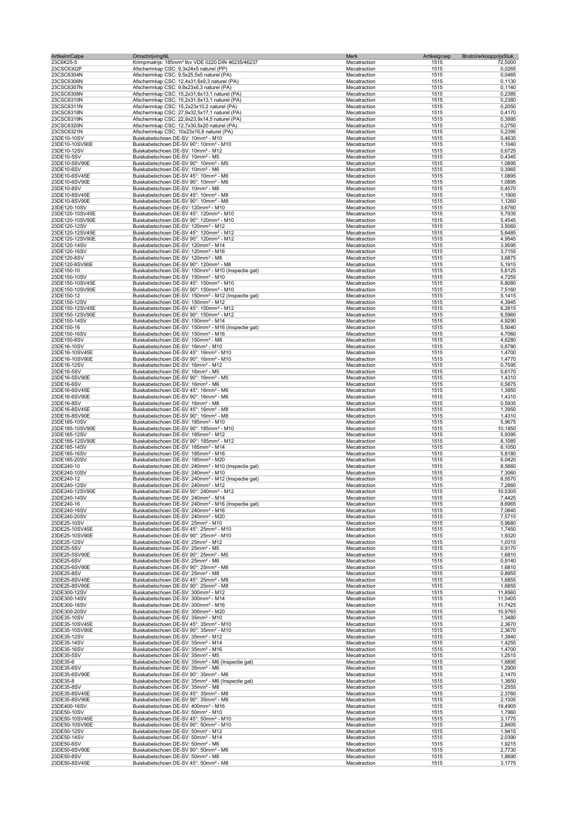| <b>ArtikelnrCalpe</b>              | OmschrijvingNL                                                                                                     | Merk                         | BrutoVerkoopprijsStuk<br>Artikelgroep |                    |
|------------------------------------|--------------------------------------------------------------------------------------------------------------------|------------------------------|---------------------------------------|--------------------|
| 23C6K25-5                          | Krimpmatrijs: 185mm <sup>2</sup> tbv VDE 0220 DIN 46235/46237<br>Afschermkap CSC: 9,3x24x5 naturel (PP)            | Mecatraction                 | 1515                                  | 72,5000<br>0,0265  |
| 23CSC6302F<br>23CSC6304N           | Afschermkap CSC: 9,5x25,5x5 naturel (PA)                                                                           | Mecatraction<br>Mecatraction | 1515<br>1515                          | 0,0465             |
| 23CSC6306N                         | Afschermkap CSC: 12,4x31,6x9,3 naturel (PA)                                                                        | Mecatraction                 | 1515                                  | 0,1130             |
| 23CSC6307N                         | Afschermkap CSC: 9,8x23x6,3 naturel (PA)                                                                           | Mecatraction                 | 1515                                  | 0,1140             |
| 23CSC6308N                         | Afschermkap CSC: 15,2x31,6x13,1 naturel (PA)                                                                       | Mecatraction                 | 1515                                  | 0,2385             |
| 23CSC6310N                         | Afschermkap CSC: 15,2x31,6x13,1 naturel (PA)                                                                       | Mecatraction                 | 1515                                  | 0,2380             |
| 23CSC6311N                         | Afschermkap CSC: 15,2x23x10,2 naturel (PA)                                                                         | Mecatraction                 | 1515                                  | 0,2050             |
| 23CSC6318N<br>23CSC6319N           | Afschermkap CSC: 27,9x32,5x17,1 naturel (PA)<br>Afschermkap CSC: 22,9x23,9x14,5 naturel (PA)                       | Mecatraction<br>Mecatraction | 1515<br>1515                          | 0,4170<br>0,3995   |
| 23CSC6320N                         | Afschermkap CSC: 12,7x30,5x20 naturel (PA)                                                                         | Mecatraction                 | 1515                                  | 0,2750             |
| 23CSC6321N                         | Afschermkap CSC: 10x23x16,6 naturel (PA)                                                                           | Mecatraction                 | 1515                                  | 0,2395             |
| 23DE10-10SV                        | Buiskabelschoen DE-SV: 10mm <sup>2</sup> - M10                                                                     | Mecatraction                 | 1515                                  | 0,4635             |
| 23DE10-10SV90E                     | Buiskabelschoen DE-SV 90°: 10mm <sup>2</sup> - M10                                                                 | Mecatraction                 | 1515                                  | 1,1040             |
| 23DE10-12SV                        | Buiskabelschoen DE-SV: 10mm <sup>2</sup> - M12                                                                     | Mecatraction                 | 1515                                  | 0,6725             |
| 23DE10-5SV                         | Buiskabelschoen DE-SV: 10mm <sup>2</sup> - M5                                                                      | Mecatraction                 | 1515                                  | 0,4345<br>1,0895   |
| 23DE10-5SV90E<br>23DE10-6SV        | Buiskabelschoen DE-SV 90°: 10mm <sup>2</sup> - M5<br>Buiskabelschoen DE-SV: 10mm <sup>2</sup> - M6                 | Mecatraction<br>Mecatraction | 1515<br>1515                          | 0,3965             |
| 23DE10-6SV45E                      | Buiskabelschoen DE-SV 45°: 10mm <sup>2</sup> - M6                                                                  | Mecatraction                 | 1515                                  | 1,0895             |
| 23DE10-6SV90E                      | Buiskabelschoen DE-SV 90°: 10mm <sup>2</sup> - M6                                                                  | Mecatraction                 | 1515                                  | 1,0895             |
| 23DE10-8SV                         | Buiskabelschoen DE-SV: 10mm <sup>2</sup> - M8                                                                      | Mecatraction                 | 1515                                  | 0,4570             |
| 23DE10-8SV45E                      | Buiskabelschoen DE-SV 45°: 10mm <sup>2</sup> - M8                                                                  | Mecatraction                 | 1515                                  | 1,1900             |
| 23DE10-8SV90E                      | Buiskabelschoen DE-SV 90°: 10mm <sup>2</sup> - M8                                                                  | Mecatraction                 | 1515                                  | 1,1260             |
| 23DE120-10SV<br>23DE120-10SV45E    | Buiskabelschoen DE-SV: 120mm <sup>2</sup> - M10<br>Buiskabelschoen DE-SV 45°: 120mm <sup>2</sup> - M10             | Mecatraction<br>Mecatraction | 1515<br>1515                          | 3,6760<br>5,7935   |
| 23DE120-10SV90E                    | Buiskabelschoen DE-SV 90°: 120mm <sup>2</sup> - M10                                                                | Mecatraction                 | 1515                                  | 5,4545             |
| 23DE120-12SV                       | Buiskabelschoen DE-SV: 120mm <sup>2</sup> - M12                                                                    | Mecatraction                 | 1515                                  | 3,5060             |
| 23DE120-12SV45E                    | Buiskabelschoen DE-SV 45°: 120mm <sup>2</sup> - M12                                                                | Mecatraction                 | 1515                                  | 5,6485             |
| 23DE120-12SV90E                    | Buiskabelschoen DE-SV 90°: 120mm <sup>2</sup> - M12                                                                | Mecatraction                 | 1515                                  | 4,9545             |
| 23DE120-14SV                       | Buiskabelschoen DE-SV: 120mm <sup>2</sup> - M14                                                                    | Mecatraction                 | 1515                                  | 3,9595             |
| 23DE120-16SV                       | Buiskabelschoen DE-SV: 120mm <sup>2</sup> - M16                                                                    | Mecatraction                 | 1515                                  | 3,7155             |
| 23DE120-8SV<br>23DE120-8SV90E      | Buiskabelschoen DE-SV: 120mm <sup>2</sup> - M8<br>Buiskabelschoen DE-SV 90°: 120mm <sup>2</sup> - M8               | Mecatraction<br>Mecatraction | 1515<br>1515                          | 3,6875<br>5,1915   |
| 23DE150-10                         | Buiskabelschoen DE-SV: 150mm <sup>2</sup> - M10 (Inspectie gat)                                                    | Mecatraction                 | 1515                                  | 5,6125             |
| 23DE150-10SV                       | Buiskabelschoen DE-SV: 150mm <sup>2</sup> - M10                                                                    | Mecatraction                 | 1515                                  | 4,7255             |
| 23DE150-10SV45E                    | Buiskabelschoen DE-SV 45°: 150mm <sup>2</sup> - M10                                                                | Mecatraction                 | 1515                                  | 6,8080             |
| 23DE150-10SV90E                    | Buiskabelschoen DE-SV 90°: 150mm <sup>2</sup> - M10                                                                | Mecatraction                 | 1515                                  | 7,5160             |
| 23DE150-12                         | Buiskabelschoen DE-SV: 150mm <sup>2</sup> - M12 (Inspectie gat)                                                    | Mecatraction                 | 1515                                  | 5,1415             |
| 23DE150-12SV                       | Buiskabelschoen DE-SV: 150mm <sup>2</sup> - M12<br>Buiskabelschoen DE-SV 45°: 150mm <sup>2</sup> - M12             | Mecatraction                 | 1515                                  | 4,3945             |
| 23DE150-12SV45E<br>23DE150-12SV90E | Buiskabelschoen DE-SV 90°: 150mm <sup>2</sup> - M12                                                                | Mecatraction<br>Mecatraction | 1515<br>1515                          | 6,2815<br>6,5960   |
| 23DE150-14SV                       | Buiskabelschoen DE-SV: 150mm <sup>2</sup> - M14                                                                    | Mecatraction                 | 1515                                  | 4,9290             |
| 23DE150-16                         | Buiskabelschoen DE-SV: 150mm <sup>2</sup> - M16 (Inspectie gat)                                                    | Mecatraction                 | 1515                                  | 5,5040             |
| 23DE150-16SV                       | Buiskabelschoen DE-SV: 150mm <sup>2</sup> - M16                                                                    | Mecatraction                 | 1515                                  | 4,7060             |
| 23DE150-8SV                        | Buiskabelschoen DE-SV: 150mm <sup>2</sup> - M8                                                                     | Mecatraction                 | 1515                                  | 4,6280             |
| 23DE16-10SV                        | Buiskabelschoen DE-SV: 16mm <sup>2</sup> - M10                                                                     | Mecatraction                 | 1515                                  | 0,6780             |
| 23DE16-10SV45E                     | Buiskabelschoen DE-SV 45°: 16mm <sup>2</sup> - M10<br>Buiskabelschoen DE-SV 90°: 16mm <sup>2</sup> - M10           | Mecatraction                 | 1515<br>1515                          | 1,4700<br>1,4770   |
| 23DE16-10SV90E<br>23DE16-12SV      | Buiskabelschoen DE-SV: 16mm <sup>2</sup> - M12                                                                     | Mecatraction<br>Mecatraction | 1515                                  | 0,7595             |
| 23DE16-5SV                         | Buiskabelschoen DE-SV: 16mm <sup>2</sup> - M5                                                                      | Mecatraction                 | 1515                                  | 0,6170             |
| 23DE16-5SV90E                      | Buiskabelschoen DE-SV 90°: 16mm <sup>2</sup> - M5                                                                  | Mecatraction                 | 1515                                  | 1,4310             |
| 23DE16-6SV                         | Buiskabelschoen DE-SV: 16mm <sup>2</sup> - M6                                                                      | Mecatraction                 | 1515                                  | 0,5875             |
| 23DE16-6SV45E                      | Buiskabelschoen DE-SV 45°: 16mm <sup>2</sup> - M6                                                                  | Mecatraction                 | 1515                                  | 1,3950             |
| 23DE16-6SV90E                      | Buiskabelschoen DE-SV 90°: 16mm <sup>2</sup> - M6                                                                  | Mecatraction                 | 1515                                  | 1,4310             |
| 23DE16-8SV<br>23DE16-8SV45E        | Buiskabelschoen DE-SV: 16mm <sup>2</sup> - M8<br>Buiskabelschoen DE-SV 45°: 16mm <sup>2</sup> - M8                 | Mecatraction<br>Mecatraction | 1515<br>1515                          | 0,5935<br>1,3950   |
| 23DE16-8SV90E                      | Buiskabelschoen DE-SV 90°: 16mm <sup>2</sup> - M8                                                                  | Mecatraction                 | 1515                                  | 1,4310             |
| 23DE185-10SV                       | Buiskabelschoen DE-SV: 185mm <sup>2</sup> - M10                                                                    | Mecatraction                 | 1515                                  | 5,9675             |
| 23DE185-10SV90E                    | Buiskabelschoen DE-SV 90°: 185mm <sup>2</sup> - M10                                                                | Mecatraction                 | 1515                                  | 10,1850            |
| 23DE185-12SV                       | Buiskabelschoen DE-SV: 185mm <sup>2</sup> - M12                                                                    | Mecatraction                 | 1515                                  | 5,9395             |
| 23DE185-12SV90E                    | Buiskabelschoen DE-SV 90°: 185mm <sup>2</sup> - M12                                                                | Mecatraction                 | 1515                                  | 8,1085             |
| 23DE185-14SV                       | Buiskabelschoen DE-SV: 185mm <sup>2</sup> - M14                                                                    | Mecatraction                 | 1515                                  | 6,1050             |
| 23DE185-16SV<br>23DE185-20SV       | Buiskabelschoen DE-SV: 185mm <sup>2</sup> - M16<br>Buiskabelschoen DE-SV: 185mm <sup>2</sup> - M20                 | Mecatraction<br>Mecatraction | 1515<br>1515                          | 5,8180<br>6,0420   |
| 23DE240-10                         | Buiskabelschoen DE-SV: 240mm <sup>2</sup> - M10 (Inspectie gat)                                                    | Mecatraction                 | 1515                                  | 8,5660             |
| 23DE240-10SV                       | Buiskabelschoen DE-SV: 240mm <sup>2</sup> - M10                                                                    | Mecatraction                 | 1515                                  | 7,3060             |
| 23DE240-12                         | Buiskabelschoen DE-SV: 240mm <sup>2</sup> - M12 (Inspectie gat)                                                    | Mecatraction                 | 1515                                  | 8,5570             |
| 23DE240-12SV                       | Buiskabelschoen DE-SV: 240mm <sup>2</sup> - M12                                                                    | Mecatraction                 | 1515                                  | 7,2860             |
| 23DE240-12SV90E                    | Buiskabelschoen DE-SV 90°: 240mm <sup>2</sup> - M12                                                                | Mecatraction                 | 1515                                  | 10.5305            |
| 23DE240-14SV<br>23DE240-16         | Buiskabelschoen DE-SV: 240mm <sup>2</sup> - M14<br>Buiskabelschoen DE-SV: 240mm <sup>2</sup> - M16 (Inspectie gat) | Mecatraction<br>Mecatraction | 1515<br>1515                          | 7,4425<br>8,6965   |
| 23DE240-16SV                       | Buiskabelschoen DE-SV: 240mm <sup>2</sup> - M16                                                                    | Mecatraction                 | 1515                                  | 7,0840             |
| 23DE240-20SV                       | Buiskabelschoen DE-SV: 240mm <sup>2</sup> - M20                                                                    | Mecatraction                 | 1515                                  | 7,5715             |
| 23DE25-10SV                        | Buiskabelschoen DE-SV: 25mm <sup>2</sup> - M10                                                                     | Mecatraction                 | 1515                                  | 0,9680             |
| 23DE25-10SV45E                     | Buiskabelschoen DE-SV 45°: 25mm <sup>2</sup> - M10                                                                 | Mecatraction                 | 1515                                  | 1,7450             |
| 23DE25-10SV90E                     | Buiskabelschoen DE-SV 90°: 25mm <sup>2</sup> - M10                                                                 | Mecatraction                 | 1515                                  | 1,9320             |
| 23DE25-12SV                        | Buiskabelschoen DE-SV: 25mm <sup>2</sup> - M12                                                                     | Mecatraction                 | 1515                                  | 1,0315             |
| 23DE25-5SV<br>23DE25-5SV90E        | Buiskabelschoen DE-SV: 25mm <sup>2</sup> - M5<br>Buiskabelschoen DE-SV 90°: 25mm <sup>2</sup> - M5                 | Mecatraction<br>Mecatraction | 1515<br>1515                          | 0,9170<br>1,6810   |
| 23DE25-6SV                         | Buiskabelschoen DE-SV: 25mm <sup>2</sup> - M6                                                                      | Mecatraction                 | 1515                                  | 0,9140             |
| 23DE25-6SV90E                      | Buiskabelschoen DE-SV 90°: 25mm <sup>2</sup> - M6                                                                  | Mecatraction                 | 1515                                  | 1,6810             |
| 23DE25-8SV                         | Buiskabelschoen DE-SV: 25mm <sup>2</sup> - M8                                                                      | Mecatraction                 | 1515                                  | 0,8955             |
| 23DE25-8SV45E                      | Buiskabelschoen DE-SV 45°: 25mm <sup>2</sup> - M8                                                                  | Mecatraction                 | 1515                                  | 1,6855             |
| 23DE25-8SV90E                      | Buiskabelschoen DE-SV 90°: 25mm <sup>2</sup> - M8                                                                  | Mecatraction                 | 1515                                  | 1,6855             |
| 23DE300-12SV<br>23DE300-14SV       | Buiskabelschoen DE-SV: 300mm <sup>2</sup> - M12<br>Buiskabelschoen DE-SV: 300mm <sup>2</sup> - M14                 | Mecatraction<br>Mecatraction | 1515<br>1515                          | 11,8560<br>11,5405 |
| 23DE300-16SV                       | Buiskabelschoen DE-SV: 300mm <sup>2</sup> - M16                                                                    | Mecatraction                 | 1515                                  | 11,7425            |
| 23DE300-20SV                       | Buiskabelschoen DE-SV: 300mm <sup>2</sup> - M20                                                                    | Mecatraction                 | 1515                                  | 10,9765            |
| 23DE35-10SV                        | Buiskabelschoen DE-SV: 35mm <sup>2</sup> - M10                                                                     | Mecatraction                 | 1515                                  | 1,3480             |
| 23DE35-10SV45E                     | Buiskabelschoen DE-SV 45°: 35mm <sup>2</sup> - M10                                                                 | Mecatraction                 | 1515                                  | 2,3670             |
| 23DE35-10SV90E                     | Buiskabelschoen DE-SV 90°: 35mm <sup>2</sup> - M10                                                                 | Mecatraction                 | 1515                                  | 2,3670             |
| 23DE35-12SV<br>23DE35-14SV         | Buiskabelschoen DE-SV: 35mm <sup>2</sup> - M12<br>Buiskabelschoen DE-SV: 35mm <sup>2</sup> - M14                   | Mecatraction<br>Mecatraction | 1515<br>1515                          | 1,3940<br>1,4255   |
| 23DE35-16SV                        | Buiskabelschoen DE-SV: 35mm <sup>2</sup> - M16                                                                     | Mecatraction                 | 1515                                  | 1,4700             |
| 23DE35-5SV                         | Buiskabelschoen DE-SV: 35mm <sup>2</sup> - M5                                                                      | Mecatraction                 | 1515                                  | 1,2515             |
| 23DE35-6                           | Buiskabelschoen DE-SV: 35mm <sup>2</sup> - M6 (Inspectie gat)                                                      | Mecatraction                 | 1515                                  | 1,6895             |
| 23DE35-6SV                         | Buiskabelschoen DE-SV: 35mm <sup>2</sup> - M6                                                                      | Mecatraction                 | 1515                                  | 1,2900             |
| 23DE35-6SV90E                      | Buiskabelschoen DE-SV 90°: 35mm <sup>2</sup> - M6                                                                  | Mecatraction                 | 1515                                  | 2,1470             |
| 23DE35-8                           | Buiskabelschoen DE-SV: 35mm <sup>2</sup> - M6 (Inspectie gat)                                                      | Mecatraction                 | 1515                                  | 1,3650             |
| 23DE35-8SV<br>23DE35-8SV45E        | Buiskabelschoen DE-SV: 35mm <sup>2</sup> - M8<br>Buiskabelschoen DE-SV 45°: 35mm <sup>2</sup> - M8                 | Mecatraction<br>Mecatraction | 1515<br>1515                          | 1,2555<br>2,3760   |
| 23DE35-8SV90E                      | Buiskabelschoen DE-SV 90°: 35mm <sup>2</sup> - M8                                                                  | Mecatraction                 | 1515                                  | 2,1305             |
| 23DE400-16SV                       | Buiskabelschoen DE-SV: 400mm <sup>2</sup> - M16                                                                    | Mecatraction                 | 1515                                  | 19,4905            |
| 23DE50-10SV                        | Buiskabelschoen DE-SV: 50mm <sup>2</sup> - M10                                                                     | Mecatraction                 | 1515                                  | 1,7960             |
| 23DE50-10SV45E                     | Buiskabelschoen DE-SV 45°: 50mm <sup>2</sup> - M10                                                                 | Mecatraction                 | 1515                                  | 3,1775             |
| 23DE50-10SV90E<br>23DE50-12SV      | Buiskabelschoen DE-SV 90°: 50mm <sup>2</sup> - M10<br>Buiskabelschoen DE-SV: 50mm <sup>2</sup> - M12               | Mecatraction<br>Mecatraction | 1515<br>1515                          | 2,8405<br>1,9415   |
| 23DE50-14SV                        | Buiskabelschoen DE-SV: 50mm <sup>2</sup> - M14                                                                     | Mecatraction                 | 1515                                  | 2,0390             |
| 23DE50-6SV                         | Buiskabelschoen DE-SV: 50mm <sup>2</sup> - M6                                                                      | Mecatraction                 | 1515                                  | 1,9215             |
| 23DE50-6SV90E                      | Buiskabelschoen DE-SV 90°: 50mm <sup>2</sup> - M6                                                                  | Mecatraction                 | 1515                                  | 2,7730             |
| 23DE50-8SV                         | Buiskabelschoen DE-SV: 50mm <sup>2</sup> - M8                                                                      | Mecatraction                 | 1515                                  | 1,8690             |
| 23DE50-8SV45E                      | Buiskabelschoen DE-SV 45°: 50mm <sup>2</sup> - M8                                                                  | Mecatraction                 | 1515                                  | 3,1775             |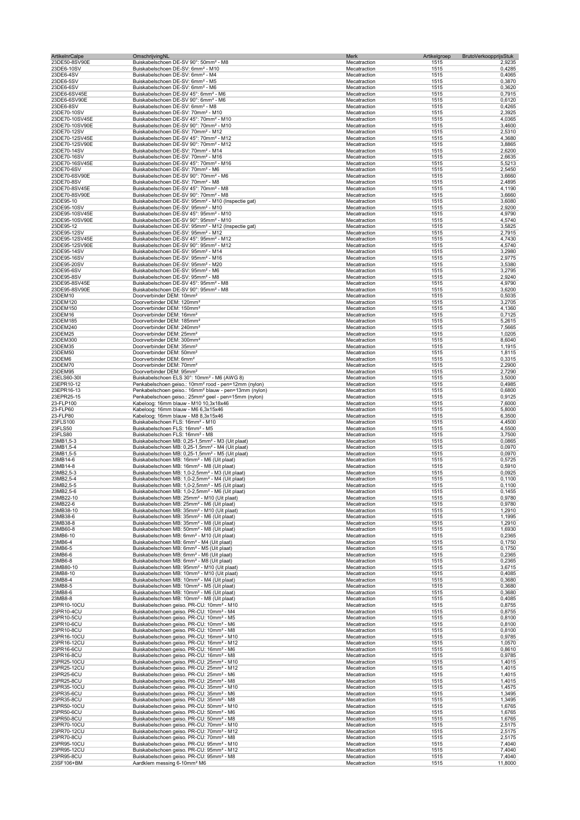| ArtikelnrCalpe                 | OmschrijvingNL                                                                                                                        | Merk                         | Artikelgroep<br><b>BrutoVerkoopprijsStuk</b> |                  |
|--------------------------------|---------------------------------------------------------------------------------------------------------------------------------------|------------------------------|----------------------------------------------|------------------|
| 23DE50-8SV90E                  | Buiskabelschoen DE-SV 90°: 50mm <sup>2</sup> - M8                                                                                     | Mecatraction                 | 1515                                         | 2,9235           |
| 23DE6-10SV                     | Buiskabelschoen DE-SV: 6mm <sup>2</sup> - M10                                                                                         | Mecatraction                 | 1515                                         | 0,4285           |
| 23DE6-4SV                      | Buiskabelschoen DE-SV: 6mm <sup>2</sup> - M4                                                                                          | Mecatraction                 | 1515                                         | 0,4065           |
| 23DE6-5SV                      | Buiskabelschoen DE-SV: 6mm <sup>2</sup> - M5                                                                                          | Mecatraction                 | 1515                                         | 0,3870           |
| 23DE6-6SV<br>23DE6-6SV45E      | Buiskabelschoen DE-SV: 6mm <sup>2</sup> - M6<br>Buiskabelschoen DE-SV 45°: 6mm <sup>2</sup> - M6                                      | Mecatraction<br>Mecatraction | 1515<br>1515                                 | 0,3620<br>0,7915 |
| 23DE6-6SV90E                   | Buiskabelschoen DE-SV 90°: 6mm <sup>2</sup> - M6                                                                                      | Mecatraction                 | 1515                                         | 0,6120           |
| 23DE6-8SV                      | Buiskabelschoen DE-SV: 6mm <sup>2</sup> - M8                                                                                          | Mecatraction                 | 1515                                         | 0,4265           |
| 23DE70-10SV                    | Buiskabelschoen DE-SV: 70mm <sup>2</sup> - M10                                                                                        | Mecatraction                 | 1515                                         | 2,3925           |
| 23DE70-10SV45E                 | Buiskabelschoen DE-SV 45°: 70mm <sup>2</sup> - M10                                                                                    | Mecatraction                 | 1515                                         | 4,0365           |
| 23DE70-10SV90E                 | Buiskabelschoen DE-SV 90°: 70mm <sup>2</sup> - M10                                                                                    | Mecatraction                 | 1515                                         | 3,4600           |
| 23DE70-12SV                    | Buiskabelschoen DE-SV: 70mm <sup>2</sup> - M12                                                                                        | Mecatraction                 | 1515                                         | 2,5310           |
| 23DE70-12SV45E                 | Buiskabelschoen DE-SV 45°: 70mm <sup>2</sup> - M12                                                                                    | Mecatraction                 | 1515                                         | 4,3680           |
| 23DE70-12SV90E                 | Buiskabelschoen DE-SV 90°: 70mm <sup>2</sup> - M12                                                                                    | Mecatraction                 | 1515                                         | 3,8865           |
| 23DE70-14SV                    | Buiskabelschoen DE-SV: 70mm <sup>2</sup> - M14                                                                                        | Mecatraction                 | 1515                                         | 2,6200           |
| 23DE70-16SV                    | Buiskabelschoen DE-SV: 70mm <sup>2</sup> - M16                                                                                        | Mecatraction                 | 1515                                         | 2,6635           |
| 23DE70-16SV45E                 | Buiskabelschoen DE-SV 45°: 70mm <sup>2</sup> - M16                                                                                    | Mecatraction                 | 1515                                         | 5,5213           |
| 23DE70-6SV                     | Buiskabelschoen DE-SV: 70mm <sup>2</sup> - M6<br>Buiskabelschoen DE-SV 90°: 70mm <sup>2</sup> - M6                                    | Mecatraction                 | 1515                                         | 2,5450           |
| 23DE70-6SV90E                  | Buiskabelschoen DE-SV: 70mm <sup>2</sup> - M8                                                                                         | Mecatraction                 | 1515                                         | 3,6660           |
| 23DE70-8SV<br>23DE70-8SV45E    | Buiskabelschoen DE-SV 45°: 70mm <sup>2</sup> - M8                                                                                     | Mecatraction<br>Mecatraction | 1515<br>1515                                 | 2,4895<br>4,1190 |
| 23DE70-8SV90E                  | Buiskabelschoen DE-SV 90°: 70mm <sup>2</sup> - M8                                                                                     | Mecatraction                 | 1515                                         | 3,6660           |
| 23DE95-10                      | Buiskabelschoen DE-SV: 95mm <sup>2</sup> - M10 (Inspectie gat)                                                                        | Mecatraction                 | 1515                                         | 3,6080           |
| 23DE95-10SV                    | Buiskabelschoen DE-SV: 95mm <sup>2</sup> - M10                                                                                        | Mecatraction                 | 1515                                         | 2,9200           |
| 23DE95-10SV45E                 | Buiskabelschoen DE-SV 45°: 95mm <sup>2</sup> - M10                                                                                    | Mecatraction                 | 1515                                         | 4,9790           |
| 23DE95-10SV90E                 | Buiskabelschoen DE-SV 90°: 95mm <sup>2</sup> - M10                                                                                    | Mecatraction                 | 1515                                         | 4,5740           |
| 23DE95-12                      | Buiskabelschoen DE-SV: 95mm <sup>2</sup> - M12 (Inspectie gat)                                                                        | Mecatraction                 | 1515                                         | 3,5825           |
| 23DE95-12SV                    | Buiskabelschoen DE-SV: 95mm <sup>2</sup> - M12                                                                                        | Mecatraction                 | 1515                                         | 2,7915           |
| 23DE95-12SV45E                 | Buiskabelschoen DE-SV 45°: 95mm <sup>2</sup> - M12                                                                                    | Mecatraction                 | 1515                                         | 4,7430           |
| 23DE95-12SV90E                 | Buiskabelschoen DE-SV 90°: 95mm <sup>2</sup> - M12                                                                                    | Mecatraction                 | 1515                                         | 4,5740           |
| 23DE95-14SV                    | Buiskabelschoen DE-SV: 95mm <sup>2</sup> - M14                                                                                        | Mecatraction                 | 1515                                         | 3,2980           |
| 23DE95-16SV                    | Buiskabelschoen DE-SV: 95mm <sup>2</sup> - M16                                                                                        | Mecatraction                 | 1515                                         | 2,9775           |
| 23DE95-20SV                    | Buiskabelschoen DE-SV: 95mm <sup>2</sup> - M20                                                                                        | Mecatraction                 | 1515                                         | 3,5380           |
| 23DE95-6SV                     | Buiskabelschoen DE-SV: 95mm <sup>2</sup> - M6                                                                                         | Mecatraction                 | 1515                                         | 3,2795           |
| 23DE95-8SV                     | Buiskabelschoen DE-SV: 95mm <sup>2</sup> - M8                                                                                         | Mecatraction                 | 1515                                         | 2,9240           |
| 23DE95-8SV45E<br>23DE95-8SV90E | Buiskabelschoen DE-SV 45°: 95mm <sup>2</sup> - M8<br>Buiskabelschoen DE-SV 90°: 95mm <sup>2</sup> - M8                                | Mecatraction<br>Mecatraction | 1515<br>1515                                 | 4,9790<br>3,6200 |
| 23DEM10                        | Doorverbinder DEM: 10mm <sup>2</sup>                                                                                                  | Mecatraction                 | 1515                                         | 0,5035           |
| 23DEM120                       | Doorverbinder DEM: 120mm <sup>2</sup>                                                                                                 | Mecatraction                 | 1515                                         | 3,2705           |
| 23DEM150                       | Doorverbinder DEM: 150mm <sup>2</sup>                                                                                                 | Mecatraction                 | 1515                                         | 4,1360           |
| 23DEM16                        | Doorverbinder DEM: 16mm <sup>2</sup>                                                                                                  | Mecatraction                 | 1515                                         | 0,7125           |
| 23DEM185                       | Doorverbinder DEM: 185mm <sup>2</sup>                                                                                                 | Mecatraction                 | 1515                                         | 5,2615           |
| 23DEM240                       | Doorverbinder DEM: 240mm <sup>2</sup>                                                                                                 | Mecatraction                 | 1515                                         | 7,5665           |
| 23DEM25                        | Doorverbinder DEM: 25mm <sup>2</sup>                                                                                                  | Mecatraction                 | 1515                                         | 1,0205           |
| 23DEM300                       | Doorverbinder DEM: 300mm <sup>2</sup>                                                                                                 | Mecatraction                 | 1515                                         | 8,6040           |
| 23DEM35                        | Doorverbinder DEM: 35mm <sup>2</sup>                                                                                                  | Mecatraction                 | 1515                                         | 1,1915           |
| 23DEM50                        | Doorverbinder DEM: 50mm <sup>2</sup>                                                                                                  | Mecatraction                 | 1515                                         | 1,8115           |
| 23DEM6                         | Doorverbinder DEM: 6mm <sup>2</sup>                                                                                                   | Mecatraction                 | 1515                                         | 0,3315           |
| 23DEM70                        | Doorverbinder DEM: 70mm <sup>2</sup>                                                                                                  | Mecatraction                 | 1515                                         | 2,2900           |
| 23DEM95                        | Doorverbinder DEM: 95mm <sup>2</sup>                                                                                                  | Mecatraction                 | 1515                                         | 2,7290           |
| 23ELS60-30I                    | Buiskabelschoen ELS 30°: 10mm <sup>2</sup> - M6 (AWG 8)                                                                               | Mecatraction                 | 1515                                         | 3,5000           |
| 23EPR10-12<br>23EPR16-13       | Penkabelschoen geiso.: 10mm <sup>2</sup> rood - pen=12mm (nylon)<br>Penkabelschoen geiso.: 16mm <sup>2</sup> blauw - pen=13mm (nylon) | Mecatraction<br>Mecatraction | 1515<br>1515                                 | 0,4985<br>0,6800 |
| 23EPR25-15                     | Penkabelschoen geiso.: 25mm <sup>2</sup> geel - pen=15mm (nylon)                                                                      | Mecatraction                 | 1515                                         | 0,9125           |
| 23-FLP100                      | Kabeloog: 16mm blauw - M10 10,3x18x46                                                                                                 | Mecatraction                 | 1515                                         | 7,6000           |
| 23-FLP60                       | Kabeloog: 16mm blauw - M6 6,3x15x46                                                                                                   | Mecatraction                 | 1515                                         | 5,8000           |
| 23-FLP80                       | Kabeloog: 16mm blauw - M8 8,3x15x46                                                                                                   | Mecatraction                 | 1515                                         | 6,3500           |
| 23FLS100                       | Buiskabelschoen FLS: 16mm <sup>2</sup> - M10                                                                                          | Mecatraction                 | 1515                                         | 4,4500           |
| 23FLS50                        | Buiskabelschoen FLS: 16mm <sup>2</sup> - M5                                                                                           | Mecatraction                 | 1515                                         | 4,5500           |
| 23FLS80                        | Buiskabelschoen FLS: 16mm <sup>2</sup> - M8                                                                                           | Mecatraction                 | 1515                                         | 3,7500           |
| 23MB1,5-3                      | Buiskabelschoen MB: 0,25-1,5mm <sup>2</sup> - M3 (Uit plaat)                                                                          | Mecatraction                 | 1515                                         | 0,0865           |
| 23MB1,5-4                      | Buiskabelschoen MB: 0,25-1,5mm <sup>2</sup> - M4 (Uit plaat)                                                                          | Mecatraction                 | 1515                                         | 0,0970           |
| 23MB1,5-5                      | Buiskabelschoen MB: 0,25-1,5mm <sup>2</sup> - M5 (Uit plaat)                                                                          | Mecatraction                 | 1515                                         | 0,0970           |
| 23MB14-6                       | Buiskabelschoen MB: 16mm <sup>2</sup> - M6 (Uit plaat)                                                                                | Mecatraction                 | 1515                                         | 0,5725           |
| 23MB14-8                       | Buiskabelschoen MB: 16mm <sup>2</sup> - M8 (Uit plaat)                                                                                | Mecatraction                 | 1515                                         | 0,5910           |
| 23MB2,5-3                      | Buiskabelschoen MB: 1,0-2,5mm <sup>2</sup> - M3 (Uit plaat)                                                                           | Mecatraction                 | 1515                                         | 0,0925           |
| 23MB2,5-4                      | Buiskabelschoen MB: 1,0-2,5mm <sup>2</sup> - M4 (Uit plaat)                                                                           | Mecatraction                 | 1515                                         | 0,1100           |
| 23MB2,5-5                      | Buiskabelschoen MB: 1,0-2,5mm <sup>2</sup> - M5 (Uit plaat)                                                                           | Mecatraction                 | 1515                                         | 0,1100           |
| 23MB2,5-6<br>23MB22-10         | Buiskabelschoen MB: 1,0-2,5mm <sup>2</sup> - M6 (Uit plaat)<br>Buiskabelschoen MB: 25mm <sup>2</sup> - M10 (Uit plaat)                | Mecatraction<br>Mecatraction | 1515<br>1515                                 | 0,1455<br>0,9780 |
| 23MB22-6                       | Buiskabelschoen MB: 25mm <sup>2</sup> - M6 (Uit plaat)                                                                                | Mecatraction                 | 1515                                         | 0,9780           |
| 23MB38-10                      | Buiskabelschoen MB: 35mm <sup>2</sup> - M10 (Uit plaat)                                                                               | Mecatraction                 | 1515                                         | 1,2910           |
| 23MB38-6                       | Buiskabelschoen MB: 35mm <sup>2</sup> - M6 (Uit plaat)                                                                                | Mecatraction                 | 1515                                         | 1,1995           |
| 23MB38-8                       | Buiskabelschoen MB: 35mm <sup>2</sup> - M8 (Uit plaat)                                                                                | Mecatraction                 | 1515                                         | 1,2910           |
| 23MB60-8                       | Buiskabelschoen MB: 50mm <sup>2</sup> - M8 (Uit plaat)                                                                                | Mecatraction                 | 1515                                         | 1,6930           |
| 23MB6-10                       | Buiskabelschoen MB: 6mm <sup>2</sup> - M10 (Uit plaat)                                                                                | Mecatraction                 | 1515                                         | 0,2365           |
| 23MB6-4                        | Buiskabelschoen MB: 6mm <sup>2</sup> - M4 (Uit plaat)                                                                                 | Mecatraction                 | 1515                                         | 0,1750           |
| 23MB6-5                        | Buiskabelschoen MB: 6mm <sup>2</sup> - M5 (Uit plaat)                                                                                 | Mecatraction                 | 1515                                         | 0,1750           |
| 23MB6-6                        | Buiskabelschoen MB: 6mm <sup>2</sup> - M6 (Uit plaat)                                                                                 | Mecatraction                 | 1515                                         | 0,2365           |
| 23MB6-8<br>23MB80-10           | Buiskabelschoen MB: 6mm <sup>2</sup> - M8 (Uit plaat)                                                                                 | Mecatraction<br>Mecatraction | 1515<br>1515                                 | 0,2365           |
| 23MB8-10                       | Buiskabelschoen MB: 95mm <sup>2</sup> - M10 (Uit plaat)<br>Buiskabelschoen MB: 10mm <sup>2</sup> - M10 (Uit plaat)                    | Mecatraction                 | 1515                                         | 3,6715<br>0,4085 |
| 23MB8-4                        | Buiskabelschoen MB: 10mm <sup>2</sup> - M4 (Uit plaat)                                                                                | Mecatraction                 | 1515                                         | 0,3680           |
| 23MB8-5                        | Buiskabelschoen MB: 10mm <sup>2</sup> - M5 (Uit plaat)                                                                                | Mecatraction                 | 1515                                         | 0,3680           |
| 23MB8-6                        | Buiskabelschoen MB: 10mm <sup>2</sup> - M6 (Uit plaat)                                                                                | Mecatraction                 | 1515                                         | 0,3680           |
| 23MB8-8                        | Buiskabelschoen MB: 10mm <sup>2</sup> - M8 (Uit plaat)                                                                                | Mecatraction                 | 1515                                         | 0,4085           |
| 23PR10-10CU                    | Buiskabelschoen geiso. PR-CU: 10mm <sup>2</sup> - M10                                                                                 | Mecatraction                 | 1515                                         | 0,8755           |
| 23PR10-4CU                     | Buiskabelschoen geiso. PR-CU: 10mm <sup>2</sup> - M4                                                                                  | Mecatraction                 | 1515                                         | 0,8755           |
| 23PR10-5CU                     | Buiskabelschoen geiso. PR-CU: 10mm <sup>2</sup> - M5                                                                                  | Mecatraction                 | 1515                                         | 0,8100           |
| 23PR10-6CU                     | Buiskabelschoen geiso. PR-CU: 10mm <sup>2</sup> - M6                                                                                  | Mecatraction                 | 1515                                         | 0,8100           |
| 23PR10-8CU                     | Buiskabelschoen geiso. PR-CU: 10mm <sup>2</sup> - M8                                                                                  | Mecatraction                 | 1515                                         | 0,8100           |
| 23PR16-10CU                    | Buiskabelschoen geiso. PR-CU: 16mm <sup>2</sup> - M10                                                                                 | Mecatraction                 | 1515                                         | 0,9785           |
| 23PR16-12CU<br>23PR16-6CU      | Buiskabelschoen geiso. PR-CU: 16mm <sup>2</sup> - M12<br>Buiskabelschoen geiso. PR-CU: 16mm <sup>2</sup> - M6                         | Mecatraction<br>Mecatraction | 1515<br>1515                                 | 1,0570<br>0,8610 |
| 23PR16-8CU                     | Buiskabelschoen geiso. PR-CU: 16mm <sup>2</sup> - M8                                                                                  | Mecatraction                 | 1515                                         | 0,9785           |
| 23PR25-10CU                    | Buiskabelschoen geiso. PR-CU: 25mm <sup>2</sup> - M10                                                                                 | Mecatraction                 | 1515                                         | 1,4015           |
| 23PR25-12CU                    | Buiskabelschoen geiso. PR-CU: 25mm <sup>2</sup> - M12                                                                                 | Mecatraction                 | 1515                                         | 1,4015           |
| 23PR25-6CU                     | Buiskabelschoen geiso. PR-CU: 25mm <sup>2</sup> - M6                                                                                  | Mecatraction                 | 1515                                         | 1,4015           |
| 23PR25-8CU                     | Buiskabelschoen geiso. PR-CU: 25mm <sup>2</sup> - M8                                                                                  | Mecatraction                 | 1515                                         | 1,4015           |
| 23PR35-10CU                    | Buiskabelschoen geiso. PR-CU: 35mm <sup>2</sup> - M10                                                                                 | Mecatraction                 | 1515                                         | 1,4575           |
| 23PR35-6CU                     | Buiskabelschoen geiso. PR-CU: 35mm <sup>2</sup> - M6                                                                                  | Mecatraction                 | 1515                                         | 1,3495           |
| 23PR35-8CU                     | Buiskabelschoen geiso. PR-CU: 35mm <sup>2</sup> - M8                                                                                  | Mecatraction                 | 1515                                         | 1,3495           |
| 23PR50-10CU                    | Buiskabelschoen geiso. PR-CU: 50mm <sup>2</sup> - M10                                                                                 | Mecatraction                 | 1515                                         | 1,6765           |
| 23PR50-6CU                     | Buiskabelschoen geiso. PR-CU: 50mm <sup>2</sup> - M6                                                                                  | Mecatraction                 | 1515                                         | 1,6765           |
| 23PR50-8CU                     | Buiskabelschoen geiso. PR-CU: 50mm <sup>2</sup> - M8                                                                                  | Mecatraction                 | 1515                                         | 1,6765           |
| 23PR70-10CU<br>23PR70-12CU     | Buiskabelschoen geiso. PR-CU: 70mm <sup>2</sup> - M10<br>Buiskabelschoen geiso. PR-CU: 70mm <sup>2</sup> - M12                        | Mecatraction<br>Mecatraction | 1515<br>1515                                 | 2,5175<br>2,5175 |
| 23PR70-8CU                     | Buiskabelschoen geiso. PR-CU: 70mm <sup>2</sup> - M8                                                                                  | Mecatraction                 | 1515                                         | 2,5175           |
| 23PR95-10CU                    | Buiskabelschoen geiso. PR-CU: 95mm <sup>2</sup> - M10                                                                                 | Mecatraction                 | 1515                                         | 7,4040           |
| 23PR95-12CU                    | Buiskabelschoen geiso. PR-CU: 95mm <sup>2</sup> - M12                                                                                 | Mecatraction                 | 1515                                         | 7,4040           |
| 23PR95-8CU                     | Buiskabelschoen geiso. PR-CU: 95mm <sup>2</sup> - M8                                                                                  | Mecatraction                 | 1515                                         | 7,4040           |
| 23SF106+BM                     | Aardklem messing 6-10mm <sup>2</sup> M6                                                                                               | Mecatraction                 | 1515                                         | 11,8000          |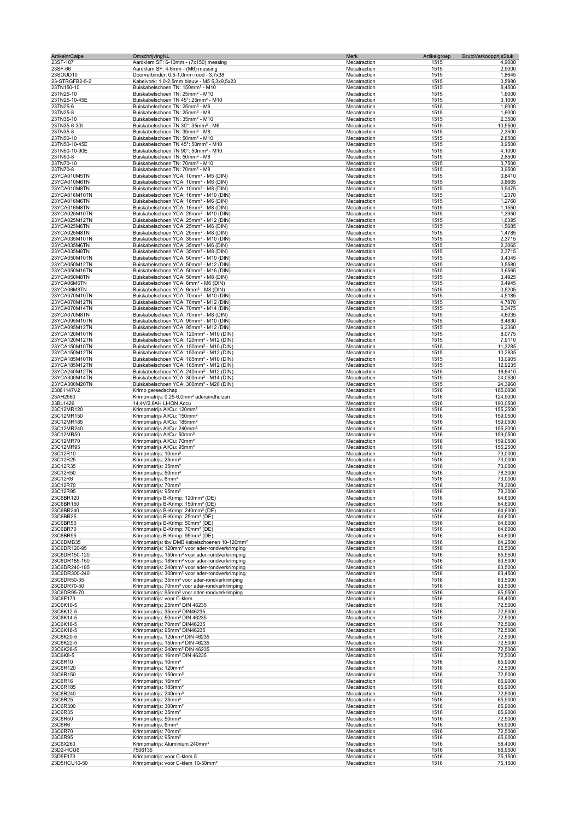| ArtikelnrCalpe                 | OmschrijvingNL                                                                                                           | Merk                         | BrutoVerkoopprijsStuk<br>Artikelgroep |                    |
|--------------------------------|--------------------------------------------------------------------------------------------------------------------------|------------------------------|---------------------------------------|--------------------|
| 23SF-107                       | Aardklem SF: 6-10mm - (7x150) messing                                                                                    | Mecatraction                 | 1515                                  | 4,9000             |
| 23SF-66<br>23SOUD10            | Aardklem SF: 4-6mm - (M6) messing<br>Doorverbinder: 0,5-1,0mm rood - 3,7x38                                              | Mecatraction<br>Mecatraction | 1515                                  | 2,9000             |
| 23-STRGFB2-5-2                 | Kabelvork: 1,0-2,5mm blauw - M5 5,3x9,5x23                                                                               | Mecatraction                 | 1515<br>1515                          | 1,8645<br>0,5980   |
| 23TN150-10                     | Buiskabelschoen TN: 150mm <sup>2</sup> - M10                                                                             | Mecatraction                 | 1515                                  | 8,4500             |
| 23TN25-10                      | Buiskabelschoen TN: 25mm <sup>2</sup> - M10                                                                              | Mecatraction                 | 1515                                  | 1,6000             |
| 23TN25-10-45E                  | Buiskabelschoen TN 45°: 25mm <sup>2</sup> - M10                                                                          | Mecatraction                 | 1515                                  | 3,1000             |
| 23TN25-6                       | Buiskabelschoen TN: 25mm <sup>2</sup> - M6                                                                               | Mecatraction                 | 1515                                  | 1,6000             |
| 23TN25-8                       | Buiskabelschoen TN: 25mm <sup>2</sup> - M8                                                                               | Mecatraction                 | 1515                                  | 1,6000             |
| 23TN35-10                      | Buiskabelschoen TN: 35mm <sup>2</sup> - M10                                                                              | Mecatraction                 | 1515                                  | 2,3500             |
| 23TN35-6-30I                   | Buiskabelschoen TN 30°: 35mm <sup>2</sup> - M6                                                                           | Mecatraction                 | 1515                                  | 10,5500            |
| 23TN35-8                       | Buiskabelschoen TN: 35mm <sup>2</sup> - M8                                                                               | Mecatraction                 | 1515                                  | 2,3500             |
| 23TN50-10                      | Buiskabelschoen TN: 50mm <sup>2</sup> - M10                                                                              | Mecatraction                 | 1515                                  | 2,8500             |
| 23TN50-10-45E<br>23TN50-10-90E | Buiskabelschoen TN 45°: 50mm <sup>2</sup> - M10<br>Buiskabelschoen TN 90°: 50mm <sup>2</sup> - M10                       | Mecatraction<br>Mecatraction | 1515<br>1515                          | 3,9500<br>4,1000   |
| 23TN50-8                       | Buiskabelschoen TN: 50mm <sup>2</sup> - M8                                                                               | Mecatraction                 | 1515                                  | 2,8500             |
| 23TN70-10                      | Buiskabelschoen TN: 70mm <sup>2</sup> - M10                                                                              | Mecatraction                 | 1515                                  | 3,7500             |
| 23TN70-8                       | Buiskabelschoen TN: 70mm <sup>2</sup> - M8                                                                               | Mecatraction                 | 1515                                  | 3,9500             |
| 23YCA010M5TN                   | Buiskabelschoen YCA: 10mm <sup>2</sup> - M5 (DIN)                                                                        | Mecatraction                 | 1515                                  | 0,8410             |
| 23YCA010M6TN                   | Buiskabelschoen YCA: 10mm <sup>2</sup> - M6 (DIN)                                                                        | Mecatraction                 | 1515                                  | 0,8665             |
| 23YCA010M8TN                   | Buiskabelschoen YCA: 10mm <sup>2</sup> - M8 (DIN)                                                                        | Mecatraction                 | 1515                                  | 0,9475             |
| 23YCA016M10TN                  | Buiskabelschoen YCA: 16mm <sup>2</sup> - M10 (DIN)                                                                       | Mecatraction                 | 1515                                  | 1,2370             |
| 23YCA016M6TN                   | Buiskabelschoen YCA: 16mm <sup>2</sup> - M6 (DIN)                                                                        | Mecatraction                 | 1515                                  | 1,2760             |
| 23YCA016M8TN                   | Buiskabelschoen YCA: 16mm <sup>2</sup> - M8 (DIN)                                                                        | Mecatraction                 | 1515                                  | 1,1550             |
| 23YCA025M10TN                  | Buiskabelschoen YCA: 25mm <sup>2</sup> - M10 (DIN)                                                                       | Mecatraction                 | 1515                                  | 1,3950             |
| 23YCA025M12TN                  | Buiskabelschoen YCA: 25mm <sup>2</sup> - M12 (DIN)                                                                       | Mecatraction                 | 1515                                  | 1,6395             |
| 23YCA025M6TN                   | Buiskabelschoen YCA: 25mm <sup>2</sup> - M6 (DIN)                                                                        | Mecatraction                 | 1515                                  | 1,5685             |
| 23YCA025M8TN                   | Buiskabelschoen YCA: 25mm <sup>2</sup> - M8 (DIN)                                                                        | Mecatraction                 | 1515                                  | 1,4785             |
| 23YCA035M10TN<br>23YCA035M6TN  | Buiskabelschoen YCA: 35mm <sup>2</sup> - M10 (DIN)                                                                       | Mecatraction                 | 1515<br>1515                          | 2,3715             |
| 23YCA035M8TN                   | Buiskabelschoen YCA: 35mm <sup>2</sup> - M6 (DIN)<br>Buiskabelschoen YCA: 35mm <sup>2</sup> - M8 (DIN)                   | Mecatraction<br>Mecatraction | 1515                                  | 2,3065             |
| 23YCA050M10TN                  | Buiskabelschoen YCA: 50mm <sup>2</sup> - M10 (DIN)                                                                       | Mecatraction                 | 1515                                  | 2,3715<br>3,4345   |
| 23YCA050M12TN                  | Buiskabelschoen YCA: 50mm <sup>2</sup> - M12 (DIN)                                                                       | Mecatraction                 | 1515                                  | 3,5580             |
| 23YCA050M16TN                  | Buiskabelschoen YCA: 50mm <sup>2</sup> - M16 (DIN)                                                                       | Mecatraction                 | 1515                                  | 3,6565             |
| 23YCA050M8TN                   | Buiskabelschoen YCA: 50mm <sup>2</sup> - M8 (DIN)                                                                        | Mecatraction                 | 1515                                  | 3,4925             |
| 23YCA06M6TN                    | Buiskabelschoen YCA: 6mm <sup>2</sup> - M6 (DIN)                                                                         | Mecatraction                 | 1515                                  | 0,4945             |
| 23YCA06M8TN                    | Buiskabelschoen YCA: 6mm <sup>2</sup> - M8 (DIN)                                                                         | Mecatraction                 | 1515                                  | 0,5205             |
| 23YCA070M10TN                  | Buiskabelschoen YCA: 70mm <sup>2</sup> - M10 (DIN)                                                                       | Mecatraction                 | 1515                                  | 4,5185             |
| 23YCA070M12TN                  | Buiskabelschoen YCA: 70mm <sup>2</sup> - M12 (DIN)                                                                       | Mecatraction                 | 1515                                  | 4,7870             |
| 23YCA070M14TN                  | Buiskabelschoen YCA: 70mm <sup>2</sup> - M14 (DIN)                                                                       | Mecatraction                 | 1515                                  | 5,3475             |
| 23YCA070M8TN                   | Buiskabelschoen YCA: 70mm <sup>2</sup> - M8 (DIN)                                                                        | Mecatraction                 | 1515                                  | 4,6035             |
| 23YCA095M10TN                  | Buiskabelschoen YCA: 95mm <sup>2</sup> - M10 (DIN)                                                                       | Mecatraction                 | 1515                                  | 6,4830             |
| 23YCA095M12TN                  | Buiskabelschoen YCA: 95mm <sup>2</sup> - M12 (DIN)                                                                       | Mecatraction                 | 1515                                  | 6,2360             |
| 23YCA120M10TN                  | Buiskabelschoen YCA: 120mm <sup>2</sup> - M10 (DIN)                                                                      | Mecatraction                 | 1515                                  | 8,0775             |
| 23YCA120M12TN                  | Buiskabelschoen YCA: 120mm <sup>2</sup> - M12 (DIN)                                                                      | Mecatraction                 | 1515                                  | 7,9110             |
| 23YCA150M10TN                  | Buiskabelschoen YCA: 150mm <sup>2</sup> - M10 (DIN)                                                                      | Mecatraction                 | 1515                                  | 11,3285            |
| 23YCA150M12TN                  | Buiskabelschoen YCA: 150mm <sup>2</sup> - M12 (DIN)                                                                      | Mecatraction                 | 1515                                  | 10,2835            |
| 23YCA185M10TN<br>23YCA185M12TN | Buiskabelschoen YCA: 185mm <sup>2</sup> - M10 (DIN)<br>Buiskabelschoen YCA: 185mm <sup>2</sup> - M12 (DIN)               | Mecatraction<br>Mecatraction | 1515<br>1515                          | 13,0905<br>12,9235 |
| 23YCA240M12TN                  | Buiskabelschoen YCA: 240mm <sup>2</sup> - M12 (DIN)                                                                      | Mecatraction                 | 1515                                  | 16,6410            |
| 23YCA300M14TN                  | Buiskabelschoen YCA: 300mm <sup>2</sup> - M14 (DIN)                                                                      | Mecatraction                 | 1515                                  | 24,0530            |
| 23YCA300M20TN                  | Buiskabelschoen YCA: 300mm <sup>2</sup> - M20 (DIN)                                                                      | Mecatraction                 | 1515                                  | 24,3960            |
| 23061147V2                     | Krimp gereedschap                                                                                                        | Mecatraction                 | 1516                                  | 165,0000           |
| 23AH2560                       | Krimpmatrijs: 0,25-6,0mm <sup>2</sup> adereindhulzen                                                                     | Mecatraction                 | 1516                                  | 124,9000           |
| 23BL1426                       | 14,4V/2,6AH LI-ION Accu                                                                                                  | Mecatraction                 | 1516                                  | 190,0500           |
| 23C12MR120                     | Krimpmatrijs Al/Cu: 120mm <sup>2</sup>                                                                                   | Mecatraction                 | 1516                                  | 155,2500           |
| 23C12MR150                     | Krimpmatrijs Al/Cu: 150mm <sup>2</sup>                                                                                   | Mecatraction                 | 1516                                  | 159,0500           |
| 23C12MR185                     | Krimpmatrijs Al/Cu: 185mm <sup>2</sup>                                                                                   | Mecatraction                 | 1516                                  | 159,0500           |
| 23C12MR240                     | Krimpmatrijs Al/Cu: 240mm <sup>2</sup>                                                                                   | Mecatraction                 | 1516                                  | 155,2000           |
| 23C12MR50                      | Krimpmatrijs Al/Cu: 50mm <sup>2</sup>                                                                                    | Mecatraction                 | 1516                                  | 159,0500           |
| 23C12MR70                      | Krimpmatrijs Al/Cu: 70mm <sup>2</sup>                                                                                    | Mecatraction                 | 1516                                  | 159,0500           |
| 23C12MR95                      | Krimpmatrijs Al/Cu: 95mm <sup>2</sup>                                                                                    | Mecatraction                 | 1516                                  | 155,2500           |
| 23C12R10                       | Krimpmatrijs: 10mm <sup>2</sup>                                                                                          | Mecatraction                 | 1516                                  | 73,0000            |
| 23C12R25                       | Krimpmatrijs: 25mm <sup>2</sup>                                                                                          | Mecatraction                 | 1516                                  | 73,0000            |
| 23C12R35                       | Krimpmatrijs: 35mm <sup>2</sup><br>Krimpmatrijs: 50mm <sup>2</sup>                                                       | Mecatraction                 | 1516                                  | 73,0000            |
| 23C12R50<br>23C12R6            | Krimpmatrijs: 6mm <sup>2</sup>                                                                                           | Mecatraction<br>Mecatraction | 1516<br>1516                          | 78,3000<br>73,0000 |
| 23C12R70                       | Krimpmatrijs: 70mm <sup>2</sup>                                                                                          | Mecatraction                 | 1516                                  | 78,3000            |
| 23C12R95                       | Krimpmatriis: 95mm <sup>.</sup>                                                                                          | Mecatraction                 | 1516                                  | 78.3000            |
| 23C6BR120                      | Krimpmatrijs B-Krimp: 120mm <sup>2</sup> (DE)                                                                            | Mecatraction                 | 1516                                  | 64,6000            |
| 23C6BR150                      | Krimpmatrijs B-Krimp: 150mm <sup>2</sup> (DE)                                                                            | Mecatraction                 | 1516                                  | 64,6000            |
| 23C6BR240                      | Krimpmatrijs B-Krimp: 240mm <sup>2</sup> (DE)                                                                            | Mecatraction                 | 1516                                  | 64,6000            |
| 23C6BR25                       | Krimpmatrijs B-Krimp: 25mm <sup>2</sup> (DE)                                                                             | Mecatraction                 | 1516                                  | 64,6000            |
| 23C6BR50                       | Krimpmatrijs B-Krimp: 50mm <sup>2</sup> (DE)                                                                             | Mecatraction                 | 1516                                  | 64,6000            |
| 23C6BR70                       | Krimpmatrijs B-Krimp: 70mm <sup>2</sup> (DE)                                                                             | Mecatraction                 | 1516                                  | 64,6000            |
| 23C6BR95                       | Krimpmatrijs B-Krimp: 95mm <sup>2</sup> (DE)                                                                             | Mecatraction                 | 1516                                  | 64,6000            |
| 23C6DMB35                      | Krimpmatrijs: tbv DMB kabelschoenen 10-120mm <sup>2</sup>                                                                | Mecatraction                 | 1516                                  | 84,2500            |
| 23C6DR120-95                   | Krimpmatrijs: 120mm <sup>2</sup> voor ader-rondverkrimping                                                               | Mecatraction                 | 1516                                  | 85,5000            |
| 23C6DR150-120                  | Krimpmatrijs: 150mm <sup>2</sup> voor ader-rondverkrimping                                                               | Mecatraction                 | 1516                                  | 85,5500            |
| 23C6DR185-150<br>23C6DR240-185 | Krimpmatrijs: 185mm <sup>2</sup> voor ader-rondverkrimping                                                               | Mecatraction                 | 1516                                  | 83,5000            |
| 23C6DR300-240                  | Krimpmatrijs: 240mm <sup>2</sup> voor ader-rondverkrimping<br>Krimpmatrijs: 300mm <sup>2</sup> voor ader-rondverkrimping | Mecatraction<br>Mecatraction | 1516<br>1516                          | 83,5000<br>83,4500 |
| 23C6DR50-35                    | Krimpmatrijs: 35mm <sup>2</sup> voor ader-rondverkrimping                                                                | Mecatraction                 | 1516                                  | 83,5000            |
| 23C6DR70-50                    | Krimpmatrijs: 70mm <sup>2</sup> voor ader-rondverkrimping                                                                | Mecatraction                 | 1516                                  | 83,5000            |
| 23C6DR95-70                    | Krimpmatrijs: 95mm <sup>2</sup> voor ader-rondverkrimping                                                                | Mecatraction                 | 1516                                  | 85,5500            |
| 23C6E173                       | Krimpmatrijs: voor C-klem                                                                                                | Mecatraction                 | 1516                                  | 58,4000            |
| 23C6K10-5                      | Krimpmatrijs: 25mm <sup>2</sup> DIN 46235                                                                                | Mecatraction                 | 1516                                  | 72,5000            |
| 23C6K12-5                      | Krimpmatrijs: 35mm <sup>2</sup> DIN46235                                                                                 | Mecatraction                 | 1516                                  | 72,5000            |
| 23C6K14-5                      | Krimpmatrijs: 50mm <sup>2</sup> DIN 46235                                                                                | Mecatraction                 | 1516                                  | 72,5000            |
| 23C6K16-5                      | Krimpmatrijs: 70mm <sup>2</sup> DIN46235                                                                                 | Mecatraction                 | 1516                                  | 72,5000            |
| 23C6K18-5                      | Krimpmatrijs: 95mm <sup>2</sup> DIN46235                                                                                 | Mecatraction                 | 1516                                  | 72,5000            |
| 23C6K20-5                      | Krimpmatrijs: 120mm <sup>2</sup> DIN 46235                                                                               | Mecatraction                 | 1516                                  | 72,5000            |
| 23C6K22-5                      | Krimpmatrijs: 150mm <sup>2</sup> DIN 46235                                                                               | Mecatraction                 | 1516                                  | 72,5000            |
| 23C6K28-5                      | Krimpmatrijs: 240mm <sup>2</sup> DIN 46235                                                                               | Mecatraction                 | 1516                                  | 72,5000            |
| 23C6K8-5<br>23C6R10            | Krimpmatrijs: 16mm <sup>2</sup> DIN 46235<br>Krimpmatrijs: 10mm <sup>2</sup>                                             | Mecatraction                 | 1516<br>1516                          | 72,5000<br>65,9000 |
| 23C6R120                       | Krimpmatrijs: 120mm <sup>2</sup>                                                                                         | Mecatraction<br>Mecatraction | 1516                                  | 72,5000            |
| 23C6R150                       | Krimpmatrijs: 150mm <sup>2</sup>                                                                                         | Mecatraction                 | 1516                                  | 72,5000            |
| 23C6R16                        | Krimpmatrijs: 16mm <sup>2</sup>                                                                                          | Mecatraction                 | 1516                                  | 65,9000            |
| 23C6R185                       | Krimpmatrijs: 185mm <sup>2</sup>                                                                                         | Mecatraction                 | 1516                                  | 65,9000            |
| 23C6R240                       | Krimpmatrijs: 240mm <sup>2</sup>                                                                                         | Mecatraction                 | 1516                                  | 72,5000            |
| 23C6R25                        | Krimpmatrijs: 25mm <sup>2</sup>                                                                                          | Mecatraction                 | 1516                                  | 65,9000            |
| 23C6R300                       | Krimpmatrijs: 300mm <sup>2</sup>                                                                                         | Mecatraction                 | 1516                                  | 65,9000            |
| 23C6R35                        | Krimpmatrijs: 35mm <sup>2</sup>                                                                                          | Mecatraction                 | 1516                                  | 65,9000            |
| 23C6R50                        | Krimpmatrijs: 50mm <sup>2</sup>                                                                                          | Mecatraction                 | 1516                                  | 72,5000            |
| 23C6R6                         | Krimpmatrijs: 6mm <sup>2</sup>                                                                                           | Mecatraction                 | 1516                                  | 65,9000            |
| 23C6R70                        | Krimpmatrijs: 70mm <sup>2</sup>                                                                                          | Mecatraction                 | 1516                                  | 72,5000            |
| 23C6R95                        | Krimpmatrijs: 95mm <sup>2</sup>                                                                                          | Mecatraction                 | 1516                                  | 65,9000            |
| 23C6X260                       | Krimpmatrijs: Aluminium 240mm <sup>2</sup>                                                                               | Mecatraction                 | 1516                                  | 58,4000            |
| 23D2-HCU6<br>23D5E173          | 7506135<br>Krimpmatrijs: voor C-klem 5                                                                                   | Mecatraction<br>Mecatraction | 1516                                  | 68,9500            |
| 23D5HCU10-50                   | Krimpmatrijs: voor C-klem 10-50mm <sup>2</sup>                                                                           | Mecatraction                 | 1516<br>1516                          | 75,1500<br>75,1500 |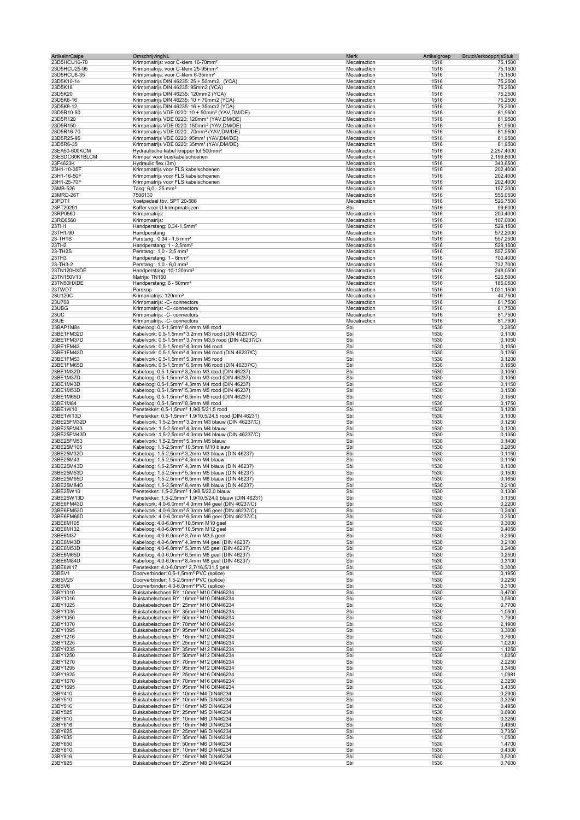| ArtikelnrCalpe | OmschrijvingNL                                                     | Merk         | Artikelgroep<br>BrutoVerkoopprijsStuk |            |
|----------------|--------------------------------------------------------------------|--------------|---------------------------------------|------------|
| 23D5HCU16-70   | Krimpmatrijs: voor C-klem 16-70mm <sup>2</sup>                     | Mecatraction | 1516                                  | 75,1500    |
| 23D5HCU25-95   | Krimpmatrijs: voor C-klem 25-95mm <sup>2</sup>                     | Mecatraction | 1516                                  | 75,1500    |
| 23D5HCU6-35    | Krimpmatrijs: voor C-klem 6-35mm <sup>2</sup>                      | Mecatraction | 1516                                  | 75,1500    |
| 23D5K10-14     | Krimpmatrijs DIN 46235: 25 + 50mm2, (YCA)                          | Mecatraction | 1516                                  | 75,2500    |
| 23D5K18        | Krimpmatrijs DIN 46235: 95mm2 (YCA)                                | Mecatraction | 1516                                  | 75,2500    |
| 23D5K20        | Krimpmatrijs DIN 46235: 120mm2 (YCA)                               | Mecatraction | 1516                                  | 75,2500    |
| 23D5K6-16      | Krimpmatrijs DIN 46235: 10 + 70mm2 (YCA)                           | Mecatraction | 1516                                  | 75,2500    |
| 23D5K8-12      | Krimpmatrijs DIN 46235: 16 + 35mm2 (YCA)                           | Mecatraction | 1516                                  | 75,2000    |
| 23D5R10-50     | Krimpmatrijs VDE 0220: 10 + 50mm <sup>2</sup> (YAV,DM/DE)          | Mecatraction | 1516                                  | 81,9500    |
| 23D5R120       | Krimpmatrijs VDE 0220: 120mm <sup>2</sup> (YAV,DM/DE)              | Mecatraction | 1516                                  | 81,9500    |
| 23D5R150       | Krimpmatrijs VDE 0220: 150mm <sup>2</sup> (YAV,DM/DE)              | Mecatraction | 1516                                  | 81,9500    |
| 23D5R16-70     | Krimpmatrijs VDE 0220:: 70mm <sup>2</sup> (YAV,DM/DE)              | Mecatraction | 1516                                  | 81,9500    |
| 23D5R25-95     | Krimpmatrijs VDE 0220: 95mm <sup>2</sup> (YAV,DM/DE)               | Mecatraction | 1516                                  | 81,9500    |
| 23D5R6-35      | Krimpmatrijs VDE 0220: 35mm <sup>2</sup> (YAV,DM/DE)               | Mecatraction | 1516                                  | 81,9500    |
| 23EA50-600KCM  | Hydraulische kabel knipper tot 500mm <sup>2</sup>                  | Mecatraction | 1516                                  | 2.257,4000 |
| 23ESDC60K1BLCM | Krimper voor buiskabelschoenen                                     | Mecatraction | 1516                                  | 2.199,8000 |
| 23F4623K       | Hydraulic flex (3m)                                                | Mecatraction | 1516                                  | 343,6500   |
| 23H1-10-35F    | Krimpmatrijs voor FLS kabelschoenen                                | Mecatraction | 1516                                  | 202,4000   |
| 23H1-16-50F    | Krimpmatrijs voor FLS kabelschoenen                                | Mecatraction | 1516                                  | 202,4000   |
| 23H1-25-70F    | Krimpmatrijs voor FLS kabelschoenen                                | Mecatraction | 1516                                  | 202,4000   |
| 23MB-526       | Tang: $6,0 - 25$ mm <sup>2</sup>                                   | Mecatraction | 1516                                  | 157,2000   |
| 23MRD-26T      | 7506130                                                            | Mecatraction | 1516                                  | 555,0500   |
| 23PDT1         | Voetpedaal tbv. SPT 20-586                                         | Mecatraction | 1516                                  | 526,7500   |
| 23PT29291      | Koffer voor U-krimpmatrijzen                                       | Sbi          | 1516                                  | 99,6000    |
| 23RP0560       | Krimpmatrijs:                                                      | Mecatraction | 1516                                  | 200,4000   |
| 23RQ0560       | Krimpmatrijs:                                                      | Mecatraction | 1516                                  | 107,0000   |
| 23TH1          | Handperstang: 0,34-1,5mm <sup>2</sup>                              | Mecatraction | 1516                                  | 529,1500   |
| 23TH1-90       | Handperstang                                                       | Mecatraction | 1516                                  | 572,2000   |
| 23-TH1S        | Perstang: 0,34 - 1,5 mm <sup>2</sup>                               | Mecatraction | 1516                                  | 557,2500   |
| 23TH2          | Handperstang: 1 - 2,5mm <sup>2</sup>                               | Mecatraction | 1516                                  | 529,1500   |
| 23-TH2S        | Perstang: 1,0 - 2,5 mm <sup>2</sup>                                | Mecatraction | 1516                                  | 557,2500   |
| 23TH3          | Handperstang: 1 - 6mm <sup>2</sup>                                 | Mecatraction | 1516                                  | 700,4000   |
| 23-TH3-2       | Perstang: 1,0 - 6,0 mm <sup>2</sup>                                | Mecatraction | 1516                                  | 732,7000   |
| 23TN120HXDE    | Handperstang: 10-120mm <sup>2</sup>                                | Mecatraction | 1516                                  | 248,0500   |
| 23TN150V13     | Matrijs: TN150                                                     | Mecatraction | 1516                                  | 526,5000   |
| 23TN50HXDE     | Handperstang: 6 - 50mm <sup>2</sup>                                | Mecatraction | 1516                                  | 185,0500   |
| 23TWDT         | Perskop                                                            | Mecatraction | 1516                                  | 1.031,1500 |
| 23U120C        | Krimpmatrijs: 120mm <sup>2</sup>                                   | Mecatraction | 1516                                  | 44,7500    |
| 23U708         | Krimpmatrijs: -C- connectors                                       | Mecatraction | 1516                                  | 81,7500    |
| 23UBG          | Krimpmatrijs: -C- connectors                                       | Mecatraction | 1516                                  | 81,7500    |
| 23UC           | Krimpmatrijs: -C- connectors                                       | Mecatraction | 1516                                  | 81,7500    |
| 23UE           | Krimpmatrijs: -C- connectors                                       | Mecatraction | 1516                                  | 81,7500    |
| 23BAP1M84      | Kabeloog: 0,5-1,5mm <sup>2</sup> 8,4mm M8 rood                     | Sbi          | 1530                                  | 0,2850     |
| 23BE1FM32D     | Kabelvork: 0,5-1,5mm <sup>2</sup> 3,2mm M3 rood (DIN 46237/C)      | Sbi          | 1530                                  | 0,1100     |
| 23BE1FM37D     | Kabelvork: 0,5-1,5mm <sup>2</sup> 3,7mm M3,5 rood (DIN 46237/C)    | Sbi          | 1530                                  | 0,1050     |
| 23BE1FM43      | Kabelvork: 0,5-1,5mm <sup>2</sup> 4,3mm M4 rood                    | Sbi          | 1530                                  | 0,1050     |
| 23BE1FM43D     | Kabelvork: 0,5-1,5mm <sup>2</sup> 4,3mm M4 rood (DIN 46237/C)      | Sbi          | 1530                                  | 0,1250     |
| 23BE1FM53      | Kabelvork: 0,5-1,5mm <sup>2</sup> 5,3mm M5 rood                    | Sbi          | 1530                                  | 0,1200     |
| 23BE1FM65D     | Kabelvork: 0,5-1,5mm <sup>2</sup> 6,5mm M6 rood (DIN 46237/C)      | Sbi          | 1530                                  | 0,1650     |
| 23BE1M32D      | Kabeloog: 0,5-1,5mm <sup>2</sup> 3,2mm M3 rood (DIN 46237)         | Sbi          | 1530                                  | 0,1050     |
| 23BE1M37D      | Kabeloog: 0,5-1,5mm <sup>2</sup> 3,7mm M3 rood (DIN 46237)         | Sbi          | 1530                                  | 0,1050     |
| 23BE1M43D      | Kabeloog: 0,5-1,5mm <sup>2</sup> 4,3mm M4 rood (DIN 46237)         | Sbi          | 1530                                  | 0,1150     |
| 23BE1M53D      | Kabeloog: 0,5-1,5mm <sup>2</sup> 5,3mm M5 rood (DIN 46237)         | Sbi          | 1530                                  | 0,1500     |
| 23BE1M65D      | Kabeloog: 0,5-1,5mm <sup>2</sup> 6,5mm M6 rood (DIN 46237)         | Sbi          | 1530                                  | 0,1550     |
| 23BE1M84       | Kabeloog: 0,5-1,5mm <sup>2</sup> 8,5mm M8 rood                     | Sbi          | 1530                                  | 0,1750     |
| 23BE1W10       | Penstekker: 0,5-1,5mm <sup>2</sup> 1,9/8,5/21,5 rood               | Sbi          | 1530                                  | 0,1200     |
| 23BE1W13D      | Penstekker: 0,5-1,5mm <sup>2</sup> 1,9/10,5/24,5 rood (DIN 46231)  | Sbi          | 1530                                  | 0,1300     |
| 23BE25FM32D    | Kabelvork: 1,5-2,5mm <sup>2</sup> 3,2mm M3 blauw (DIN 46237/C)     | Sbi          | 1530                                  | 0,1250     |
| 23BE25FM43     | Kabelvork: 1,5-2,5mm <sup>2</sup> 4,3mm M4 blauw                   | Sbi          | 1530                                  | 0,1200     |
| 23BE25FM43D    | Kabelvork: 1,5-2,5mm <sup>2</sup> 4,3mm M4 blauw (DIN 46237/C)     | Sbi          | 1530                                  | 0,1350     |
| 23BE25FM53     | Kabelvork: 1,5-2,5mm <sup>2</sup> 5,3mm M5 blauw                   | Sbi          | 1530                                  | 0,1400     |
| 23BE25M105     | Kabeloog: 1,5-2,5mm <sup>2</sup> 10,5mm M10 blauw                  | Sbi          | 1530                                  | 0,2050     |
| 23BE25M32D     | Kabeloog: 1,5-2,5mm <sup>2</sup> 3,2mm M3 blauw (DIN 46237)        | Sbi          | 1530                                  | 0,1150     |
| 23BE25M43      | Kabeloog: 1,5-2,5mm <sup>2</sup> 4,3mm M4 blauw                    | Sbi          | 1530                                  | 0,1150     |
| 23BE25M43D     | Kabeloog: 1,5-2,5mm <sup>2</sup> 4,3mm M4 blauw (DIN 46237)        | Sbi          | 1530                                  | 0,1300     |
| 23BE25M53D     | Kabeloog: 1,5-2,5mm <sup>2</sup> 5,3mm M5 blauw (DIN 46237)        | Sbi          | 1530                                  | 0,1500     |
| 23BE25M65D     | Kabeloog: 1,5-2,5mm <sup>2</sup> 6,5mm M6 blauw (DIN 46237)        | Sbi          | 1530                                  | 0,1650     |
| 23BE25M84D     | Kabeloog: 1,5-2,5mm <sup>2</sup> 8,4mm M8 blauw (DIN 46237)        | Sbi          | 1530                                  | 0,2100     |
| 23BE25W10      | Penstekker: 1,5-2,5mm <sup>2</sup> 1,9/8,5/22,0 blauw              | SDI          | 1530                                  | 0,1300     |
| 23BE25W13D     | Penstekker: 1,5-2,5mm <sup>2</sup> 1,9/10,5/24,0 blauw (DIN 46231) | Sbi          | 1530                                  | 0,1350     |
| 23BE6FM43D     | Kabelvork: 4,0-6,0mm <sup>2</sup> 4,3mm M4 geel (DIN 46237/C)      | Sbi          | 1530                                  | 0,2200     |
| 23BE6FM53D     | Kabelvork: 4,0-6,0mm <sup>2</sup> 5,3mm M5 geel (DIN 46237/C)      | Sbi          | 1530                                  | 0,2400     |
| 23BE6FM65D     | Kabelvork: 4,0-6,0mm <sup>2</sup> 6,5mm M6 geel (DIN 46237/C)      | Sbi          | 1530                                  | 0,2500     |
| 23BE6M105      | Kabeloog: 4,0-6,0mm <sup>2</sup> 10,5mm M10 geel                   | Sbi          | 1530                                  | 0,3000     |
| 23BE6M132      | Kabeloog: 4,0-6,0mm <sup>2</sup> 10,5mm M12 geel                   | Sbi          | 1530                                  | 0,4050     |
| 23BE6M37       | Kabeloog: 4,0-6,0mm <sup>2</sup> 3,7mm M3,5 geel                   | Sbi          | 1530                                  | 0,2350     |
| 23BE6M43D      | Kabeloog: 4,0-6,0mm <sup>2</sup> 4,3mm M4 geel (DIN 46237)         | Sbi          | 1530                                  | 0,2100     |
| 23BE6M53D      | Kabeloog: 4,0-6,0mm <sup>2</sup> 5,3mm M5 geel (DIN 46237)         | Sbi          | 1530                                  | 0,2400     |
| 23BE6M65D      | Kabeloog: 4,0-6,0mm <sup>2</sup> 6,5mm M6 geel (DIN 46237)         | Sbi          | 1530                                  | 0,2500     |
| 23BE6M84D      | Kabeloog: 4,0-6,0mm <sup>2</sup> 8,4mm M8 geel (DIN 46237)         | Sbi          | 1530                                  | 0,3100     |
| 23BE6W17       | Penstekker: 4,0-6,0mm <sup>2</sup> 2,7/16,5/31,5 geel              | Sbi          | 1530                                  | 0,3000     |
| 23BSV1         | Doorverbinder: 0,5-1,5mm <sup>2</sup> PVC (splice)                 | Sbi          | 1530                                  | 0,1950     |
| 23BSV25        | Doorverbinder: 1,5-2,5mm <sup>2</sup> PVC (splice)                 | Sbi          | 1530                                  | 0,2250     |
| 23BSV6         | Doorverbinder: 4,0-6,0mm <sup>2</sup> PVC (splice)                 | Sbi          | 1530                                  | 0,3100     |
| 23BY1010       | Buiskabelschoen BY: 10mm <sup>2</sup> M10 DIN46234                 | Sbi          | 1530                                  | 0,4700     |
| 23BY1016       | Buiskabelschoen BY: 16mm <sup>2</sup> M10 DIN46234                 | Sbi          | 1530                                  | 0,5800     |
| 23BY1025       | Buiskabelschoen BY: 25mm <sup>2</sup> M10 DIN46234                 | Sbi          | 1530                                  | 0,7700     |
| 23BY1035       | Buiskabelschoen BY: 35mm <sup>2</sup> M10 DIN46234                 | Sbi          | 1530                                  | 1,0500     |
| 23BY1050       | Buiskabelschoen BY: 50mm <sup>2</sup> M10 DIN46234                 | Sbi          | 1530                                  | 1,7900     |
| 23BY1070       | Buiskabelschoen BY: 70mm <sup>2</sup> M10 DIN46234                 | Sbi          | 1530                                  | 2,1900     |
| 23BY1095       | Buiskabelschoen BY: 95mm <sup>2</sup> M10 DIN46234                 | Sbi          | 1530                                  | 3,3000     |
| 23BY1216       | Buiskabelschoen BY: 16mm <sup>2</sup> M12 DIN46234                 | Sbi          | 1530                                  | 0,7600     |
| 23BY1225       | Buiskabelschoen BY: 25mm <sup>2</sup> M12 DIN46234                 | Sbi          | 1530                                  | 1,0200     |
| 23BY1235       | Buiskabelschoen BY: 35mm <sup>2</sup> M12 DIN46234                 | Sbi          | 1530                                  | 1,1250     |
| 23BY1250       | Buiskabelschoen BY: 50mm <sup>2</sup> M12 DIN46234                 | Sbi          | 1530                                  | 1,8250     |
| 23BY1270       | Buiskabelschoen BY: 70mm <sup>2</sup> M12 DIN46234                 | Sbi          | 1530                                  | 2,2250     |
| 23BY1295       | Buiskabelschoen BY: 95mm <sup>2</sup> M12 DIN46234                 | Sbi          | 1530                                  | 3,3450     |
| 23BY1625       | Buiskabelschoen BY: 25mm <sup>2</sup> M16 DIN46234                 | Sbi          | 1530                                  | 1,0981     |
| 23BY1670       | Buiskabelschoen BY: 70mm <sup>2</sup> M16 DIN46234                 | Sbi          | 1530                                  | 2,3250     |
| 23BY1695       | Buiskabelschoen BY: 95mm <sup>2</sup> M16 DIN46234                 | Sbi          | 1530                                  | 3,4350     |
| 23BY410        | Buiskabelschoen BY: 10mm <sup>2</sup> M4 DIN46234                  | Sbi          | 1530                                  | 0,2900     |
| 23BY510        | Buiskabelschoen BY: 10mm <sup>2</sup> M5 DIN46234                  | Sbi          | 1530                                  | 0,3250     |
| 23BY516        | Buiskabelschoen BY: 16mm <sup>2</sup> M5 DIN46234                  | Sbi          | 1530                                  | 0,4950     |
| 23BY525        | Buiskabelschoen BY: 25mm <sup>2</sup> M5 DIN46234                  | Sbi          | 1530                                  | 0,6900     |
| 23BY610        | Buiskabelschoen BY: 10mm <sup>2</sup> M6 DIN46234                  | Sbi          | 1530                                  | 0,3250     |
| 23BY616        | Buiskabelschoen BY: 16mm <sup>2</sup> M6 DIN46234                  | Sbi          | 1530                                  | 0,4950     |
| 23BY625        | Buiskabelschoen BY: 25mm <sup>2</sup> M6 DIN46234                  | Sbi          | 1530                                  | 0,7350     |
| 23BY635        | Buiskabelschoen BY: 35mm <sup>2</sup> M6 DIN46234                  | Sbi          | 1530                                  | 1,0500     |
| 23BY650        | Buiskabelschoen BY: 50mm <sup>2</sup> M6 DIN46234                  | Sbi          | 1530                                  | 1,4700     |
| 23BY810        | Buiskabelschoen BY: 10mm <sup>2</sup> M8 DIN46234                  | Sbi          | 1530                                  | 0,4300     |
| 23BY816        | Buiskabelschoen BY: 16mm <sup>2</sup> M8 DIN46234                  | Sbi          | 1530                                  | 0,5200     |
| 23BY825        | Buiskabelschoen BY: 25mm <sup>2</sup> M8 DIN46234                  | Sbi          | 1530                                  | 0,7600     |
|                |                                                                    |              |                                       |            |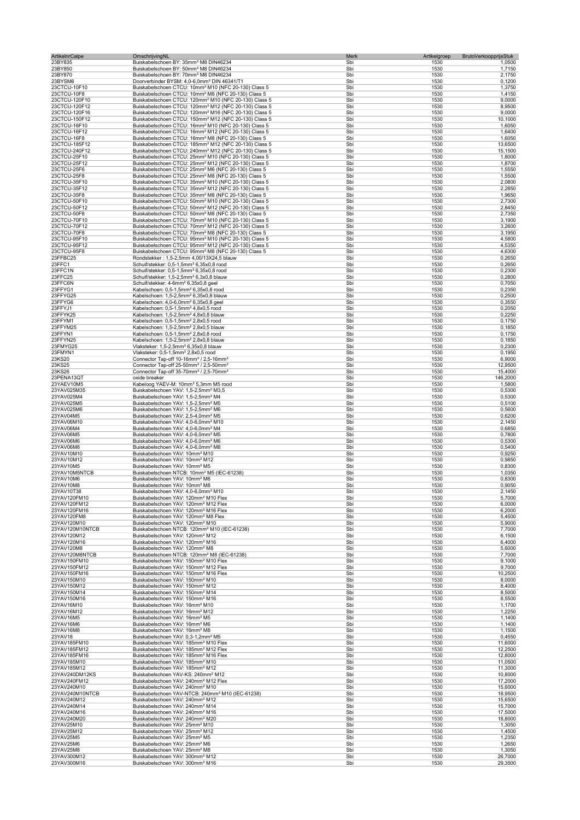| <b>ArtikelnrCalpe</b>          | OmschrijvingNL                                                                                                                         | Merk       | Artikelgroep<br>BrutoVerkoopprijsStuk |                   |
|--------------------------------|----------------------------------------------------------------------------------------------------------------------------------------|------------|---------------------------------------|-------------------|
| 23BY835                        | Buiskabelschoen BY: 35mm <sup>2</sup> M8 DIN46234                                                                                      | Sbi        | 1530                                  | 1,0500            |
| 23BY850                        | Buiskabelschoen BY: 50mm <sup>2</sup> M8 DIN46234                                                                                      | Sbi        | 1530                                  | 1,7150            |
| 23BY870                        | Buiskabelschoen BY: 70mm <sup>2</sup> M8 DIN46234                                                                                      | Sbi        | 1530                                  | 2,1750            |
| 23BYSM6                        | Doorverbinder BYSM: 4,0-6,0mm <sup>2</sup> DIN 46341/T1                                                                                | Sbi        | 1530                                  | 0,1200            |
| 23CTCU-10F10                   | Buiskabelschoen CTCU: 10mm <sup>2</sup> M10 (NFC 20-130) Class 5                                                                       | Sbi        | 1530                                  | 1,3750            |
| 23CTCU-10F8                    | Buiskabelschoen CTCU: 10mm <sup>2</sup> M8 (NFC 20-130) Class 5                                                                        | Sbi        | 1530                                  | 1,4150            |
| 23CTCU-120F10<br>23CTCU-120F12 | Buiskabelschoen CTCU: 120mm <sup>2</sup> M10 (NFC 20-130) Class 5<br>Buiskabelschoen CTCU: 120mm <sup>2</sup> M12 (NFC 20-130) Class 5 | Sbi<br>Sbi | 1530<br>1530                          | 9,0000<br>8,9500  |
| 23CTCU-120F16                  | Buiskabelschoen CTCU: 120mm <sup>2</sup> M16 (NFC 20-130) Class 5                                                                      | Sbi        | 1530                                  | 9,0000            |
| 23CTCU-150F12                  | Buiskabelschoen CTCU: 150mm <sup>2</sup> M12 (NFC 20-130) Class 5                                                                      | Sbi        | 1530                                  | 10,1000           |
| 23CTCU-16F10                   | Buiskabelschoen CTCU: 16mm <sup>2</sup> M10 (NFC 20-130) Class 5                                                                       | Sbi        | 1530                                  | 1,6050            |
| 23CTCU-16F12                   | Buiskabelschoen CTCU: 16mm <sup>2</sup> M12 (NFC 20-130) Class 5                                                                       | Sbi        | 1530                                  | 1,6400            |
| 23CTCU-16F8                    | Buiskabelschoen CTCU: 16mm <sup>2</sup> M8 (NFC 20-130) Class 5                                                                        | Sbi        | 1530                                  | 1,6050            |
| 23CTCU-185F12                  | Buiskabelschoen CTCU: 185mm <sup>2</sup> M12 (NFC 20-130) Class 5                                                                      | Sbi        | 1530                                  | 13,6500           |
| 23CTCU-240F12                  | Buiskabelschoen CTCU: 240mm <sup>2</sup> M12 (NFC 20-130) Class 5                                                                      | Sbi        | 1530                                  | 15,1500           |
| 23CTCU-25F10                   | Buiskabelschoen CTCU: 25mm <sup>2</sup> M10 (NFC 20-130) Class 5                                                                       | Sbi        | 1530                                  | 1,8000            |
| 23CTCU-25F12                   | Buiskabelschoen CTCU: 25mm <sup>2</sup> M12 (NFC 20-130) Class 5                                                                       | Sbi        | 1530                                  | 1,8700            |
| 23CTCU-25F6                    | Buiskabelschoen CTCU: 25mm <sup>2</sup> M6 (NFC 20-130) Class 5                                                                        | Sbi        | 1530                                  | 1,5550            |
| 23CTCU-25F8                    | Buiskabelschoen CTCU: 25mm <sup>2</sup> M8 (NFC 20-130) Class 5                                                                        | Sbi        | 1530                                  | 1,5500            |
| 23CTCU-35F10                   | Buiskabelschoen CTCU: 35mm <sup>2</sup> M10 (NFC 20-130) Class 5                                                                       | Sbi        | 1530                                  | 2,0800            |
| 23CTCU-35F12<br>23CTCU-35F8    | Buiskabelschoen CTCU: 35mm <sup>2</sup> M12 (NFC 20-130) Class 5<br>Buiskabelschoen CTCU: 35mm <sup>2</sup> M8 (NFC 20-130) Class 5    | Sbi<br>Sbi | 1530<br>1530                          | 2,2850<br>1,9650  |
| 23CTCU-50F10                   | Buiskabelschoen CTCU: 50mm <sup>2</sup> M10 (NFC 20-130) Class 5                                                                       | Sbi        | 1530                                  | 2,7300            |
| 23CTCU-50F12                   | Buiskabelschoen CTCU: 50mm <sup>2</sup> M12 (NFC 20-130) Class 5                                                                       | Sbi        | 1530                                  | 2,8450            |
| 23CTCU-50F8                    | Buiskabelschoen CTCU: 50mm <sup>2</sup> M8 (NFC 20-130) Class 5                                                                        | Sbi        | 1530                                  | 2,7350            |
| 23CTCU-70F10                   | Buiskabelschoen CTCU: 70mm <sup>2</sup> M10 (NFC 20-130) Class 5                                                                       | Sbi        | 1530                                  | 3,1900            |
| 23CTCU-70F12                   | Buiskabelschoen CTCU: 70mm <sup>2</sup> M12 (NFC 20-130) Class 5                                                                       | Sbi        | 1530                                  | 3,2600            |
| 23CTCU-70F8                    | Buiskabelschoen CTCU: 70mm <sup>2</sup> M8 (NFC 20-130) Class 5                                                                        | Sbi        | 1530                                  | 3,1950            |
| 23CTCU-95F10                   | Buiskabelschoen CTCU: 95mm <sup>2</sup> M10 (NFC 20-130) Class 5                                                                       | Sbi        | 1530                                  | 4,5800            |
| 23CTCU-95F12                   | Buiskabelschoen CTCU: 95mm <sup>2</sup> M12 (NFC 20-130) Class 5                                                                       | Sbi        | 1530                                  | 4,5350            |
| 23CTCU-95F8                    | Buiskabelschoen CTCU: 95mm <sup>2</sup> M8 (NFC 20-130) Class 5                                                                        | Sbi        | 1530                                  | 4,6300            |
| 23FFBC25                       | Rondstekker: 1,5-2,5mm 4,00/13X24,5 blauw                                                                                              | Sbi        | 1530                                  | 0,2650            |
| 23FFC1                         | Schuif/stekker: 0,5-1,5mm <sup>2</sup> 6,35x0,8 rood                                                                                   | Sbi        | 1530                                  | 0,2650            |
| 23FFC1N                        | Schuif/stekker: 0,5-1,5mm <sup>2</sup> 6,35x0,8 rood                                                                                   | Sbi        | 1530                                  | 0,2300            |
| 23FFC25                        | Schuif/stekker: 1,5-2,5mm <sup>2</sup> 6,3x0,8 blauw                                                                                   | Sbi        | 1530                                  | 0,2800            |
| 23FFC6N                        | Schuif/stekker: 4-6mm <sup>2</sup> 6,35x0,8 geel                                                                                       | Sbi<br>Sbi | 1530<br>1530                          | 0,7050            |
| 23FFYG1                        | Kabelschoen: 0,5-1,5mm <sup>2</sup> 6,35x0,8 rood                                                                                      | Sbi        | 1530                                  | 0,2350            |
| 23FFYG25<br>23FFYG6            | Kabelschoen: 1,5-2,5mm <sup>2</sup> 6,35x0,8 blauw<br>Kabelschoen: 4,0-6,0mm <sup>2</sup> 6,35x0,8 geel                                | Sbi        | 1530                                  | 0,2500<br>0,3550  |
| 23FFYJ1                        | Kabelschoen: 0,5-1,5mm <sup>2</sup> 4,8x0,5 rood                                                                                       | Sbi        | 1530                                  | 0,2050            |
| 23FFYK25                       | Kabelschoen: 1,5-2,5mm <sup>2</sup> 4,8x0,8 blauw                                                                                      | Sbi        | 1530                                  | 0,2250            |
| 23FFYM1                        | Kabelschoen: 0,5-1,5mm <sup>2</sup> 2,8x0,5 rood                                                                                       | Sbi        | 1530                                  | 0,1750            |
| 23FFYM25                       | Kabelschoen: 1,5-2,5mm <sup>2</sup> 2,8x0,5 blauw                                                                                      | Sbi        | 1530                                  | 0,1850            |
| 23FFYN1                        | Kabelschoen: 0,5-1,5mm <sup>2</sup> 2,8x0,8 rood                                                                                       | Sbi        | 1530                                  | 0,1750            |
| 23FFYN25                       | Kabelschoen: 1,5-2,5mm <sup>2</sup> 2,8x0,8 blauw                                                                                      | Sbi        | 1530                                  | 0,1850            |
| 23FMYG25                       | Vlaksteker: 1,5-2,5mm <sup>2</sup> 6,35x0,8 blauw                                                                                      | Sbi        | 1530                                  | 0,2300            |
| 23FMYN1                        | Vlaksteker: 0,5-1,5mm <sup>2</sup> 2,8x0,5 rood                                                                                        | Sbi        | 1530                                  | 0,1950            |
| 23KS20                         | Connector Tap-off 10-16mm <sup>2</sup> / 2,5-16mm <sup>2</sup>                                                                         | Sbi        | 1530                                  | 6,9000            |
| 23KS25                         | Connector Tap-off 25-50mm <sup>2</sup> / 2,5-50mm <sup>2</sup>                                                                         | Sbi        | 1530                                  | 12,9500           |
| 23KS26                         | Connector Tap-off 35-70mm <sup>2</sup> / 2,5-70mm <sup>2</sup>                                                                         | Sbi        | 1530                                  | 15,4000           |
| 23PENA13QT                     | oxide breaker                                                                                                                          | Sbi        | 1530                                  | 146,2000          |
| 23YAEV10M5                     | Kabeloog YAEV-M: 10mm <sup>2</sup> 5,3mm M5 rood                                                                                       | Sbi        | 1530                                  | 1,5800            |
| 23YAV025M35                    | Buiskabelschoen YAV: 1,5-2,5mm <sup>2</sup> M3,5                                                                                       | Sbi        | 1530                                  | 0,5300            |
| 23YAV025M4                     | Buiskabelschoen YAV: 1,5-2,5mm <sup>2</sup> M4                                                                                         | Sbi        | 1530                                  | 0,5300            |
| 23YAV025M5<br>23YAV025M6       | Buiskabelschoen YAV: 1,5-2,5mm <sup>2</sup> M5<br>Buiskabelschoen YAV: 1,5-2,5mm <sup>2</sup> M6                                       | Sbi<br>Sbi | 1530<br>1530                          | 0,5100<br>0,5600  |
| 23YAV04M5                      | Buiskabelschoen YAV: 2,5-4,0mm <sup>2</sup> M5                                                                                         | Sbi        | 1530                                  | 0,6200            |
| 23YAV06M10                     | Buiskabelschoen YAV: 4,0-6,0mm <sup>2</sup> M10                                                                                        | Sbi        | 1530                                  | 2,1450            |
| 23YAV06M4                      | Buiskabelschoen YAV: 4,0-6,0mm <sup>2</sup> M4                                                                                         | Sbi        | 1530                                  | 0,6850            |
| 23YAV06M5                      | Buiskabelschoen YAV: 4,0-6,0mm <sup>2</sup> M5                                                                                         | Sbi        | 1530                                  | 0,7800            |
| 23YAV06M6                      | Buiskabelschoen YAV: 4,0-6,0mm <sup>2</sup> M6                                                                                         | Sbi        | 1530                                  | 0,5300            |
| 23YAV06M8                      | Buiskabelschoen YAV: 4,0-6,0mm <sup>2</sup> M8                                                                                         | Sbi        | 1530                                  | 0,5400            |
| 23YAV10M10                     | Buiskabelschoen YAV: 10mm <sup>2</sup> M10                                                                                             | Sbi        | 1530                                  | 0,9250            |
| 23YAV10M12                     | Buiskabelschoen YAV: 10mm <sup>2</sup> M12                                                                                             | Sbi        | 1530                                  | 0,9850            |
| 23YAV10M5                      | Buiskabelschoen YAV: 10mm <sup>2</sup> M5                                                                                              | Sbi        | 1530                                  | 0,8300            |
| 23YAV10M5NTCB                  | Buiskabelschoen NTCB: 10mm <sup>2</sup> M5 (IEC-61238)                                                                                 | Sbi        | 1530                                  | 1,0350            |
| 23YAV10M6                      | Buiskabelschoen YAV: 10mm <sup>2</sup> M6                                                                                              | Sbi        | 1530                                  | 0,8300            |
| 23YAV10M8                      | Buiskabelschoen YAV: 10mm <sup>2</sup> M8                                                                                              | Sbi        | 1530                                  | 0,9050            |
| 23YAV10T38<br>23YAV120FM10     | Buiskabelschoen YAV: 4,0-6,0mm <sup>2</sup> M10<br>Buiskabelschoen YAV: 120mm <sup>2</sup> M10 Flex                                    | Sbi<br>Sbi | 1530<br>1530                          | 2,1450<br>5,7000  |
| 23YAV120FM12                   | Buiskabelschoen YAV: 120mm <sup>2</sup> M12 Flex                                                                                       | Sbi        | 1530                                  | 6,0000            |
| 23YAV120FM16                   | Buiskabelschoen YAV: 120mm <sup>2</sup> M16 Flex                                                                                       | Sbi        | 1530                                  | 6,2000            |
| 23YAV120FM8                    | Buiskabelschoen YAV: 120mm <sup>2</sup> M8 Flex                                                                                        | Sbi        | 1530                                  | 5,4500            |
| 23YAV120M10                    | Buiskabelschoen YAV: 120mm <sup>2</sup> M10                                                                                            | Sbi        | 1530                                  | 5,9000            |
| 23YAV120M10NTCB                | Buiskabelschoen NTCB: 120mm <sup>2</sup> M10 (IEC-61238)                                                                               | Sbi        | 1530                                  | 7,7000            |
| 23YAV120M12                    | Buiskabelschoen YAV: 120mm <sup>2</sup> M12                                                                                            | Sbi        | 1530                                  | 6,1500            |
| 23YAV120M16                    | Buiskabelschoen YAV: 120mm <sup>2</sup> M16                                                                                            | Sbi        | 1530                                  | 6,4000            |
| 23YAV120M8                     | Buiskabelschoen YAV: 120mm <sup>2</sup> M8                                                                                             | Sbi        | 1530                                  | 5,6000            |
| 23YAV120M8NTCB                 | Buiskabelschoen NTCB: 120mm <sup>2</sup> M8 (IEC-61238)                                                                                | Sbi        | 1530                                  | 7,7000            |
| 23YAV150FM10                   | Buiskabelschoen YAV: 150mm <sup>2</sup> M10 Flex                                                                                       | Sbi        | 1530                                  | 9,1000            |
| 23YAV150FM12<br>23YAV150FM16   | Buiskabelschoen YAV: 150mm <sup>2</sup> M12 Flex<br>Buiskabelschoen YAV: 150mm <sup>2</sup> M16 Flex                                   | Sbi<br>Sbi | 1530<br>1530                          | 9,7000<br>10,2500 |
| 23YAV150M10                    | Buiskabelschoen YAV: 150mm <sup>2</sup> M10                                                                                            | Sbi        | 1530                                  | 8,0000            |
| 23YAV150M12                    | Buiskabelschoen YAV: 150mm <sup>2</sup> M12                                                                                            | Sbi        | 1530                                  | 8,4000            |
| 23YAV150M14                    | Buiskabelschoen YAV: 150mm <sup>2</sup> M14                                                                                            | Sbi        | 1530                                  | 8,5000            |
| 23YAV150M16                    | Buiskabelschoen YAV: 150mm <sup>2</sup> M16                                                                                            | Sbi        | 1530                                  | 8,5500            |
| 23YAV16M10                     | Buiskabelschoen YAV: 16mm <sup>2</sup> M10                                                                                             | Sbi        | 1530                                  | 1,1700            |
| 23YAV16M12                     | Buiskabelschoen YAV: 16mm <sup>2</sup> M12                                                                                             | Sbi        | 1530                                  | 1,2250            |
| 23YAV16M5                      | Buiskabelschoen YAV: 16mm <sup>2</sup> M5                                                                                              | Sbi        | 1530                                  | 1,1400            |
| 23YAV16M6                      | Buiskabelschoen YAV: 16mm <sup>2</sup> M6                                                                                              | Sbi        | 1530                                  | 1,1400            |
| 23YAV16M8                      | Buiskabelschoen YAV: 16mm <sup>2</sup> M8                                                                                              | Sbi        | 1530                                  | 1,1500            |
| 23YAV18<br>23YAV185FM10        | Buiskabelschoen YAV: 0,3-1,2mm <sup>2</sup> M5<br>Buiskabelschoen YAV: 185mm <sup>2</sup> M10 Flex                                     | Sbi<br>Sbi | 1530<br>1530                          | 0,4550<br>11,6000 |
| 23YAV185FM12                   | Buiskabelschoen YAV: 185mm <sup>2</sup> M12 Flex                                                                                       | Sbi        | 1530                                  | 12,2500           |
| 23YAV185FM16                   | Buiskabelschoen YAV: 185mm <sup>2</sup> M16 Flex                                                                                       | Sbi        | 1530                                  | 12,8000           |
| 23YAV185M10                    | Buiskabelschoen YAV: 185mm <sup>2</sup> M10                                                                                            | Sbi        | 1530                                  | 11,0500           |
| 23YAV185M12                    | Buiskabelschoen YAV: 185mm <sup>2</sup> M12                                                                                            | Sbi        | 1530                                  | 11,3000           |
| 23YAV240DM12KS                 | Buiskabelschoen YAV-KS: 240mm <sup>2</sup> M12                                                                                         | Sbi        | 1530                                  | 10,8000           |
| 23YAV240FM12                   | Buiskabelschoen YAV: 240mm <sup>2</sup> M12 Flex                                                                                       | Sbi        | 1530                                  | 17,2000           |
| 23YAV240M10                    | Buiskabelschoen YAV: 240mm <sup>2</sup> M10                                                                                            | Sbi        | 1530                                  | 15,6000           |
| 23YAV240M10NTCB                | Buiskabelschoen YAV-NTCB: 240mm <sup>2</sup> M10 (IEC-61238)                                                                           | Sbi        | 1530                                  | 18,9500           |
| 23YAV240M12                    | Buiskabelschoen YAV: 240mm <sup>2</sup> M12                                                                                            | Sbi        | 1530                                  | 15,6500           |
| 23YAV240M14                    | Buiskabelschoen YAV: 240mm <sup>2</sup> M14                                                                                            | Sbi        | 1530                                  | 15,7000           |
| 23YAV240M16                    | Buiskabelschoen YAV: 240mm <sup>2</sup> M16                                                                                            | Sbi        | 1530                                  | 17,5000           |
| 23YAV240M20<br>23YAV25M10      | Buiskabelschoen YAV: 240mm <sup>2</sup> M20<br>Buiskabelschoen YAV: 25mm <sup>2</sup> M10                                              | Sbi<br>Sbi | 1530<br>1530                          | 18,8000<br>1,3050 |
| 23YAV25M12                     | Buiskabelschoen YAV: 25mm <sup>2</sup> M12                                                                                             | Sbi        | 1530                                  | 1,4500            |
| 23YAV25M5                      | Buiskabelschoen YAV: 25mm <sup>2</sup> M5                                                                                              | Sbi        | 1530                                  | 1,2350            |
| 23YAV25M6                      | Buiskabelschoen YAV: 25mm <sup>2</sup> M6                                                                                              | Sbi        | 1530                                  | 1,2650            |
| 23YAV25M8                      | Buiskabelschoen YAV: 25mm <sup>2</sup> M8                                                                                              | Sbi        | 1530                                  | 1,3050            |
| 23YAV300M12                    | Buiskabelschoen YAV: 300mm <sup>2</sup> M12                                                                                            | Sbi        | 1530                                  | 26,7000           |
| 23YAV300M16                    | Buiskabelschoen YAV: 300mm <sup>2</sup> M16                                                                                            | Sbi        | 1530                                  | 29,3500           |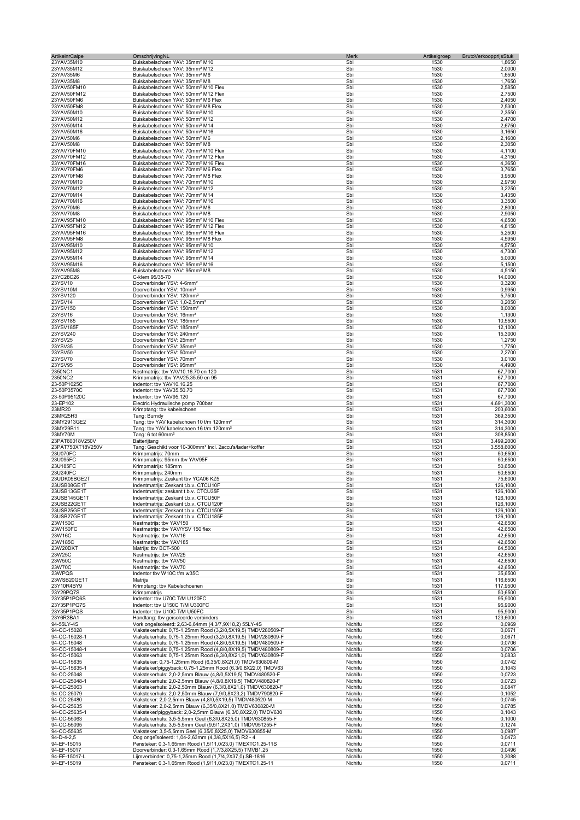| ArtikelnrCalpe               | OmschrijvingNL                                                                                                               | Merk               | Artikelgroep<br>BrutoVerkoopprijsStuk |                        |
|------------------------------|------------------------------------------------------------------------------------------------------------------------------|--------------------|---------------------------------------|------------------------|
| 23YAV35M10                   | Buiskabelschoen YAV: 35mm <sup>2</sup> M10                                                                                   | Sbi                | 1530                                  | 1,8650                 |
| 23YAV35M12<br>23YAV35M6      | Buiskabelschoen YAV: 35mm <sup>2</sup> M12<br>Buiskabelschoen YAV: 35mm <sup>2</sup> M6                                      | Sbi<br>Sbi         | 1530<br>1530                          | 2,0000<br>1,6500       |
| 23YAV35M8                    | Buiskabelschoen YAV: 35mm <sup>2</sup> M8                                                                                    | Sbi                | 1530                                  | 1,7650                 |
| 23YAV50FM10                  | Buiskabelschoen YAV: 50mm <sup>2</sup> M10 Flex                                                                              | Sbi                | 1530                                  | 2,5850                 |
| 23YAV50FM12                  | Buiskabelschoen YAV: 50mm <sup>2</sup> M12 Flex                                                                              | Sbi                | 1530                                  | 2,7500                 |
| 23YAV50FM6                   | Buiskabelschoen YAV: 50mm <sup>2</sup> M6 Flex                                                                               | Sbi                | 1530                                  | 2,4050                 |
| 23YAV50FM8                   | Buiskabelschoen YAV: 50mm <sup>2</sup> M8 Flex                                                                               | Sbi                | 1530                                  | 2,5300                 |
| 23YAV50M10                   | Buiskabelschoen YAV: 50mm <sup>2</sup> M10                                                                                   | Sbi                | 1530                                  | 2,3550                 |
| 23YAV50M12<br>23YAV50M14     | Buiskabelschoen YAV: 50mm <sup>2</sup> M12<br>Buiskabelschoen YAV: 50mm <sup>2</sup> M14                                     | Sbi<br>Sbi         | 1530<br>1530                          | 2,4700<br>2,6750       |
| 23YAV50M16                   | Buiskabelschoen YAV: 50mm <sup>2</sup> M16                                                                                   | Sbi                | 1530                                  | 3,1650                 |
| 23YAV50M6                    | Buiskabelschoen YAV: 50mm <sup>2</sup> M6                                                                                    | Sbi                | 1530                                  | 2,1600                 |
| 23YAV50M8                    | Buiskabelschoen YAV: 50mm <sup>2</sup> M8                                                                                    | Sbi                | 1530                                  | 2,3050                 |
| 23YAV70FM10                  | Buiskabelschoen YAV: 70mm <sup>2</sup> M10 Flex                                                                              | Sbi                | 1530                                  | 4,1100                 |
| 23YAV70FM12                  | Buiskabelschoen YAV: 70mm <sup>2</sup> M12 Flex                                                                              | Sbi                | 1530                                  | 4,3150                 |
| 23YAV70FM16                  | Buiskabelschoen YAV: 70mm <sup>2</sup> M16 Flex                                                                              | Sbi                | 1530                                  | 4,3650                 |
| 23YAV70FM6<br>23YAV70FM8     | Buiskabelschoen YAV: 70mm <sup>2</sup> M6 Flex<br>Buiskabelschoen YAV: 70mm <sup>2</sup> M8 Flex                             | Sbi<br>Sbi         | 1530<br>1530                          | 3,7650<br>3,9500       |
| 23YAV70M10                   | Buiskabelschoen YAV: 70mm <sup>2</sup> M10                                                                                   | Sbi                | 1530                                  | 2,9750                 |
| 23YAV70M12                   | Buiskabelschoen YAV: 70mm <sup>2</sup> M12                                                                                   | Sbi                | 1530                                  | 3,2250                 |
| 23YAV70M14                   | Buiskabelschoen YAV: 70mm <sup>2</sup> M14                                                                                   | Sbi                | 1530                                  | 3,4350                 |
| 23YAV70M16                   | Buiskabelschoen YAV: 70mm <sup>2</sup> M16                                                                                   | Sbi                | 1530                                  | 3,3500                 |
| 23YAV70M6                    | Buiskabelschoen YAV: 70mm <sup>2</sup> M6                                                                                    | Sbi                | 1530                                  | 2,8000                 |
| 23YAV70M8                    | Buiskabelschoen YAV: 70mm <sup>2</sup> M8                                                                                    | Sbi                | 1530                                  | 2,9050                 |
| 23YAV95FM10<br>23YAV95FM12   | Buiskabelschoen YAV: 95mm <sup>2</sup> M10 Flex<br>Buiskabelschoen YAV: 95mm <sup>2</sup> M12 Flex                           | Sbi<br>Sbi         | 1530<br>1530                          | 4,6500<br>4,8150       |
| 23YAV95FM16                  | Buiskabelschoen YAV: 95mm <sup>2</sup> M16 Flex                                                                              | Sbi                | 1530                                  | 5,2500                 |
| 23YAV95FM8                   | Buiskabelschoen YAV: 95mm <sup>2</sup> M8 Flex                                                                               | Sbi                | 1530                                  | 4,5950                 |
| 23YAV95M10                   | Buiskabelschoen YAV: 95mm <sup>2</sup> M10                                                                                   | Sbi                | 1530                                  | 4,5750                 |
| 23YAV95M12                   | Buiskabelschoen YAV: 95mm <sup>2</sup> M12                                                                                   | Sbi                | 1530                                  | 4,7300                 |
| 23YAV95M14                   | Buiskabelschoen YAV: 95mm <sup>2</sup> M14                                                                                   | Sbi                | 1530                                  | 5,0000                 |
| 23YAV95M16                   | Buiskabelschoen YAV: 95mm <sup>2</sup> M16                                                                                   | Sbi                | 1530                                  | 5,1500                 |
| 23YAV95M8                    | Buiskabelschoen YAV: 95mm <sup>2</sup> M8                                                                                    | Sbi                | 1530                                  | 4,5150                 |
| 23YC28C26<br>23YSV10         | C-klem 95/35-70<br>Doorverbinder YSV: 4-6mm <sup>2</sup>                                                                     | Sbi<br>Sbi         | 1530<br>1530                          | 14,0000<br>0,3200      |
| 23YSV10M                     | Doorverbinder YSV: 10mm <sup>2</sup>                                                                                         | Sbi                | 1530                                  | 0,9950                 |
| 23YSV120                     | Doorverbinder YSV: 120mm <sup>2</sup>                                                                                        | Sbi                | 1530                                  | 5,7500                 |
| 23YSV14                      | Doorverbinder YSV: 1,0-2,5mm <sup>2</sup>                                                                                    | Sbi                | 1530                                  | 0,2050                 |
| 23YSV150                     | Doorverbinder YSV: 150mm <sup>2</sup>                                                                                        | Sbi                | 1530                                  | 8,0000                 |
| 23YSV16                      | Doorverbinder YSV: 16mm <sup>2</sup>                                                                                         | Sbi                | 1530                                  | 1,1300                 |
| 23YSV185                     | Doorverbinder YSV: 185mm <sup>2</sup>                                                                                        | Sbi                | 1530                                  | 10,5500                |
| 23YSV185F<br>23YSV240        | Doorverbinder YSV: 185mm <sup>2</sup><br>Doorverbinder YSV: 240mm <sup>2</sup>                                               | Sbi<br>Sbi         | 1530<br>1530                          | 12,1000<br>15,3000     |
| 23YSV25                      | Doorverbinder YSV: 25mm <sup>2</sup>                                                                                         | Sbi                | 1530                                  | 1,2750                 |
| 23YSV35                      | Doorverbinder YSV: 35mm <sup>2</sup>                                                                                         | Sbi                | 1530                                  | 1,7750                 |
| 23YSV50                      | Doorverbinder YSV: 50mm <sup>2</sup>                                                                                         | Sbi                | 1530                                  | 2,2700                 |
| 23YSV70                      | Doorverbinder YSV: 70mm <sup>2</sup>                                                                                         | Sbi                | 1530                                  | 3,0100                 |
| 23YSV95                      | Doorverbinder YSV: 95mm <sup>2</sup>                                                                                         | Sbi                | 1530                                  | 4,4900                 |
| 2350NC1                      | Nestmatrijs: tbv YAV10.16.70 en 120                                                                                          | Sbi                | 1531                                  | 67,7000                |
| 2350NC2<br>23-50P1025C       | Krimpmatrijs: tbv YAV25.35.50 en 95<br>Indentor: tbv YAV10.16.25                                                             | Sbi<br>Sbi         | 1531<br>1531                          | 67,7000                |
| 23-50P3570C                  | Indentor: tbv YAV35.50.70                                                                                                    | Sbi                | 1531                                  | 67,7000<br>67,7000     |
| 23-50P95120C                 | Indentor: tbv YAV95.120                                                                                                      | Sbi                | 1531                                  | 67,7000                |
| 23-EP102                     | Electric Hydraulische pomp 700bar                                                                                            | Sbi                | 1531                                  | 4.691,3000             |
| 23MR20                       | Krimptang: tbv kabelschoen                                                                                                   | Sbi                | 1531                                  | 203,6000               |
| 23MR25H3                     | Tang: Burndy                                                                                                                 | Sbi                | 1531                                  | 369,3500               |
| 23MY2913GE2                  | Tang: tbv YAV kabelschoen 10 t/m 120mm <sup>2</sup>                                                                          | Sbi                | 1531                                  | 314,3000               |
| 23MY29B11                    | Tang: tbv YAV kabelschoen 16 t/m 120mm <sup>2</sup>                                                                          | Sbi                | 1531                                  | 314,3000               |
| 23MY70M<br>23PAT60018V250V   | Tang: 6 tot 60mm <sup>2</sup><br>Batterijtang                                                                                | Sbi<br>Sbi         | 1531<br>1531                          | 308,8500<br>3.499,2000 |
| 23PAT750XT18V250V            | Tang: Geschikt voor 10-300mm <sup>2</sup> Incl. 2accu's/lader+koffer                                                         | Sbi                | 1531                                  | 3.558,6000             |
| 23U070FC                     | Krimpmatrijs: 70mm                                                                                                           | Sbi                | 1531                                  | 50,6500                |
| 23U095FC                     | Krimpmatrijs: 95mm tbv YAV95F                                                                                                | Sbi                | 1531                                  | 50,6500                |
| 23U185FC                     | Krimpmatrijs: 185mm                                                                                                          | Sbi                | 1531                                  | 50,6500                |
| 23U240FC                     | Krimpmatrijs: 240mm                                                                                                          | Sbi                | 1531                                  | 50,6500                |
| 23UDK05BGE2T                 | Krimpmatrijs: Zeskant tbv YCA06 KZ5                                                                                          | Sbi                | 1531                                  | 75,6000                |
| 23USB08GE1T                  | Indentmatrijs: Zeskant t.b.v. CTCU10F                                                                                        | Sbi                | 1531                                  | 126,1000               |
| 23USB13GE1T<br>23USB145GE1T  | Indentmatrijs: zeskant t.b.v. CTCU35H<br>Indentmatrijs: Zeskant t.b.v. CTCU50F                                               | Sbi<br>Sbi         | 1531<br>1531                          | 126,1000<br>126,1000   |
| 23USB22GE1T                  | Indentmatrijs: Zeskant t.b.v. CTCU120F                                                                                       | Sbi                | 1531                                  | 126,1000               |
| 23USB25GE1T                  | Indentmatrijs: Zeskant t.b.v. CTCU150F                                                                                       | Sbi                | 1531                                  | 126,1000               |
| 23USB27GE1T                  | Indentmatrijs: Zeskant t.b.v. CTCU185F                                                                                       | Sbi                | 1531                                  | 126,1000               |
| 23W150C                      | Nestmatrijs: tbv YAV150                                                                                                      | Sbi                | 1531                                  | 42,6500                |
| 23W150FC                     | Nestmatrijs: tbv YAV/YSV 150 flex                                                                                            | Sbi                | 1531                                  | 42,6500                |
| 23W16C                       | Nestmatrijs: tbv YAV16                                                                                                       | Sbi                | 1531                                  | 42,6500                |
| 23W185C<br>23W20DKT          | Nestmatrijs: tbv YAV185<br>Matrijs: tbv BCT-500                                                                              | Sbi<br>Sbi         | 1531<br>1531                          | 42,6500<br>64,5000     |
| 23W25C                       | Nestmatrijs: tbv YAV25                                                                                                       | Sbi                | 1531                                  | 42,6500                |
| 23W50C                       | Nestmatriis: tbv YAV50                                                                                                       | Sbi                | 1531                                  | 42,6500                |
| 23W70C                       | Nestmatriis: tbv YAV70                                                                                                       | Sbi                | 1531                                  | 42,6500                |
| 23WPQS                       | Indentor tbv W10C t/m w35C                                                                                                   | Sbi                | 1531                                  | 35,6500                |
| 23WSB20GE1T                  | Matrijs                                                                                                                      | Sbi                | 1531                                  | 116,6500               |
| 23Y10R4BY9                   | Krimptang: tbv Kabelschoenen                                                                                                 | Sbi                | 1531                                  | 117,9500               |
| 23Y29PQ7S<br>23Y35P1PQ6S     | Krimpmatrijs<br>Indentor: tbv U70C T/M U120FC                                                                                | Sbi<br>Sbi         | 1531<br>1531                          | 50,6500<br>95,9000     |
| 23Y35P1PQ7S                  | Indentor: tbv U150C T/M U300FC                                                                                               | Sbi                | 1531                                  | 95,9000                |
| 23Y35P1PQS                   | Indentor: tbv U10C T/M U50FC                                                                                                 | Sbi                | 1531                                  | 95,9000                |
| 23Y6R3BA1                    | Handtang: tbv geïsoleerde verbinders                                                                                         | Sbi                | 1531                                  | 123,6000               |
| 94-55LY-4S                   | Vork ongeïsoleerd: 2,63-6,64mm (4,3/7,9X18,2) 55LY-4S                                                                        | Nichifu            | 1550                                  | 0,0969                 |
| 94-CC-15028                  | Vlakstekerhuls: 0,75-1,25mm Rood (3,2/0,5X19,5) TMDV280509-F                                                                 | Nichifu            | 1550                                  | 0,0671                 |
| 94-CC-15028-1                | Vlakstekerhuls: 0,75-1,25mm Rood (3,2/0,8X19,5) TMDV280809-F                                                                 | Nichifu            | 1550                                  | 0,0671                 |
| 94-CC-15048<br>94-CC-15048-1 | Vlakstekerhuls: 0,75-1,25mm Rood (4,8/0,5X19,5) TMDV480509-F<br>Vlakstekerhuls: 0,75-1,25mm Rood (4,8/0,8X19,5) TMDV480809-F | Nichifu<br>Nichifu | 1550<br>1550                          | 0,0706<br>0,0706       |
| 94-CC-15063                  | Vlakstekerhuls: 0,75-1,25mm Rood (6,3/0,8X21,0) TMDV630809-F                                                                 | Nichifu            | 1550                                  | 0,0833                 |
| 94-CC-15635                  | Vlaksteker: 0,75-1,25mm Rood (6,35/0,8X21,0) TMDV630809-M                                                                    | Nichifu            | 1550                                  | 0,0742                 |
| 94-CC-15635-1                | Vlaksteker/piggyback: 0,75-1,25mm Rood (6,3/0,8X22,0) TMDV63                                                                 | Nichifu            | 1550                                  | 0,1043                 |
| 94-CC-25048                  | Vlakstekerhuls: 2,0-2,5mm Blauw (4,8/0,5X19,5) TMDV480520-F                                                                  | Nichifu            | 1550                                  | 0,0723                 |
| 94-CC-25048-1                | Vlakstekerhuls: 2,0-2,5mm Blauw (4,8/0,8X19,5) TMDV480820-F                                                                  | Nichifu            | 1550                                  | 0,0723                 |
| 94-CC-25063                  | Vlakstekerhuls: 2,0-2,50mm Blauw (6,3/0,8X21,0) TMDV630820-F                                                                 | Nichifu            | 1550                                  | 0,0847                 |
| 94-CC-25079<br>94-CC-25480   | Vlakstekerhuls: 2,0-2,50mm Blauw (7,9/0,8X23,2) TMDV790820-F<br>Vlaksteker: 2,0-2,5mm Blauw (4,8/0,5X19,5) TMDV480520-M      | Nichifu<br>Nichifu | 1550<br>1550                          | 0,1052<br>0,0745       |
| 94-CC-25635                  | Vlaksteker: 2,0-2,5mm Blauw (6,35/0,8X21,0) TMDV630820-M                                                                     | Nichifu            | 1550                                  | 0,0785                 |
| 94-CC-25635-1                | Vlaksteker/piggyback: 2,0-2,5mm Blauw (6,3/0,8X22,0) TMDV630                                                                 | Nichifu            | 1550                                  | 0,1043                 |
| 94-CC-55063                  | Vlakstekerhuls: 3,5-5,5mm Geel (6,3/0,8X25,0) TMDV630855-F                                                                   | Nichifu            | 1550                                  | 0,1000                 |
| 94-CC-55095                  | Vlakstekerhuls: 3,5-5,5mm Geel (9,5/1,2X31,0) TMDV951255-F                                                                   | Nichifu            | 1550                                  | 0,1274                 |
| 94-CC-55635                  | Vlaksteker: 3,5-5,5mm Geel (6,35/0,8X25,0) TMDV630855-M                                                                      | Nichifu            | 1550                                  | 0,0987                 |
| 94-D-4-2,5                   | Oog ongeïsoleerd: 1,04-2,63mm (4,3/8,5X16,5) R2 - 4                                                                          | Nichifu            | 1550                                  | 0,0473                 |
| 94-EF-15015<br>94-EF-15017   | Pensteker: 0,3-1,65mm Rood (1,5/11,0/23,0) TMEXTC1.25-11S<br>Doorverbinder: 0,3-1,65mm Rood (1,7/3,8X25,5) TMVB1.25          | Nichifu<br>Nichifu | 1550<br>1550                          | 0,0711<br>0,0496       |
| 94-EF-15017-L                | Lijmverbinder: 0,75-1,25mm Rood (1,7/4,2X37,0) SB-1816                                                                       | Nichifu            | 1550                                  | 0,3088                 |
| 94-EF-15019                  | Pensteker: 0,3-1,65mm Rood (1,9/11,0/23,0) TMEXTC1.25-11                                                                     | Nichifu            | 1550                                  | 0,0711                 |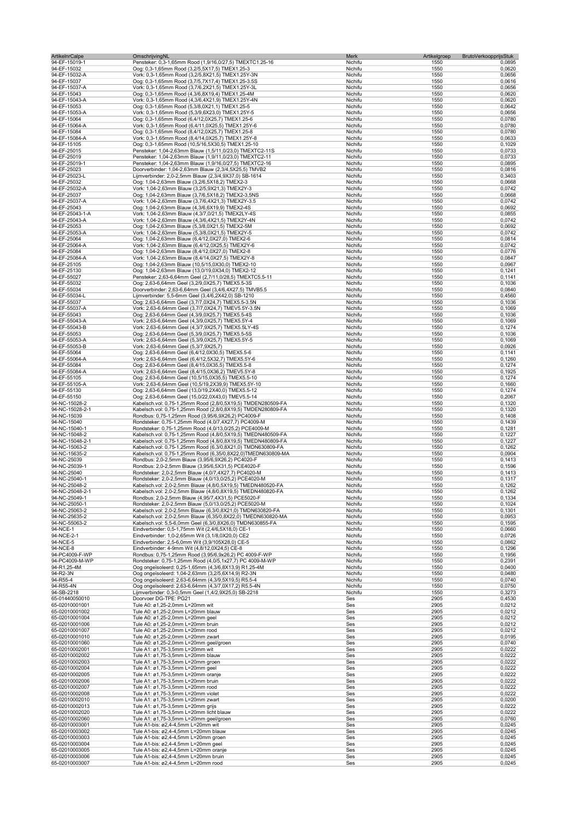| ArtikelnrCalpe                   | OmschrijvingNL                                                                                                              | Merk               | Artikelgroep<br>BrutoVerkoopprijsStuk |                  |
|----------------------------------|-----------------------------------------------------------------------------------------------------------------------------|--------------------|---------------------------------------|------------------|
| 94-EF-15019-1<br>94-EF-15032     | Pensteker: 0,3-1,65mm Rood (1,9/16,0/27,5) TMEXTC1.25-16<br>Oog: 0,3-1,65mm Rood (3,2/5,5X17,5) TMEX1.25-3                  | Nichifu<br>Nichifu | 1550<br>1550                          | 0,0895<br>0,0620 |
| 94-EF-15032-A                    | Vork: 0,3-1,65mm Rood (3,2/5,8X21,5) TMEX1.25Y-3N                                                                           | Nichifu            | 1550                                  | 0,0656           |
| 94-EF-15037                      | Oog: 0,3-1,65mm Rood (3,7/5,7X17,4) TMEX1.25-3.5S                                                                           | Nichifu            | 1550                                  | 0,0616           |
| 94-EF-15037-A<br>94-EF-15043     | Vork: 0,3-1,65mm Rood (3,7/6,2X21,5) TMEX1.25Y-3L<br>Oog: 0,3-1,65mm Rood (4,3/6,8X19,4) TMEX1.25-4M                        | Nichifu<br>Nichifu | 1550<br>1550                          | 0,0656<br>0,0620 |
| 94-EF-15043-A                    | Vork: 0,3-1,65mm Rood (4,3/6,4X21,9) TMEX1.25Y-4N                                                                           | Nichifu            | 1550                                  | 0,0620           |
| 94-EF-15053                      | Oog: 0,3-1,65mm Rood (5,3/8,0X21,1) TMEX1.25-5                                                                              | Nichifu            | 1550                                  | 0,0642           |
| 94-EF-15053-A<br>94-EF-15064     | Vork: 0,3-1,65mm Rood (5,3/9,6X23,0) TMEX1.25Y-5<br>Oog: 0,3-1,65mm Rood (6,4/12,0X25,7) TMEX1.25-6                         | Nichifu            | 1550                                  | 0,0656           |
| 94-EF-15064-A                    | Vork: 0,3-1,65mm Rood (6,4/11,0X25,5) TMEX1.25Y-6                                                                           | Nichifu<br>Nichifu | 1550<br>1550                          | 0,0780<br>0,0780 |
| 94-EF-15084                      | Oog: 0,3-1,65mm Rood (8,4/12,0X25,7) TMEX1.25-8                                                                             | Nichifu            | 1550                                  | 0,0780           |
| 94-EF-15084-A                    | Vork: 0,3-1,65mm Rood (8,4/14,0X25,7) TMEX1.25Y-8                                                                           | Nichifu            | 1550                                  | 0,0633           |
| 94-EF-15105<br>94-EF-25015       | Oog: 0,3-1,65mm Rood (10,5/16,5X30,5) TMEX1.25-10<br>Pensteker: 1,04-2,63mm Blauw (1,5/11,0/23,0) TMEXTC2-11S               | Nichifu<br>Nichifu | 1550<br>1550                          | 0,1029<br>0,0733 |
| 94-EF-25019                      | Pensteker: 1,04-2,63mm Blauw (1,9/11,0/23,0) TMEXTC2-11                                                                     | Nichifu            | 1550                                  | 0,0733           |
| 94-EF-25019-1                    | Pensteker: 1,04-2,63mm Blauw (1,9/16,0/27,5) TMEXTC2-16                                                                     | Nichifu            | 1550                                  | 0,0895           |
| 94-EF-25023<br>94-EF-25023-L     | Doorverbinder: 1,04-2,63mm Blauw (2,3/4,5X25,5) TMVB2<br>Lijmverbinder: 2,0-2,5mm Blauw (2,3/4,9X37,0) SB-1614              | Nichifu<br>Nichifu | 1550<br>1550                          | 0,0816<br>0,3403 |
| 94-EF-25032                      | Oog: 1,04-2,63mm Blauw (3,2/6,5X18,2) TMEX2-3                                                                               | Nichifu            | 1550                                  | 0,0668           |
| 94-EF-25032-A                    | Vork: 1,04-2,63mm Blauw (3,2/5,9X21,3) TMEX2Y-3                                                                             | Nichifu            | 1550                                  | 0,0742           |
| 94-EF-25037<br>94-EF-25037-A     | Oog: 1,04-2,63mm Blauw (3,7/6,5X18,2) TMEX2-3,5NS<br>Vork: 1,04-2,63mm Blauw (3,7/6,4X21,3) TMEX2Y-3.5                      | Nichifu            | 1550<br>1550                          | 0,0668<br>0,0742 |
| 94-EF-25043                      | Oog: 1,04-2,63mm Blauw (4,3/6,6X19,9) TMEX2-4S                                                                              | Nichifu<br>Nichifu | 1550                                  | 0,0692           |
| 94-EF-25043-1-A                  | Vork: 1,04-2,63mm Blauw (4,3/7,0/21,5) TMEX2LY-4S                                                                           | Nichifu            | 1550                                  | 0,0855           |
| 94-EF-25043-A                    | Vork: 1,04-2,63mm Blauw (4,3/6,4X21,5) TMEX2Y-4N                                                                            | Nichifu            | 1550                                  | 0,0742           |
| 94-EF-25053<br>94-EF-25053-A     | Oog: 1,04-2,63mm Blauw (5,3/8,0X21,5) TMEX2-5M<br>Vork: 1,04-2,63mm Blauw (5,3/8,0X21,5) TMEX2Y-5                           | Nichifu<br>Nichifu | 1550<br>1550                          | 0,0692<br>0,0742 |
| 94-EF-25064                      | Oog: 1,04-2,63mm Blauw (6,4/12,0X27,0) TMEX2-6                                                                              | Nichifu            | 1550                                  | 0,0814           |
| 94-EF-25064-A                    | Vork: 1,04-2,63mm Blauw (6,4/12,0X25,5) TMEX2Y-6                                                                            | Nichifu            | 1550                                  | 0,0742           |
| 94-EF-25084<br>94-EF-25084-A     | Oog: 1.04-2.63mm Blauw (8.4/12.0X27.0) TMEX2-8<br>Vork: 1,04-2,63mm Blauw (8,4/14,0X27,5) TMEX2Y-8                          | Nichifu<br>Nichifu | 1550<br>1550                          | 0,0776<br>0,0847 |
| 94-EF-25105                      | Oog: 1,04-2,63mm Blauw (10,5/15,0X30,0) TMEX2-10                                                                            | Nichifu            | 1550                                  | 0,0967           |
| 94-EF-25130                      | Oog: 1,04-2,63mm Blauw (13,0/19,0X34,0) TMEX2-12                                                                            | Nichifu            | 1550                                  | 0,1241           |
| 94-EF-55027                      | Pensteker: 2,63-6,64mm Geel (2,7/11,0/28,5) TMEXTC5.5-11                                                                    | Nichifu<br>Nichifu | 1550                                  | 0,1141           |
| 94-EF-55032<br>94-EF-55034       | Oog: 2,63-6,64mm Geel (3,2/9,0X25,7) TMEX5.5-3S<br>Doorverbinder: 2,63-6,64mm Geel (3,4/6,4X27,5) TMVB5.5                   | Nichifu            | 1550<br>1550                          | 0,1036<br>0,0840 |
| 94-EF-55034-L                    | Lijmverbinder: 5,5-6mm Geel (3,4/6,2X42,0) SB-1210                                                                          | Nichifu            | 1550                                  | 0,4560           |
| 94-EF-55037                      | Oog: 2,63-6,64mm Geel (3,7/7,0X24,7) TMEX5.5-3.5N                                                                           | Nichifu            | 1550                                  | 0,1036           |
| 94-EF-55037-A<br>94-EF-55043     | Vork: 2,63-6,64mm Geel (3,7/7,0X24,7) TMEV5.5Y-3.5N<br>Oog: 2,63-6,64mm Geel (4,3/9,0X25,7) TMEX5.5-4S                      | Nichifu<br>Nichifu | 1550<br>1550                          | 0,1069<br>0,1036 |
| 94-EF-55043-A                    | Vork: 2,63-6,64mm Geel (4,3/9,0X25,7) TMEX5.5Y-4                                                                            | Nichifu            | 1550                                  | 0,1069           |
| 94-EF-55043-B                    | Vork: 2,63-6,64mm Geel (4,3/7,9X25,7) TMEX5.5LY-4S                                                                          | Nichifu            | 1550                                  | 0,1274           |
| 94-EF-55053<br>94-EF-55053-A     | Oog: 2,63-6,64mm Geel (5,3/9,0X25,7) TMEX5.5-5S<br>Vork: 2,63-6,64mm Geel (5,3/9,0X25,7) TMEX5.5Y-5                         | Nichifu<br>Nichifu | 1550<br>1550                          | 0,1036<br>0,1069 |
| 94-EF-55053-B                    | Vork: 2,63-6,64mm Geel (5,3/7,9X25,7)                                                                                       | Nichifu            | 1550                                  | 0,0926           |
| 94-EF-55064                      | Oog: 2,63-6,64mm Geel (6,4/12,0X30,5) TMEX5.5-6                                                                             | Nichifu            | 1550                                  | 0,1141           |
| 94-EF-55064-A                    | Vork: 2,63-6,64mm Geel (6,4/12,5X32,7) TMEX5.5Y-6                                                                           | Nichifu            | 1550                                  | 0,1260           |
| 94-EF-55084<br>94-EF-55084-A     | Oog: 2,63-6,64mm Geel (8,4/15,0X35,5) TMEX5.5-8<br>Vork: 2,63-6,64mm Geel (8,4/15,0X36,2) TMEV5.5Y-8                        | Nichifu<br>Nichifu | 1550<br>1550                          | 0,1274<br>0,1925 |
| 94-EF-55105                      | Oog: 2,63-6,64mm Geel (10,5/15,0X35,5) TMEX5.5-10                                                                           | Nichifu            | 1550                                  | 0,1274           |
| 94-EF-55105-A                    | Vork: 2,63-6,64mm Geel (10,5/19,2X39,9) TMEX5.5Y-10                                                                         | Nichifu            | 1550                                  | 0,1660           |
| 94-EF-55130<br>94-EF-55150       | Oog: 2,63-6,64mm Geel (13,0/19,2X40,0) TMEX5.5-12<br>Oog: 2,63-6,64mm Geel (15,0/22,0X43,0) TMEV5.5-14                      | Nichifu<br>Nichifu | 1550<br>1550                          | 0,1274<br>0,2067 |
| 94-NC-15028-2                    | Kabelsch.vol: 0,75-1,25mm Rood (2,8/0,5X19,5) TMDEN280509-FA                                                                | Nichifu            | 1550                                  | 0,1320           |
| 94-NC-15028-2-1                  | Kabelsch.vol: 0,75-1,25mm Rood (2,8/0,8X19,5) TMDEN280809-FA                                                                | Nichifu            | 1550                                  | 0,1320           |
| 94-NC-15039<br>94-NC-15040       | Rondbus: 0,75-1,25mm Rood (3,95/6,9X26,2) PC4009-F<br>Rondsteker: 0,75-1,25mm Rood (4,0/7,4X27,7) PC4009-M                  | Nichifu<br>Nichifu | 1550<br>1550                          | 0,1408<br>0,1439 |
| 94-NC-15040-1                    | Rondsteker: 0,75-1,25mm Rood (4,0/13,0/25,2) PCE4009-M                                                                      | Nichifu            | 1550                                  | 0,1281           |
| 94-NC-15048-2                    | Kabelsch.vol: 0,75-1,25mm Rood (4,8/0,5X19,5) TMEDN480509-FA                                                                | Nichifu            | 1550                                  | 0,1227           |
| 94-NC-15048-2-1                  | Kabelsch.vol: 0,75-1,25mm Rood (4,8/0,8X19,5) TMEDN480809-FA                                                                | Nichifu            | 1550                                  | 0,1227           |
| 94-NC-15063-2<br>94-NC-15635-2   | Kabelsch.vol: 0,75-1,25mm Rood (6,3/0,8X21,0) TMDN630809-FA<br>Kabelsch.vol: 0,75-1,25mm Rood (6,35/0,8X22,0)TMEDN630809-MA | Nichifu<br>Nichifu | 1550<br>1550                          | 0,1262<br>0,0904 |
| 94-NC-25039                      | Rondbus: 2,0-2,5mm Blauw (3,95/6,9X26,2) PC4020-F                                                                           | Nichifu            | 1550                                  | 0,1413           |
| 94-NC-25039-1                    | Rondbus: 2,0-2,5mm Blauw (3,95/6,5X31,5) PCE4020-F                                                                          | Nichifu            | 1550                                  | 0,1596           |
| 94-NC-25040<br>94-NC-25040-1     | Rondsteker: 2,0-2,5mm Blauw (4,0/7,4X27,7) PC4020-M<br>Rondsteker: 2,0-2,5mm Blauw (4,0/13,0/25,2) PCE4020-M                | Nichifu<br>Nichifu | 1550<br>1550                          | 0,1413<br>0,1317 |
| 94-NC-25048-2                    | Kabelsch.vol: 2,0-2,5mm Blauw (4,8/0,5X19,5) TMEDN480520-FA                                                                 | Nichifu            | 1550                                  | 0,1262           |
| 94-NC-25048-2-1                  | Kabelsch.vol: 2,0-2,5mm Blauw (4,8/0,8X19,5) TMEDN480820-FA                                                                 | Nichitu            | 1550                                  | 0,1262           |
| 94-NC-25049-1<br>94-NC-25050-1   | Rondbus: 2,0-2,5mm Blauw (4,95/7,4X31,5) PCE5020-F<br>Rondsteker: 2,0-2,5mm Blauw (5,0/13,0/25,2) PCE5020-M                 | Nichifu<br>Nichifu | 1550<br>1550                          | 0,1334<br>0,1024 |
| 94-NC-25063-2                    | Kabelsch.vol: 2,0-2,5mm Blauw (6,3/0,8X21,0) TMDN630820-FA                                                                  | Nichifu            | 1550                                  | 0,1301           |
| 94-NC-25635-2                    | Kabelsch.vol: 2,0-2,5mm Blauw (6,35/0,8X22,0) TMEDN630820-MA                                                                | Nichifu            | 1550                                  | 0,0953           |
| 94-NC-55063-2<br>94-NCE-1        | Kabelsch.vol: 5,5-6,0mm Geel (6,3/0,8X26,0) TMDN630855-FA<br>Eindverbinder: 0,5-1,75mm Wit (2,4/6,5X18,0) CE-1              | Nichifu<br>Nichifu | 1550<br>1550                          | 0,1595<br>0,0660 |
| 94-NCE-2-1                       | Eindverbinder: 1,0-2,65mm Wit (3,1/8,0X20,0) CE2                                                                            | Nichifu            | 1550                                  | 0,0726           |
| 94-NCE-5                         | Eindverbinder: 2,5-6,0mm Wit (3,9/105X28,0) CE-5                                                                            | Nichifu            | 1550                                  | 0,0862           |
| 94-NCE-8<br>94-PC4009-F-WP       | Eindverbinder: 4-9mm Wit (4,8/12,0X24,5) CE-8<br>Rondbus: 0,75-1,25mm Rood (3,95/6,9x26,2) PC 4009-F-WP                     | Nichifu<br>Nichifu | 1550<br>1550                          | 0,1296<br>0,1956 |
| 94-PC4009-M-WP                   | Rondsteker: 0,75-1,25mm Rood (4,0/5,1x27,7) PC 4009-M-WP                                                                    | Nichifu            | 1550                                  | 0,2391           |
| 94-R1.25-4M                      | Oog ongeïsoleerd: 0,25-1,65mm (4,3/6,8X13,9) R1.25-4M                                                                       | Nichifu            | 1550                                  | 0,0400           |
| 94-R2-3N<br>94-R55-4             | Oog ongeïsoleerd: 1,04-2,63mm (3,2/5,6X14,9) R2-3N<br>Oog ongeïsoleerd: 2.63-6.64mm (4.3/9.5X19.5) R5.5-4                   | Nichifu<br>Nichifu | 1550<br>1550                          | 0,0480<br>0,0740 |
| 94-R55-4N                        | Oog ongeïsoleerd: 2,63-6,64mm (4,3/7,0X17,2) R5.5-4N                                                                        | Nichifu            | 1550                                  | 0,0750           |
| 94-SB-2218                       | Lijmverbinder: 0,3-0,5mm Geel (1,4/2,9X25,0) SB-2218                                                                        | Nichifu            | 1550                                  | 0,3273           |
| 65-01440050010                   | Doorvoer DG-TPE: PG21                                                                                                       | Ses                | 2905                                  | 0,4530           |
| 65-02010001001<br>65-02010001002 | Tule A0: ø1,25-2,0mm L=20mm wit<br>Tule A0: ø1,25-2,0mm L=20mm blauw                                                        | Ses<br>Ses         | 2905<br>2905                          | 0,0212<br>0,0212 |
| 65-02010001004                   | Tule A0: ø1,25-2,0mm L=20mm geel                                                                                            | Ses                | 2905                                  | 0,0212           |
| 65-02010001006                   | Tule A0: ø1,25-2,0mm L=20mm bruin                                                                                           | Ses                | 2905                                  | 0,0212           |
| 65-02010001007<br>65-02010001010 | Tule A0: ø1,25-2,0mm L=20mm rood<br>Tule A0: ø1,25-2,0mm L=20mm zwart                                                       | Ses<br>Ses         | 2905<br>2905                          | 0,0212<br>0,0195 |
| 65-02010001060                   | Tule A0: ø1,25-2,0mm L=20mm geel/groen                                                                                      | Ses                | 2905                                  | 0,0740           |
| 65-02010002001                   | Tule A1: ø1,75-3,5mm L=20mm wit                                                                                             | Ses                | 2905                                  | 0,0222           |
| 65-02010002002<br>65-02010002003 | Tule A1: ø1,75-3,5mm L=20mm blauw<br>Tule A1: ø1,75-3,5mm L=20mm groen                                                      | Ses<br>Ses         | 2905<br>2905                          | 0,0222<br>0,0222 |
| 65-02010002004                   | Tule A1: ø1,75-3,5mm L=20mm geel                                                                                            | Ses                | 2905                                  | 0,0222           |
| 65-02010002005                   | Tule A1: ø1,75-3,5mm L=20mm oranje                                                                                          | Ses                | 2905                                  | 0,0222           |
| 65-02010002006<br>65-02010002007 | Tule A1: ø1,75-3,5mm L=20mm bruin<br>Tule A1: ø1,75-3,5mm L=20mm rood                                                       | Ses<br>Ses         | 2905<br>2905                          | 0,0222<br>0,0222 |
| 65-02010002008                   | Tule A1: ø1,75-3,5mm L=20mm violet                                                                                          | Ses                | 2905                                  | 0,0222           |
| 65-02010002010                   | Tule A1: ø1,75-3,5mm L=20mm zwart                                                                                           | Ses                | 2905                                  | 0,0200           |
| 65-02010002013<br>65-02010002020 | Tule A1: ø1,75-3,5mm L=20mm grijs<br>Tule A1: ø1,75-3,5mm L=20mm licht blauw                                                | Ses<br>Ses         | 2905<br>2905                          | 0,0222<br>0,0222 |
| 65-02010002060                   | Tule A1: ø1,75-3,5mm L=20mm geel/groen                                                                                      | Ses                | 2905                                  | 0,0760           |
| 65-02010003001                   | Tule A1-bis: ø2,4-4,5mm L=20mm wit                                                                                          | Ses                | 2905                                  | 0,0245           |
| 65-02010003002<br>65-02010003003 | Tule A1-bis: ø2,4-4,5mm L=20mm blauw<br>Tule A1-bis: ø2,4-4,5mm L=20mm groen                                                | Ses<br>Ses         | 2905<br>2905                          | 0,0245<br>0,0245 |
| 65-02010003004                   | Tule A1-bis: ø2,4-4,5mm L=20mm geel                                                                                         | Ses                | 2905                                  | 0,0245           |
| 65-02010003005                   | Tule A1-bis: ø2,4-4,5mm L=20mm oranje                                                                                       | Ses                | 2905                                  | 0,0245           |
| 65-02010003006<br>65-02010003007 | Tule A1-bis: ø2,4-4,5mm L=20mm bruin<br>Tule A1-bis: ø2,4-4,5mm L=20mm rood                                                 | Ses<br>Ses         | 2905<br>2905                          | 0,0245<br>0,0245 |
|                                  |                                                                                                                             |                    |                                       |                  |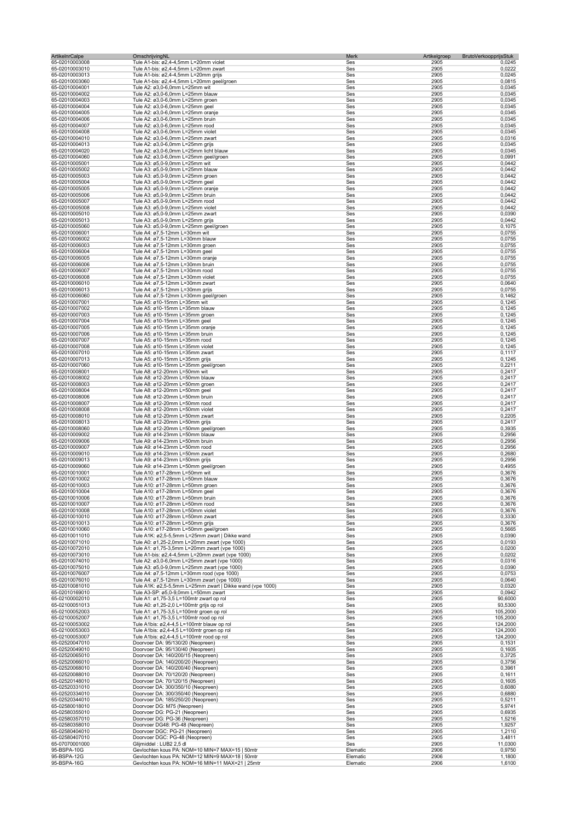| <b>ArtikelnrCalpe</b>            | OmschrijvingNL                                                                                  | Merk       | Artikelgroep<br><b>BrutoVerkoopprijsStuk</b> |                    |
|----------------------------------|-------------------------------------------------------------------------------------------------|------------|----------------------------------------------|--------------------|
| 65-02010003008<br>65-02010003010 | Tule A1-bis: ø2,4-4,5mm L=20mm violet<br>Tule A1-bis: ø2,4-4,5mm L=20mm zwart                   | Ses<br>Ses | 2905<br>2905                                 | 0,0245<br>0,0222   |
| 65-02010003013                   | Tule A1-bis: ø2,4-4,5mm L=20mm grijs                                                            | Ses        | 2905                                         | 0,0245             |
| 65-02010003060                   | Tule A1-bis: ø2,4-4,5mm L=20mm geel/groen                                                       | Ses        | 2905                                         | 0,0815             |
| 65-02010004001                   | Tule A2: ø3,0-6,0mm L=25mm wit                                                                  | Ses        | 2905                                         | 0,0345             |
| 65-02010004002                   | Tule A2: ø3,0-6,0mm L=25mm blauw                                                                | Ses<br>Ses | 2905                                         | 0,0345             |
| 65-02010004003<br>65-02010004004 | Tule A2: ø3,0-6,0mm L=25mm groen<br>Tule A2: ø3,0-6,0mm L=25mm geel                             | Ses        | 2905<br>2905                                 | 0,0345<br>0,0345   |
| 65-02010004005                   | Tule A2: ø3,0-6,0mm L=25mm oranje                                                               | Ses        | 2905                                         | 0,0345             |
| 65-02010004006                   | Tule A2: ø3,0-6,0mm L=25mm bruin                                                                | Ses        | 2905                                         | 0,0345             |
| 65-02010004007                   | Tule A2: ø3,0-6,0mm L=25mm rood                                                                 | Ses        | 2905                                         | 0,0345             |
| 65-02010004008                   | Tule A2: ø3,0-6,0mm L=25mm violet                                                               | Ses        | 2905                                         | 0,0345             |
| 65-02010004010<br>65-02010004013 | Tule A2: ø3,0-6,0mm L=25mm zwart<br>Tule A2: ø3,0-6,0mm L=25mm grijs                            | Ses<br>Ses | 2905<br>2905                                 | 0,0316<br>0,0345   |
| 65-02010004020                   | Tule A2: ø3,0-6,0mm L=25mm licht blauw                                                          | Ses        | 2905                                         | 0,0345             |
| 65-02010004060                   | Tule A2: ø3,0-6,0mm L=25mm geel/groen                                                           | Ses        | 2905                                         | 0,0991             |
| 65-02010005001                   | Tule A3: ø5,0-9,0mm L=25mm wit                                                                  | Ses        | 2905                                         | 0,0442             |
| 65-02010005002                   | Tule A3: ø5,0-9,0mm L=25mm blauw                                                                | Ses        | 2905                                         | 0,0442             |
| 65-02010005003                   | Tule A3: ø5,0-9,0mm L=25mm groen                                                                | Ses        | 2905                                         | 0,0442             |
| 65-02010005004<br>65-02010005005 | Tule A3: ø5,0-9,0mm L=25mm geel<br>Tule A3: ø5,0-9,0mm L=25mm oranje                            | Ses<br>Ses | 2905<br>2905                                 | 0,0442<br>0,0442   |
| 65-02010005006                   | Tule A3: ø5,0-9,0mm L=25mm bruin                                                                | Ses        | 2905                                         | 0,0442             |
| 65-02010005007                   | Tule A3: ø5,0-9,0mm L=25mm rood                                                                 | Ses        | 2905                                         | 0,0442             |
| 65-02010005008                   | Tule A3: ø5,0-9,0mm L=25mm violet                                                               | Ses        | 2905                                         | 0,0442             |
| 65-02010005010                   | Tule A3: ø5,0-9,0mm L=25mm zwart                                                                | Ses        | 2905                                         | 0,0390             |
| 65-02010005013                   | Tule A3: ø5,0-9,0mm L=25mm grijs                                                                | Ses        | 2905                                         | 0,0442             |
| 65-02010005060<br>65-02010006001 | Tule A3: ø5,0-9,0mm L=25mm geel/groen<br>Tule A4: ø7,5-12mm L=30mm wit                          | Ses<br>Ses | 2905<br>2905                                 | 0,1075<br>0,0755   |
| 65-02010006002                   | Tule A4: ø7,5-12mm L=30mm blauw                                                                 | Ses        | 2905                                         | 0,0755             |
| 65-02010006003                   | Tule A4: ø7,5-12mm L=30mm groen                                                                 | Ses        | 2905                                         | 0,0755             |
| 65-02010006004                   | Tule A4: ø7,5-12mm L=30mm geel                                                                  | Ses        | 2905                                         | 0,0755             |
| 65-02010006005                   | Tule A4: ø7,5-12mm L=30mm oranje                                                                | Ses        | 2905                                         | 0,0755             |
| 65-02010006006                   | Tule A4: ø7,5-12mm L=30mm bruin                                                                 | Ses        | 2905                                         | 0,0755             |
| 65-02010006007<br>65-02010006008 | Tule A4: ø7.5-12mm L=30mm rood<br>Tule A4: ø7,5-12mm L=30mm violet                              | Ses<br>Ses | 2905<br>2905                                 | 0,0755<br>0,0755   |
| 65-02010006010                   | Tule A4: ø7,5-12mm L=30mm zwart                                                                 | Ses        | 2905                                         | 0,0640             |
| 65-02010006013                   | Tule A4: ø7,5-12mm L=30mm grijs                                                                 | Ses        | 2905                                         | 0,0755             |
| 65-02010006060                   | Tule A4: ø7,5-12mm L=30mm geel/groen                                                            | Ses        | 2905                                         | 0,1462             |
| 65-02010007001                   | Tule A5: ø10-15mm L=35mm wit                                                                    | Ses        | 2905                                         | 0,1245             |
| 65-02010007002                   | Tule A5: ø10-15mm L=35mm blauw                                                                  | Ses        | 2905                                         | 0,1245             |
| 65-02010007003                   | Tule A5: ø10-15mm L=35mm groen                                                                  | Ses<br>Ses | 2905<br>2905                                 | 0,1245<br>0,1245   |
| 65-02010007004<br>65-02010007005 | Tule A5: ø10-15mm L=35mm geel<br>Tule A5: ø10-15mm L=35mm oranje                                | Ses        | 2905                                         | 0,1245             |
| 65-02010007006                   | Tule A5: ø10-15mm L=35mm bruin                                                                  | Ses        | 2905                                         | 0,1245             |
| 65-02010007007                   | Tule A5: ø10-15mm L=35mm rood                                                                   | Ses        | 2905                                         | 0,1245             |
| 65-02010007008                   | Tule A5: ø10-15mm L=35mm violet                                                                 | Ses        | 2905                                         | 0,1245             |
| 65-02010007010                   | Tule A5: ø10-15mm L=35mm zwart                                                                  | Ses        | 2905                                         | 0,1117             |
| 65-02010007013                   | Tule A5: ø10-15mm L=35mm grijs                                                                  | Ses        | 2905                                         | 0,1245             |
| 65-02010007060<br>65-02010008001 | Tule A5: ø10-15mm L=35mm geel/groen<br>Tule A8: ø12-20mm L=50mm wit                             | Ses<br>Ses | 2905<br>2905                                 | 0,2211<br>0,2417   |
| 65-02010008002                   | Tule A8: ø12-20mm L=50mm blauw                                                                  | Ses        | 2905                                         | 0,2417             |
| 65-02010008003                   | Tule A8: ø12-20mm L=50mm groen                                                                  | Ses        | 2905                                         | 0,2417             |
| 65-02010008004                   | Tule A8: ø12-20mm L=50mm geel                                                                   | Ses        | 2905                                         | 0,2417             |
| 65-02010008006                   | Tule A8: ø12-20mm L=50mm bruin                                                                  | Ses        | 2905                                         | 0,2417             |
| 65-02010008007                   | Tule A8: ø12-20mm L=50mm rood                                                                   | Ses        | 2905                                         | 0,2417             |
| 65-02010008008<br>65-02010008010 | Tule A8: ø12-20mm L=50mm violet<br>Tule A8: ø12-20mm L=50mm zwart                               | Ses<br>Ses | 2905<br>2905                                 | 0,2417<br>0,2205   |
| 65-02010008013                   | Tule A8: ø12-20mm L=50mm grijs                                                                  | Ses        | 2905                                         | 0,2417             |
| 65-02010008060                   | Tule A8: ø12-20mm L=50mm geel/groen                                                             | Ses        | 2905                                         | 0,3935             |
| 65-02010009002                   | Tule A9: ø14-23mm L=50mm blauw                                                                  | Ses        | 2905                                         | 0,2956             |
| 65-02010009006                   | Tule A9: ø14-23mm L=50mm bruin                                                                  | Ses        | 2905                                         | 0,2956             |
| 65-02010009007                   | Tule A9: ø14-23mm L=50mm rood                                                                   | Ses        | 2905                                         | 0,2956             |
| 65-02010009010<br>65-02010009013 | Tule A9: ø14-23mm L=50mm zwart<br>Tule A9: ø14-23mm L=50mm grijs                                | Ses<br>Ses | 2905<br>2905                                 | 0,2680<br>0,2956   |
| 65-02010009060                   | Tule A9: ø14-23mm L=50mm geel/groen                                                             | Ses        | 2905                                         | 0,4955             |
| 65-02010010001                   | Tule A10: ø17-28mm L=50mm wit                                                                   | Ses        | 2905                                         | 0,3676             |
| 65-02010010002                   | Tule A10: ø17-28mm L=50mm blauw                                                                 | Ses        | 2905                                         | 0,3676             |
| 65-02010010003                   | Tule A10: ø17-28mm L=50mm groen                                                                 | Ses        | 2905                                         | 0,3676             |
| 65-02010010004                   | Tule A10: ø17-28mm L=50mm geel                                                                  | ses        | 2905                                         | 0,3676             |
| 65-02010010006                   | Tule A10: ø17-28mm L=50mm bruin<br>Tule A10: ø17-28mm L=50mm rood                               | Ses<br>Ses | 2905                                         | 0,3676<br>0,3676   |
| 65-02010010007<br>65-02010010008 | Tule A10: ø17-28mm L=50mm violet                                                                | Ses        | 2905<br>2905                                 | 0,3676             |
| 65-02010010010                   | Tule A10: ø17-28mm L=50mm zwart                                                                 | Ses        | 2905                                         | 0,3330             |
| 65-02010010013                   | Tule A10: ø17-28mm L=50mm grijs                                                                 | Ses        | 2905                                         | 0,3676             |
| 65-02010010060                   | Tule A10: ø17-28mm L=50mm geel/groen                                                            | Ses        | 2905                                         | 0,5665             |
| 65-02010011010                   | Tule A1K: ø2,5-5,5mm L=25mm zwart   Dikke wand                                                  | Ses        | 2905                                         | 0,0390             |
| 65-02010071010                   | Tule A0: ø1,25-2,0mm L=20mm zwart (vpe 1000)                                                    | Ses        | 2905                                         | 0,0193             |
| 65-02010072010<br>65-02010073010 | Tule A1: ø1,75-3,5mm L=20mm zwart (vpe 1000)<br>Tule A1-bis: ø2,4-4,5mm L=20mm zwart (vpe 1000) | Ses<br>Ses | 2905<br>2905                                 | 0,0200<br>0,0202   |
| 65-02010074010                   | Tule A2: ø3,0-6,0mm L=25mm zwart (vpe 1000)                                                     | Ses        | 2905                                         | 0,0316             |
| 65-02010075010                   | Tule A3: ø5,0-9,0mm L=25mm zwart (vpe 1000)                                                     | Ses        | 2905                                         | 0,0390             |
| 65-02010076007                   | Tule A4: ø7,5-12mm L=30mm rood (vpe 1000)                                                       | Ses        | 2905                                         | 0,0753             |
| 65-02010076010                   | Tule A4: ø7,5-12mm L=30mm zwart (vpe 1000)                                                      | Ses        | 2905                                         | 0,0640             |
| 65-02010081010                   | Tule A1K: ø2,5-5,5mm L=25mm zwart   Dikke wand (vpe 1000)                                       | Ses        | 2905                                         | 0,0320             |
| 65-02010169010<br>65-02100002010 | Tule A3-SP: ø5,0-9,0mm L=50mm zwart<br>Tule A1: ø1,75-3,5 L=100mtr zwart op rol                 | Ses<br>Ses | 2905<br>2905                                 | 0,0942<br>90,6000  |
| 65-02100051013                   | Tule A0: ø1,25-2,0 L=100mtr grijs op rol                                                        | Ses        | 2905                                         | 93,5300            |
| 65-02100052003                   | Tule A1: ø1,75-3,5 L=100mtr groen op rol                                                        | Ses        | 2905                                         | 105,2000           |
| 65-02100052007                   | Tule A1: ø1,75-3,5 L=100mtr rood op rol                                                         | Ses        | 2905                                         | 105,2000           |
| 65-02100053002                   | Tule A1bis: ø2,4-4,5 L=100mtr blauw op rol                                                      | Ses        | 2905                                         | 124,2000           |
| 65-02100053003                   | Tule A1bis: ø2,4-4,5 L=100mtr groen op rol                                                      | Ses        | 2905                                         | 124,2000           |
| 65-02100053007<br>65-02520047010 | Tule A1bis: ø2,4-4,5 L=100mtr rood op rol<br>Doorvoer DA: 95/130/20 (Neopreen)                  | Ses<br>Ses | 2905<br>2905                                 | 124,2000<br>0,1531 |
| 65-02520049010                   | Doorvoer DA: 95/130/40 (Neopreen)                                                               | Ses        | 2905                                         | 0,1605             |
| 65-02520065010                   | Doorvoer DA: 140/200/15 (Neopreen)                                                              | Ses        | 2905                                         | 0,3725             |
| 65-02520066010                   | Doorvoer DA: 140/200/20 (Neopreen)                                                              | Ses        | 2905                                         | 0,3756             |
| 65-02520068010                   | Doorvoer DA: 140/200/40 (Neopreen)                                                              | Ses        | 2905                                         | 0,3961             |
| 65-02520088010                   | Doorvoer DA: 70/120/20 (Neopreen)                                                               | Ses        | 2905                                         | 0,1611             |
| 65-02520148010<br>65-02520331010 | Doorvoer DA: 70/120/15 (Neopreen)<br>Doorvoer DA: 300/350/10 (Neopreen)                         | Ses<br>Ses | 2905<br>2905                                 | 0,1605<br>0,6080   |
| 65-02520334010                   | Doorvoer DA: 300/350/40 (Neopreen)                                                              | Ses        | 2905                                         | 0,6880             |
| 65-02520344010                   | Doorvoer DA: 185/250/20 (Neopreen)                                                              | Ses        | 2905                                         | 0,5211             |
| 65-02580018010                   | Doorvoer DG: M75 (Neopreen)                                                                     | Ses        | 2905                                         | 5,9741             |
| 65-02580355010                   | Doorvoer DG: PG-21 (Neopreen)                                                                   | Ses        | 2905                                         | 0,6935             |
| 65-02580357010                   | Doorvoer DG: PG-36 (Neopreen)                                                                   | Ses        | 2905<br>2905                                 | 1,5216             |
| 65-02580358010<br>65-02580404010 | Doorvoer DG48: PG-48 (Neopreen)<br>Doorvoer DGC: PG-21 (Neopreen)                               | Ses<br>Ses | 2905                                         | 1,9257<br>1,2110   |
| 65-02580407010                   | Doorvoer DGC: PG-48 (Neopreen)                                                                  | Ses        | 2905                                         | 3,4811             |
| 65-07070001000                   | Glijmiddel: LUB2 2,5 dl                                                                         | Ses        | 2905                                         | 11,0300            |
| 95-BSPA-10G                      | Gevlochten kous PA: NOM=10 MIN=7 MAX=15   50mtr                                                 | Elematic   | 2906                                         | 0,9750             |
| 95-BSPA-12G                      | Gevlochten kous PA: NOM=12 MIN=9 MAX=18   50mtr                                                 | Elematic   | 2906                                         | 1,1800             |
| 95-BSPA-16G                      | Gevlochten kous PA: NOM=16 MIN=11 MAX=21   25mtr                                                | Elematic   | 2906                                         | 1,6100             |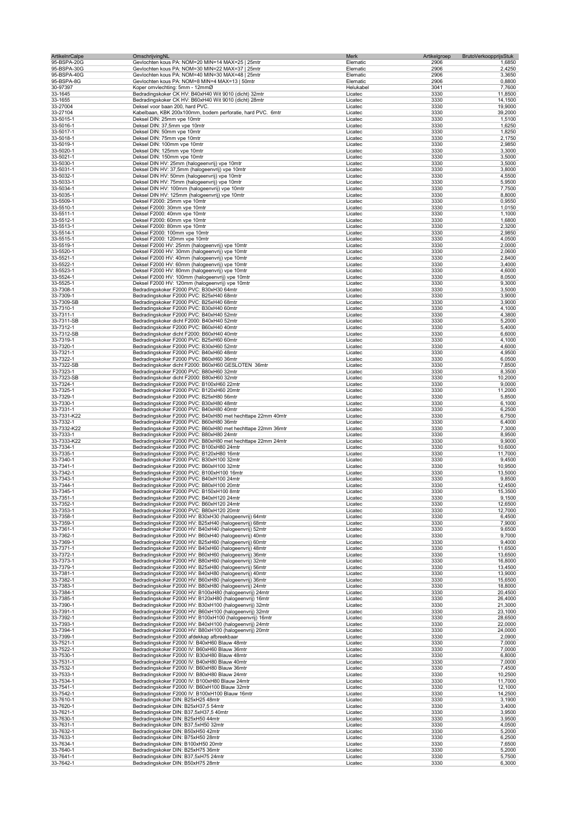| ArtikelnrCalpe             | OmschrijvingNL                                                                                                   | Merk                 | Artikelgroep<br>BrutoVerkoopprijsStuk |                    |
|----------------------------|------------------------------------------------------------------------------------------------------------------|----------------------|---------------------------------------|--------------------|
| 95-BSPA-20G<br>95-BSPA-30G | Gevlochten kous PA: NOM=20 MIN=14 MAX=25   25mtr<br>Gevlochten kous PA: NOM=30 MIN=22 MAX=37   25mtr             | Elematic<br>Elematic | 2906<br>2906                          | 1,6850<br>2,4250   |
| 95-BSPA-40G                | Gevlochten kous PA: NOM=40 MIN=30 MAX=48   25mtr                                                                 | Elematic             | 2906                                  | 3,3650             |
| 95-BSPA-8G                 | Gevlochten kous PA: NOM=8 MIN=4 MAX=13   50mtr                                                                   | Elematic             | 2906                                  | 0,8800             |
| 30-97397                   | Koper omvlechting: 5mm - 12mmØ                                                                                   | Helukabel            | 3041                                  | 7,7600             |
| 33-1645                    | Bedradingskoker CK HV: B40xH40 Wit 9010 (dicht) 32mtr                                                            | Licatec              | 3330                                  | 11,8500            |
| 33-1655                    | Bedradingskoker CK HV: B60xH40 Wit 9010 (dicht) 28mtr                                                            | Licatec              | 3330                                  | 14,1500            |
| 33-27004                   | Deksel voor baan 200, hard PVC.                                                                                  | Licatec              | 3330                                  | 19,9000            |
| 33-27104                   | Kabelbaan, KBK 200x100mm, bodem perforatie, hard PVC. 6mtr                                                       | Licatec              | 3330                                  | 39,2000            |
| 33-5015-1                  | Deksel DIN: 25mm vpe 10mtr                                                                                       | Licatec              | 3330                                  | 1,5100             |
| 33-5016-1                  | Deksel DIN: 37,5mm vpe 10mtr                                                                                     | Licatec              | 3330                                  | 1,6250             |
| 33-5017-1<br>33-5018-1     | Deksel DIN: 50mm vpe 10mtr<br>Deksel DIN: 75mm vpe 10mtr                                                         | Licatec<br>Licatec   | 3330<br>3330                          | 1,8250<br>2,1750   |
| 33-5019-1                  | Deksel DIN: 100mm vpe 10mtr                                                                                      | Licatec              | 3330                                  | 2,9850             |
| 33-5020-1                  | Deksel DIN: 125mm vpe 10mtr                                                                                      | Licatec              | 3330                                  | 3,3000             |
| 33-5021-1                  | Deksel DIN: 150mm vpe 10mtr                                                                                      | Licatec              | 3330                                  | 3,5000             |
| 33-5030-1                  | Deksel DIN HV: 25mm (halogeenvrij) vpe 10mtr                                                                     | Licatec              | 3330                                  | 3,5000             |
| 33-5031-1                  | Deksel DIN HV: 37,5mm (halogeenvrij) vpe 10mtr                                                                   | Licatec              | 3330                                  | 3,8000             |
| 33-5032-1                  | Deksel DIN HV: 50mm (halogeenvrij) vpe 10mtr                                                                     | Licatec              | 3330                                  | 4,5500             |
| 33-5033-1                  | Deksel DIN HV: 75mm (halogeenvrij) vpe 10mtr                                                                     | Licatec              | 3330                                  | 5,9500             |
| 33-5034-1                  | Deksel DIN HV: 100mm (halogeenvrij) vpe 10mtr                                                                    | Licatec              | 3330                                  | 7,7500             |
| 33-5035-1                  | Deksel DIN HV: 125mm (halogeenvrij) vpe 10mtr                                                                    | Licatec              | 3330                                  | 8,8000             |
| 33-5509-1                  | Deksel F2000: 25mm vpe 10mtr                                                                                     | Licatec              | 3330                                  | 0,9550             |
| 33-5510-1                  | Deksel F2000: 30mm vpe 10mtr                                                                                     | Licatec              | 3330<br>3330                          | 1,0150<br>1,1000   |
| 33-5511-1<br>33-5512-1     | Deksel F2000: 40mm vpe 10mtr<br>Deksel F2000: 60mm vpe 10mtr                                                     | Licatec<br>Licatec   | 3330                                  | 1,6800             |
| 33-5513-1                  | Deksel F2000: 80mm vpe 10mtr                                                                                     | Licatec              | 3330                                  | 2,3200             |
| 33-5514-1                  | Deksel F2000: 100mm vpe 10mtr                                                                                    | Licatec              | 3330                                  | 2,9850             |
| 33-5515-1                  | Deksel F2000: 120mm vpe 10mtr                                                                                    | Licatec              | 3330                                  | 4,0500             |
| 33-5519-1                  | Deksel F2000 HV: 25mm (halogeenvrij) vpe 10mtr                                                                   | Licatec              | 3330                                  | 2,0000             |
| 33-5520-1                  | Deksel F2000 HV: 30mm (halogeenvrij) vpe 10mtr                                                                   | Licatec              | 3330                                  | 2,0600             |
| 33-5521-1                  | Deksel F2000 HV: 40mm (halogeenvrij) vpe 10mtr                                                                   | Licatec              | 3330                                  | 2,8400             |
| 33-5522-1                  | Deksel F2000 HV: 60mm (halogeenvrij) vpe 10mtr                                                                   | Licatec              | 3330                                  | 3,4000             |
| 33-5523-1                  | Deksel F2000 HV: 80mm (halogeenvrij) vpe 10mtr                                                                   | Licatec              | 3330                                  | 4,6000             |
| 33-5524-1                  | Deksel F2000 HV: 100mm (halogeenvrij) vpe 10mtr                                                                  | Licatec              | 3330                                  | 8,0500             |
| 33-5525-1                  | Deksel F2000 HV: 120mm (halogeenvrij) vpe 10mtr                                                                  | Licatec              | 3330                                  | 9,3000             |
| 33-7308-1                  | Bedradingskoker F2000 PVC: B30xH30 64mtr                                                                         | Licatec              | 3330                                  | 3,5000             |
| 33-7309-1                  | Bedradingskoker F2000 PVC: B25xH40 68mtr                                                                         | Licatec              | 3330                                  | 3,9000             |
| 33-7309-SB                 | Bedradingskoker F2000 PVC: B25xH40 68mtr                                                                         | Licatec              | 3330                                  | 3,9000             |
| 33-7310-1                  | Bedradingskoker F2000 PVC: B30xH40 60mtr                                                                         | Licatec              | 3330                                  | 4,1000             |
| 33-7311-1                  | Bedradingskoker F2000 PVC: B40xH40 52mtr                                                                         | Licatec              | 3330                                  | 4,3800             |
| 33-7311-SB                 | Bedradingskoker dicht F2000: B40xH40 52mtr                                                                       | Licatec              | 3330                                  | 5,2000             |
| 33-7312-1                  | Bedradingskoker F2000 PVC: B60xH40 40mtr                                                                         | Licatec              | 3330                                  | 5,4000             |
| 33-7312-SB                 | Bedradingskoker dicht F2000: B60xH40 40mtr                                                                       | Licatec              | 3330                                  | 6,6000             |
| 33-7319-1                  | Bedradingskoker F2000 PVC: B25xH60 60mtr                                                                         | Licatec              | 3330                                  | 4,1000             |
| 33-7320-1                  | Bedradingskoker F2000 PVC: B30xH60 52mtr                                                                         | Licatec              | 3330<br>3330                          | 4,6000             |
| 33-7321-1<br>33-7322-1     | Bedradingskoker F2000 PVC: B40xH60 48mtr<br>Bedradingskoker F2000 PVC: B60xH60 36mtr                             | Licatec<br>Licatec   | 3330                                  | 4,9500<br>6,0500   |
| 33-7322-SB                 | Bedradingskoker dicht F2000: B60xH60 GESLOTEN 36mtr                                                              | Licatec              | 3330                                  | 7,8500             |
| 33-7323-1                  | Bedradingskoker F2000 PVC: B80xH60 32mtr                                                                         | Licatec              | 3330                                  | 8,3500             |
| 33-7323-SB                 | Bedradingskoker dicht F2000: B80xH60 32mtr                                                                       | Licatec              | 3330                                  | 10,2000            |
| 33-7324-1                  | Bedradingskoker F2000 PVC: B100xH60 22mtr                                                                        | Licatec              | 3330                                  | 9,0000             |
| 33-7325-1                  | Bedradingskoker F2000 PVC: B120xH60 20mtr                                                                        | Licatec              | 3330                                  | 11,2000            |
| 33-7329-1                  | Bedradingskoker F2000 PVC: B25xH80 56mtr                                                                         | Licatec              | 3330                                  | 5,8500             |
| 33-7330-1                  | Bedradingskoker F2000 PVC: B30xH80 48mtr                                                                         | Licatec              | 3330                                  | 6,1000             |
| 33-7331-1                  | Bedradingskoker F2000 PVC: B40xH80 40mtr                                                                         | Licatec              | 3330                                  | 6,2500             |
| 33-7331-K22                | Bedradingskoker F2000 PVC: B40xH80 met hechttape 22mm 40mtr                                                      | Licatec              | 3330                                  | 6,7500             |
| 33-7332-1                  | Bedradingskoker F2000 PVC: B60xH80 36mtr                                                                         | Licatec              | 3330                                  | 6,4000             |
| 33-7332-K22                | Bedradingskoker F2000 PVC: B60xH80 met hechttape 22mm 36mtr                                                      | Licatec              | 3330                                  | 7,3000             |
| 33-7333-1                  | Bedradingskoker F2000 PVC: B80xH80 24mtr                                                                         | Licatec              | 3330                                  | 8,9500             |
| 33-7333-K22                | Bedradingskoker F2000 PVC: B80xH80 met hechttape 22mm 24mtr                                                      | Licatec              | 3330                                  | 9,9000             |
| 33-7334-1                  | Bedradingskoker F2000 PVC: B100xH80 24mtr                                                                        | Licatec              | 3330                                  | 10,6000            |
| 33-7335-1                  | Bedradingskoker F2000 PVC: B120xH80 16mtr                                                                        | Licatec              | 3330                                  | 11,7000            |
| 33-7340-1<br>33-7341-1     | Bedradingskoker F2000 PVC: B30xH100 32mtr<br>Bedradingskoker F2000 PVC: B60xH100 32mtr                           | Licatec<br>Licatec   | 3330<br>3330                          | 9,4500<br>10,9500  |
| 33-7342-1                  | Bedradingskoker F2000 PVC: B100xH100 16mtr                                                                       | Licatec              | 3330                                  | 13,5000            |
| 33-7343-1                  | Bedradingskoker F2000 PVC: B40xH100 24mtr                                                                        | Licatec              | 3330                                  | 9,8500             |
| 33-7344-1                  | Bedradingskoker F2000 PVC: B80xH100 20mtr                                                                        | Licatec              | 3330                                  | 12,4500            |
| 33-7345-1                  | Bedradingskoker F2000 PVC: B150xH100 8mtr                                                                        | Licatec              | 3330                                  | 15,3500            |
| 33-7351-1                  | Bedradingskoker F2000 PVC: B40xH120 24mtr                                                                        | Licatec              | 3330                                  | 9,1500             |
| 33-7352-1                  | Bedradingskoker F2000 PVC: B60xH120 24mtr                                                                        | Licatec              | 3330                                  | 12,6500            |
| 33-7353-1                  | Bedradingskoker F2000 PVC: B80xH120 20mtr                                                                        | Licatec              | 3330                                  | 12,7000            |
| 33-7358-1                  | Bedradingskoker F2000 HV: B30xH30 (halogeenvrij) 64mtr                                                           | Licatec              | 3330                                  | 6,4500             |
| 33-7359-1                  | Bedradingskoker F2000 HV: B25xH40 (halogeenvrij) 68mtr                                                           | Licatec              | 3330                                  | 7,9000             |
| 33-7361-1                  | Bedradingskoker F2000 HV: B40xH40 (halogeenvrij) 52mtr                                                           | Licatec              | 3330                                  | 9,6500             |
| 33-7362-1                  | Bedradingskoker F2000 HV: B60xH40 (halogeenvrij) 40mtr                                                           | Licatec              | 3330                                  | 9,7000             |
| 33-7369-1                  | Bedradingskoker F2000 HV: B25xH60 (halogeenvrij) 60mtr                                                           | Licatec              | 3330                                  | 9,4000             |
| 33-7371-1                  | Bedradingskoker F2000 HV: B40xH60 (halogeenvrij) 48mtr                                                           | Licatec              | 3330                                  | 11,6500            |
| 33-7372-1                  | Bedradingskoker F2000 HV: B60xH60 (halogeenvrij) 36mtr                                                           | Licatec              | 3330                                  | 13,6500            |
| 33-7373-1                  | Bedradingskoker F2000 HV: B80xH60 (halogeenvrij) 32mtr                                                           | Licatec              | 3330<br>3330                          | 16,8000<br>13,4500 |
| 33-7379-1<br>33-7381-1     | Bedradingskoker F2000 HV: B25xH80 (halogeenvrij) 56mtr<br>Bedradingskoker F2000 HV: B40xH80 (halogeenvrij) 40mtr | Licatec<br>Licatec   | 3330                                  | 13,9000            |
| 33-7382-1                  | Bedradingskoker F2000 HV: B60xH80 (halogeenvrij) 36mtr                                                           | Licatec              | 3330                                  | 15,6500            |
| 33-7383-1                  | Bedradingskoker F2000 HV: B80xH80 (halogeenvrij) 24mtr                                                           | Licatec              | 3330                                  | 18,8000            |
| 33-7384-1                  | Bedradingskoker F2000 HV: B100xH80 (halogeenvrij) 24mtr                                                          | Licatec              | 3330                                  | 20,4500            |
| 33-7385-1                  | Bedradingskoker F2000 HV: B120xH80 (halogeenvrij) 16mtr                                                          | Licatec              | 3330                                  | 26,4000            |
| 33-7390-1                  | Bedradingskoker F2000 HV: B30xH100 (halogeenvrij) 32mtr                                                          | Licatec              | 3330                                  | 21,3000            |
| 33-7391-1                  | Bedradingskoker F2000 HV: B60xH100 (halogeenvrij) 32mtr                                                          | Licatec              | 3330                                  | 23,1000            |
| 33-7392-1                  | Bedradingskoker F2000 HV: B100xH100 (halogeenvrij) 16mtr                                                         | Licatec              | 3330                                  | 28,6500            |
| 33-7393-1                  | Bedradingskoker F2000 HV: B40xH100 (halogeenvrij) 24mtr                                                          | Licatec              | 3330                                  | 22,0000            |
| 33-7394-1                  | Bedradingskoker F2000 HV: B80xH100 (halogeenvrij) 20mtr                                                          | Licatec              | 3330                                  | 24,0000            |
| 33-7399-1                  | Bedradingskoker F2000 afdekkap afbreekbaar                                                                       | Licatec              | 3330                                  | 2,0900             |
| 33-7521-1                  | Bedradingskoker F2000 IV: B40xH60 Blauw 48mtr                                                                    | Licatec              | 3330                                  | 7,0000             |
| 33-7522-1                  | Bedradingskoker F2000 IV: B60xH60 Blauw 36mtr                                                                    | Licatec              | 3330                                  | 7,0000             |
| 33-7530-1                  | Bedradingskoker F2000 IV: B30xH80 Blauw 48mtr                                                                    | Licatec              | 3330                                  | 6,8000             |
| 33-7531-1                  | Bedradingskoker F2000 IV: B40xH80 Blauw 40mtr<br>Bedradingskoker F2000 IV: B60xH80 Blauw 36mtr                   | Licatec              | 3330<br>3330                          | 7,0000<br>7,4500   |
| 33-7532-1<br>33-7533-1     | Bedradingskoker F2000 IV: B80xH80 Blauw 24mtr                                                                    | Licatec<br>Licatec   | 3330                                  | 10,2500            |
| 33-7534-1                  | Bedradingskoker F2000 IV: B100xH80 Blauw 24mtr                                                                   | Licatec              | 3330                                  | 11,7000            |
| 33-7541-1                  | Bedradingskoker F2000 IV: B60xH100 Blauw 32mtr                                                                   | Licatec              | 3330                                  | 12,1000            |
| 33-7542-1                  | Bedradingskoker F2000 IV: B100xH100 Blauw 16mtr                                                                  | Licatec              | 3330                                  | 14,2500            |
| 33-7610-1                  | Bedradingskoker DIN: B25xH25 48mtr                                                                               | Licatec              | 3330                                  | 3,1900             |
| 33-7620-1                  | Bedradingskoker DIN: B25xH37,5 54mtr                                                                             | Licatec              | 3330                                  | 3,4000             |
| 33-7621-1                  | Bedradingskoker DIN: B37,5xH37,5 40mtr                                                                           | Licatec              | 3330                                  | 3,9500             |
| 33-7630-1                  | Bedradingskoker DIN: B25xH50 44mtr                                                                               | Licatec              | 3330                                  | 3,9500             |
| 33-7631-1                  | Bedradingskoker DIN: B37,5xH50 32mtr                                                                             | Licatec              | 3330                                  | 4,0500             |
| 33-7632-1                  | Bedradingskoker DIN: B50xH50 42mtr                                                                               | Licatec              | 3330                                  | 5,2000             |
| 33-7633-1                  | Bedradingskoker DIN: B75xH50 28mtr                                                                               | Licatec              | 3330                                  | 6,2500             |
| 33-7634-1                  | Bedradingskoker DIN: B100xH50 20mtr                                                                              | Licatec              | 3330                                  | 7,6500             |
| 33-7640-1                  | Bedradingskoker DIN: B25xH75 36mtr                                                                               | Licatec              | 3330                                  | 5,2000             |
| 33-7641-1                  | Bedradingskoker DIN: B37,5xH75 24mtr                                                                             | Licatec              | 3330                                  | 5,7500             |
| 33-7642-1                  | Bedradingskoker DIN: B50xH75 28mtr                                                                               | Licatec              | 3330                                  | 6,3000             |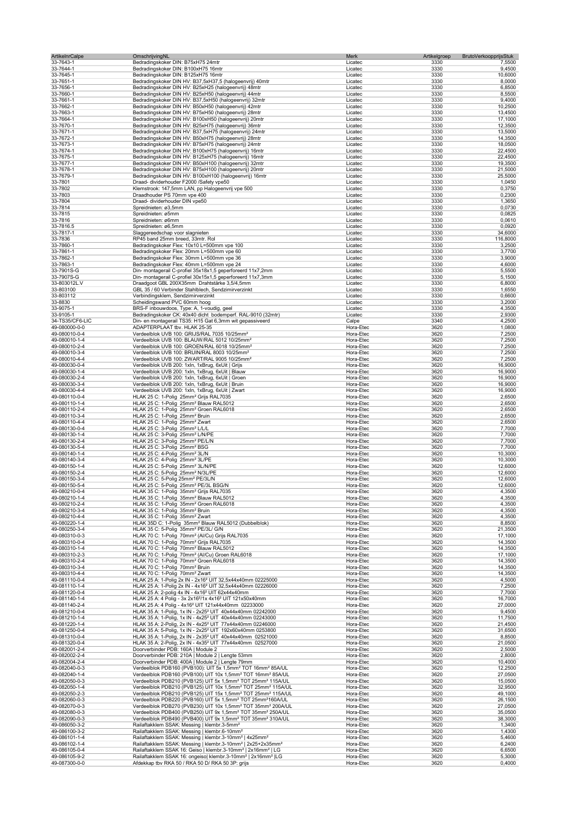| <b>ArtikelnrCalpe</b>          | OmschrijvingNL                                                                                                                        | Merk                   | Artikelgroep<br>BrutoVerkoopprijsStuk |                    |
|--------------------------------|---------------------------------------------------------------------------------------------------------------------------------------|------------------------|---------------------------------------|--------------------|
| 33-7643-1                      | Bedradingskoker DIN: B75xH75 24mtr                                                                                                    | Licatec                | 3330                                  | 7,5500             |
| 33-7644-1                      | Bedradingskoker DIN: B100xH75 16mtr                                                                                                   | Licatec                | 3330                                  | 9,4500             |
| 33-7645-1<br>33-7651-1         | Bedradingskoker DIN: B125xH75 16mtr<br>Bedradingskoker DIN HV: B37,5xH37,5 (halogeenvrij) 40mtr                                       | Licatec<br>Licatec     | 3330<br>3330                          | 10,6000<br>8,0000  |
| 33-7656-1                      | Bedradingskoker DIN HV: B25xH25 (halogeenvrij) 48mtr                                                                                  | Licatec                | 3330                                  | 6,8500             |
| 33-7660-1                      | Bedradingskoker DIN HV: B25xH50 (halogeenvrij) 44mtr                                                                                  | Licatec                | 3330                                  | 8,5500             |
| 33-7661-1                      | Bedradingskoker DIN HV: B37,5xH50 (halogeenvrij) 32mtr                                                                                | Licatec                | 3330                                  | 9,4000             |
| 33-7662-1                      | Bedradingskoker DIN HV: B50xH50 (halogeenvrij) 42mtr                                                                                  | Licatec                | 3330                                  | 10,2500            |
| 33-7663-1                      | Bedradingskoker DIN HV: B75xH50 (halogeenvrij) 28mtr                                                                                  | Licatec                | 3330                                  | 13,4500            |
| 33-7664-1                      | Bedradingskoker DIN HV: B100xH50 (halogeenvrij) 20mtr                                                                                 | Licatec                | 3330                                  | 17,1000            |
| 33-7670-1                      | Bedradingskoker DIN HV: B25xH75 (halogeenvrij) 36mtr                                                                                  | Licatec                | 3330                                  | 12,3500            |
| 33-7671-1<br>33-7672-1         | Bedradingskoker DIN HV: B37,5xH75 (halogeenvrij) 24mtr<br>Bedradingskoker DIN HV: B50xH75 (halogeenvrij) 28mtr                        | Licatec<br>Licatec     | 3330<br>3330                          | 13,5000<br>14,3500 |
| 33-7673-1                      | Bedradingskoker DIN HV: B75xH75 (halogeenvrij) 24mtr                                                                                  | Licatec                | 3330                                  | 18,0500            |
| 33-7674-1                      | Bedradingskoker DIN HV: B100xH75 (halogeenvrij) 16mtr                                                                                 | Licatec                | 3330                                  | 22,4500            |
| 33-7675-1                      | Bedradingskoker DIN HV: B125xH75 (halogeenvrij) 16mtr                                                                                 | Licatec                | 3330                                  | 22,4500            |
| 33-7677-1                      | Bedradingskoker DIN HV: B50xH100 (halogeenvrij) 32mtr                                                                                 | Licatec                | 3330                                  | 19,3500            |
| 33-7678-1                      | Bedradingskoker DIN HV: B75xH100 (halogeenvrij) 20mtr                                                                                 | Licatec                | 3330                                  | 21,5000            |
| 33-7679-1                      | Bedradingskoker DIN HV: B100xH100 (halogeenvrij) 16mtr                                                                                | Licatec                | 3330                                  | 25,5000            |
| 33-7801                        | Draad- dividerhouder F2000 /Safety vpe50                                                                                              | Licatec                | 3330                                  | 1,0450             |
| 33-7802                        | Klemstrook: 147,5mm LAN, pp Halogeenvrij vpe 500                                                                                      | Licatec                | 3330                                  | 0,3750             |
| 33-7803                        | Draadhouder PS 70mm vpe 400                                                                                                           | Licatec                | 3330<br>3330                          | 0,2300             |
| 33-7804<br>33-7814             | Draad- dividerhouder DIN vpe50<br>Spreidnieten: ø3,5mm                                                                                | Licatec<br>Licatec     | 3330                                  | 1,3650<br>0,0730   |
| 33-7815                        | Spreidnieten: ø5mm                                                                                                                    | Licatec                | 3330                                  | 0,0825             |
| 33-7816                        | Spreidnieten: ø6mm                                                                                                                    | Licatec                | 3330                                  | 0,0610             |
| 33-7816.5                      | Spreidnieten: ø6,5mm                                                                                                                  | Licatec                | 3330                                  | 0,0920             |
| 33-7817-1                      | Slaggereedschap voor slagnieten                                                                                                       | Licatec                | 3330                                  | 34,6000            |
| 33-7836                        | RP45 band 25mm breed, 33mtr. Rol                                                                                                      | Licatec                | 3330                                  | 116,8000           |
| 33-7860-1                      | Bedradingskoker Flex: 10x10 L=500mm vpe 100                                                                                           | Licatec                | 3330                                  | 3,2500             |
| 33-7861-1                      | Bedradingskoker Flex: 20mm L=500mm vpe 60                                                                                             | Licatec                | 3330                                  | 3,7700             |
| 33-7862-1                      | Bedradingskoker Flex: 30mm L=500mm vpe 36                                                                                             | Licatec                | 3330                                  | 3,9000             |
| 33-7863-1                      | Bedradingskoker Flex: 40mm L=500mm vpe 24                                                                                             | Licatec                | 3330                                  | 4,6000             |
| 33-7901S-G                     | Din- montagerail C-profiel 35x18x1,5 geperforeerd 11x7,2mm                                                                            | Licatec                | 3330                                  | 5,5500             |
| 33-7907S-G                     | Din- montagerail C-profiel 30x15x1,5 geperforeerd 11x7,3mm                                                                            | Licatec                | 3330<br>3330                          | 5,1500             |
| 33-803012L.V<br>33-803100      | Draadgoot GBL 200X35mm Drahtstärke 3,5/4,5mm<br>GBL 35 / 60 Verbinder Stahlblech, Sendzimirverzinkt                                   | Licatec<br>Licatec     | 3330                                  | 6,8000<br>1,6550   |
| 33-803112                      | Verbindingsklem, Sendzimirverzinkt                                                                                                    | Licatec                | 3330                                  | 0,6600             |
| 33-8830                        | Scheidingswand PVC 60mm hoog                                                                                                          | Licatec                | 3330                                  | 3,2000             |
| 33-9075-1                      | BRS-F inbouwdoos, Type: A, 1-voudig, geel                                                                                             | Licatec                | 3330                                  | 4,3500             |
| 33-9105-1                      | Bedradingskoker CK: 40x40 dicht bodemperf. RAL-9010 (32mtr)                                                                           | Licatec                | 3330                                  | 2,9300             |
| 34-TS35/CF6-LIC                | Din- en montagerail TS35: H15 Gat 6,3mm wit gepassiveerd                                                                              | Calpe                  | 3340                                  | 4,2500             |
| 49-080000-0-0                  | ADAPTERPLAAT tbv. HLAK 25-35                                                                                                          | Hora-Etec              | 3620                                  | 1,0800             |
| 49-080010-0-4                  | Verdeelblok UVB 100: GRIJS/RAL 7035 10/25mm <sup>2</sup>                                                                              | Hora-Etec              | 3620                                  | 7,2500             |
| 49-080010-1-4                  | Verdeelblok UVB 100: BLAUW/RAL 5012 10/25mm <sup>2</sup>                                                                              | Hora-Etec              | 3620                                  | 7,2500             |
| 49-080010-2-4                  | Verdeelblok UVB 100: GROEN/RAL 6018 10/25mm <sup>2</sup>                                                                              | Hora-Etec              | 3620                                  | 7,2500             |
| 49-080010-3-4                  | Verdeelblok UVB 100: BRUIN/RAL 8003 10/25mm <sup>2</sup>                                                                              | Hora-Etec              | 3620                                  | 7,2500             |
| 49-080010-4-4                  | Verdeelblok UVB 100: ZWART/RAL 9005 10/25mm <sup>2</sup>                                                                              | Hora-Etec              | 3620                                  | 7,2500             |
| 49-080030-0-4                  | Verdeelblok UVB 200: 1xln, 1xBrug, 6xUit   Grijs                                                                                      | Hora-Etec              | 3620<br>3620                          | 16,9000            |
| 49-080030-1-4<br>49-080030-2-4 | Verdeelblok UVB 200: 1xln, 1xBrug, 6xUit   Blauw<br>Verdeelblok UVB 200: 1xln, 1xBrug, 6xUit   Groen                                  | Hora-Etec<br>Hora-Etec | 3620                                  | 16,9000<br>16,9000 |
| 49-080030-3-4                  | Verdeelblok UVB 200: 1xln, 1xBrug, 6xUit   Bruin                                                                                      | Hora-Etec              | 3620                                  | 16,9000            |
| 49-080030-4-4                  | Verdeelblok UVB 200: 1xln, 1xBrug, 6xUit   Zwart                                                                                      | Hora-Etec              | 3620                                  | 16,9000            |
| 49-080110-0-4                  | HLAK 25 C: 1-Polig 25mm <sup>2</sup> Grijs RAL7035                                                                                    | Hora-Etec              | 3620                                  | 2,6500             |
| 49-080110-1-4                  | HLAK 25 C: 1-Polig 25mm <sup>2</sup> Blauw RAL5012                                                                                    | Hora-Etec              | 3620                                  | 2,6500             |
| 49-080110-2-4                  | HLAK 25 C: 1-Polig 25mm <sup>2</sup> Groen RAL6018                                                                                    | Hora-Etec              | 3620                                  | 2,6500             |
| 49-080110-3-4                  | HLAK 25 C: 1-Polig 25mm <sup>2</sup> Bruin                                                                                            | Hora-Etec              | 3620                                  | 2,6500             |
| 49-080110-4-4                  | HLAK 25 C: 1-Polig 25mm <sup>2</sup> Zwart                                                                                            | Hora-Etec              | 3620                                  | 2,6500             |
| 49-080130-0-4                  | HLAK 25 C: 3-Polig 25mm <sup>2</sup> L/L/L                                                                                            | Hora-Etec              | 3620                                  | 7,7000             |
| 49-080130-1-4                  | HLAK 25 C: 3-Polig 25mm <sup>2</sup> L/N/PE                                                                                           | Hora-Etec              | 3620                                  | 7,7000             |
| 49-080130-2-4                  | HLAK 25 C: 3-Polig 25mm <sup>2</sup> PE/L/N                                                                                           | Hora-Etec              | 3620                                  | 7,7000             |
| 49-080130-5-4                  | HLAK 25 C: 3-Polig 25mm <sup>2</sup> BSG                                                                                              | Hora-Etec              | 3620                                  | 7,7000             |
| 49-080140-1-4<br>49-080140-3-4 | HLAK 25 C: 4-Polig 25mm <sup>2</sup> 3L/N<br>HLAK 25 C: 4-Polig 25mm <sup>2</sup> 3L/PE                                               | Hora-Etec<br>Hora-Etec | 3620<br>3620                          | 10,3000<br>10,3000 |
| 49-080150-1-4                  | HLAK 25 C: 5-Polig 25mm <sup>2</sup> 3L/N/PE                                                                                          | Hora-Etec              | 3620                                  | 12,6000            |
| 49-080150-2-4                  | HLAK 25 C: 5-Polig 25mm <sup>2</sup> N/3L/PE                                                                                          | Hora-Etec              | 3620                                  | 12,6000            |
| 49-080150-3-4                  | HLAK 25 C: 5-Polig 25mm <sup>2</sup> PE/3L/N                                                                                          | Hora-Etec              | 3620                                  | 12,6000            |
| 49-080150-5-4                  | HLAK 25 C: 5-Polig 25mm <sup>2</sup> PE/3L BSG/N                                                                                      | Hora-Etec              | 3620                                  | 12,6000            |
| 49-080210-0-4                  | HLAK 35 C: 1-Polig 35mm <sup>2</sup> Grijs RAL7035                                                                                    | Hora-Etec              | 3620                                  | 4,3500             |
| 49-080210-1-4                  | HLAK 35 C: 1-Polig 35mm <sup>2</sup> Blauw RAL5012                                                                                    | Hora-Etec              | 3620                                  | 4,3500             |
| 49-080210-2-4                  | HLAK 35 C: 1-Polig 35mm <sup>2</sup> Groen RAL6018                                                                                    | Hora-Etec              | 3620                                  | 4,3500             |
| 49-080210-3-4                  | HLAK 35 C: 1-Polig 35mm <sup>2</sup> Bruin                                                                                            | Hora-Etec              | 3620                                  | 4,3500             |
| 49-080210-4-4                  | HLAK 35 C: 1-Polig 35mm <sup>2</sup> Zwart                                                                                            | Hora-Etec              | 3620                                  | 4,3500             |
| 49-080220-1-4<br>49-080250-3-4 | HLAK 35D C: 1-Polig 35mm <sup>2</sup> Blauw RAL5012 (Dubbelblok)<br>HLAK 35 C: 5-Polig 35mm <sup>2</sup> PE/3L/ G/N                   | Hora-Etec<br>Hora-Etec | 3620<br>3620                          | 8,8500<br>21,3500  |
| 49-080310-0-3                  | HLAK 70 C: 1-Polig 70mm <sup>2</sup> (Al/Cu) Grijs RAL7035                                                                            | Hora-Etec              | 3620                                  | 17,1000            |
| 49-080310-0-4                  | HLAK 70 C: 1-Polig 70mm <sup>2</sup> Grijs RAL7035                                                                                    | Hora-Etec              | 3620                                  | 14,3500            |
| 49-080310-1-4                  | HLAK 70 C: 1-Polig 70mm <sup>2</sup> Blauw RAL5012                                                                                    | Hora-Etec              | 3620                                  | 14,3500            |
| 49-080310-2-3                  | HLAK 70 C: 1-Polig 70mm <sup>2</sup> (Al/Cu) Groen RAL6018                                                                            | Hora-Etec              | 3620                                  | 17,1000            |
| 49-080310-2-4                  | HLAK 70 C: 1-Polig 70mm <sup>2</sup> Groen RAL6018                                                                                    | Hora-Etec              | 3620                                  | 14,3500            |
| 49-080310-3-4                  | HLAK 70 C: 1-Polig 70mm <sup>2</sup> Bruin                                                                                            | Hora-Etec              | 3620                                  | 14,3500            |
| 49-080310-4-4                  | HLAK 70 C: 1-Polig 70mm <sup>2</sup> Zwart                                                                                            | Hora-Etec              | 3620                                  | 14,3500            |
| 49-081110-0-4                  | HLAK 25 A: 1-Polig 2x IN - 2x16 <sup>2</sup> UIT 32,5x44x40mm 02225000                                                                | Hora-Etec              | 3620                                  | 4,5000             |
| 49-081110-1-4<br>49-081120-0-4 | HLAK 25 A: 1-Polig 2x IN - 4x16 <sup>2</sup> UIT 32,5x44x40mm 02226000<br>HLAK 25 A: 2-polig 4x IN - 4x16 <sup>2</sup> UIT 62x44x40mm | Hora-Etec<br>Hora-Etec | 3620<br>3620                          | 7,2500<br>7,7000   |
| 49-081140-1-4                  | HLAK 25 A: 4 Polig - 3x 2x16 <sup>2</sup> /1x 4x16 <sup>2</sup> UIT 121x50x40mm                                                       | Hora-Etec              | 3620                                  | 16,7000            |
| 49-081140-2-4                  | HLAK 25 A: 4 Polig - 4x16 <sup>2</sup> UIT 121x44x40mm 02233000                                                                       | Hora-Etec              | 3620                                  | 27,0000            |
| 49-081210-0-4                  | HLAK 35 A: 1-Polig, 1x IN - 2x25 <sup>2</sup> UIT 40x44x40mm 02242000                                                                 | Hora-Etec              | 3620                                  | 9,4500             |
| 49-081210-1-4                  | HLAK 35 A: 1-Polig, 1x IN - 4x25 <sup>2</sup> UIT 40x44x40mm 02243000                                                                 | Hora-Etec              | 3620                                  | 11,7500            |
| 49-081220-1-4                  | HLAK 35 A: 2-Polig, 2x IN - 4x25 <sup>2</sup> UIT 77x44x40mm 02246000                                                                 | Hora-Etec              | 3620                                  | 21,4500            |
| 49-081250-0-4                  | HLAK 35 A: 5-Polig, 1x IN - 2x25 <sup>2</sup> UIT 192x60x40mm 0253800                                                                 | Hora-Etec              | 3620                                  | 31,6500            |
| 49-081310-0-4                  | HLAK 35 A: 1-Polig, 2x IN - 2x35 <sup>2</sup> UIT 40x44x40mm 02521000                                                                 | Hora-Etec              | 3620                                  | 8,8500             |
| 49-081320-0-4                  | HLAK 35 A: 2-Polig, 2x IN - 4x35 <sup>2</sup> UIT 77x44x40mm 02527000                                                                 | Hora-Etec              | 3620                                  | 21,0500            |
| 49-082001-2-4                  | Doorverbinder PDB: 160A   Module 2                                                                                                    | Hora-Etec              | 3620                                  | 2,5000             |
| 49-082002-2-4<br>49-082004-2-4 | Doorverbinder PDB: 210A   Module 2   Lengte 53mm<br>Doorverbinder PDB: 400A   Module 2   Lengte 79mm                                  | Hora-Etec<br>Hora-Etec | 3620<br>3620                          | 2,8000<br>10,4000  |
| 49-082040-0-3                  | Verdeelblok PDB160 (PVB100): UIT 5x 1,5mm <sup>2</sup> TOT 16mm <sup>2</sup> 85A/UL                                                   | Hora-Etec              | 3620                                  | 12,2500            |
| 49-082040-1-4                  | Verdeelblok PDB160 (PVB100) UIT 10x 1,5mm <sup>2</sup> TOT 16mm <sup>2</sup> 85A/UL                                                   | Hora-Etec              | 3620                                  | 27,0500            |
| 49-082050-0-3                  | Verdeelblok PDB210 (PVB125) UIT 5x 1,5mm <sup>2</sup> TOT 25mm <sup>2</sup> 115A/UL                                                   | Hora-Etec              | 3620                                  | 15,0500            |
| 49-082050-1-4                  | Verdeelblok PDB210 (PVB125) UIT 10x 1,5mm <sup>2</sup> TOT 25mm <sup>2</sup> 115A/UL                                                  | Hora-Etec              | 3620                                  | 32,9500            |
| 49-082050-2-3                  | Verdeelblok PDB210 (PVB125) UIT 15x 1,5mm <sup>2</sup> TOT 25mm <sup>2</sup> 115A/UL                                                  | Hora-Etec              | 3620                                  | 49,1000            |
| 49-082060-0-3                  | Verdeelblok PDB220 (PVB160) UIT 5x 1,5mm <sup>2</sup> TOT 25mm <sup>2</sup> 160A/UL                                                   | Hora-Etec              | 3620                                  | 26,1500            |
| 49-082070-0-3                  | Verdeelblok PDB270 (PVB230) UIT 10x 1,5mm <sup>2</sup> TOT 35mm <sup>2</sup> 200A/UL                                                  | Hora-Etec              | 3620                                  | 27,0500            |
| 49-082080-0-3                  | Verdeelblok PDB400 (PVB250) UIT 9x 1,5mm <sup>2</sup> TOT 35mm <sup>2</sup> 250A/UL                                                   | Hora-Etec              | 3620                                  | 35,0500            |
| 49-082090-0-3                  | Verdeelblok PDB490 (PVB400) UIT 9x 1,5mm <sup>2</sup> TOT 35mm <sup>2</sup> 310A/UL                                                   | Hora-Etec              | 3620                                  | 38,3000            |
| 49-086050-3-2<br>49-086100-3-2 | Railaftakklem SSAK: Messing   klembr.3-5mm <sup>2</sup><br>Railaftakklem SSAK: Messing   klembr.6-10mm <sup>2</sup>                   | Hora-Etec              | 3620<br>3620                          | 1,3400<br>1,4300   |
| 49-086101-1-4                  | Railaftakklem SSAK: Messing   klembr.3-10mm <sup>2</sup>   4x25mm <sup>2</sup>                                                        | Hora-Etec<br>Hora-Etec | 3620                                  | 5,4600             |
| 49-086102-1-4                  | Railaftakklem SSAK: Messing   klembr.3-10mm <sup>2</sup>   2x25+2x35mm <sup>2</sup>                                                   | Hora-Etec              | 3620                                  | 6,2400             |
| 49-086105-0-4                  | Railaftakklem SSAK 16: Geiso   klembr.3-10mm <sup>2</sup>   2x16mm <sup>2</sup>   LG                                                  | Hora-Etec              | 3620                                  | 6,6500             |
| 49-086105-9-2                  | Railaftakklem SSAK 16: ongeiso  klembr.3-10mm <sup>2</sup>   2x16mm <sup>2</sup>   LG                                                 | Hora-Etec              | 3620                                  | 5,3000             |
| 49-087300-0-0                  | Afdekkap tbv RKA 50 / RKA 50 D/ RKA 50 3P: grijs                                                                                      | Hora-Etec              | 3620                                  | 0,4000             |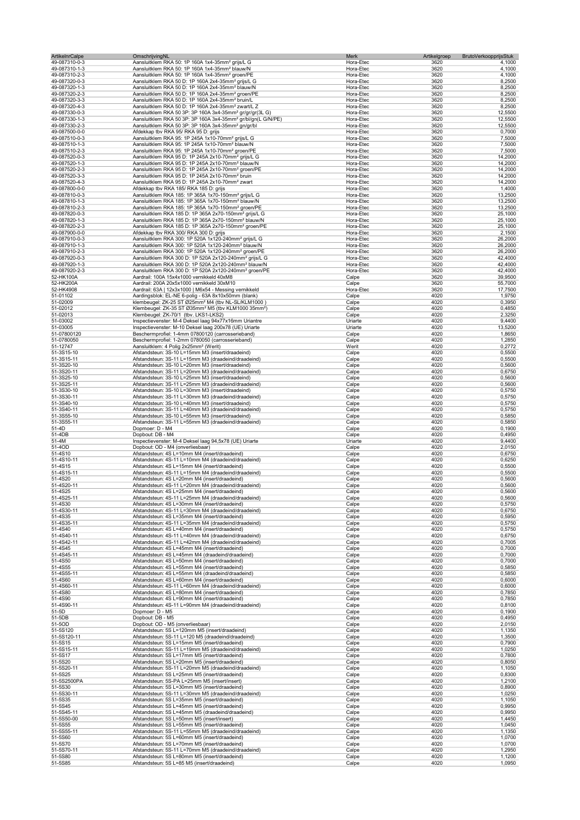| <b>ArtikelnrCalpe</b> | OmschrijvingNL                                                                                                                        | Merk      | Artikelgroep<br><b>BrutoVerkoopprijsStuk</b> |         |
|-----------------------|---------------------------------------------------------------------------------------------------------------------------------------|-----------|----------------------------------------------|---------|
| 49-087310-0-3         | Aansluitklem RKA 50: 1P 160A 1x4-35mm <sup>2</sup> grijs/L G                                                                          | Hora-Etec | 3620                                         | 4,1000  |
| 49-087310-1-3         | Aansluitklem RKA 50: 1P 160A 1x4-35mm <sup>2</sup> blauw/N                                                                            | Hora-Etec | 3620                                         | 4,1000  |
| 49-087310-2-3         | Aansluitklem RKA 50: 1P 160A 1x4-35mm <sup>2</sup> groen/PE                                                                           | Hora-Etec | 3620                                         | 4,1000  |
| 49-087320-0-3         | Aansluitklem RKA 50 D: 1P 160A 2x4-35mm <sup>2</sup> grijs/L G                                                                        | Hora-Etec | 3620                                         | 8,2500  |
| 49-087320-1-3         | Aansluitklem RKA 50 D: 1P 160A 2x4-35mm <sup>2</sup> blauw/N                                                                          | Hora-Etec | 3620                                         | 8,2500  |
| 49-087320-2-3         | Aansluitklem RKA 50 D: 1P 160A 2x4-35mm <sup>2</sup> groen/PE                                                                         | Hora-Etec | 3620                                         | 8,2500  |
| 49-087320-3-3         | Aansluitklem RKA 50 D: 1P 160A 2x4-35mm <sup>2</sup> bruin/L                                                                          | Hora-Etec | 3620                                         | 8,2500  |
| 49-087320-4-3         | Aansluitklem RKA 50 D: 1P 160A 2x4-35mm <sup>2</sup> zwart/L Z                                                                        | Hora-Etec | 3620                                         | 8,2500  |
| 49-087330-0-3         | Aansluitklem RKA 50 3P: 3P 160A 3x4-35mm <sup>2</sup> gr/gr/gr(3L G)                                                                  | Hora-Etec | 3620                                         | 12,5500 |
| 49-087330-1-3         | Aansluitklem RKA 50 3P: 3P 160A 3x4-35mm <sup>2</sup> gr/bl/gn(L G/N/PE)                                                              | Hora-Etec | 3620                                         | 12,5500 |
| 49-087330-2-3         | Aansluitklem RKA 50 3P: 3P 160A 3x4-35mm <sup>2</sup> gn/gr/bl                                                                        | Hora-Etec | 3620                                         | 12,5500 |
| 49-087500-0-0         | Afdekkap tbv RKA 95/ RKA 95 D: grijs                                                                                                  | Hora-Etec | 3620                                         | 0,7000  |
| 49-087510-0-3         | Aansluitklem RKA 95: 1P 245A 1x10-70mm <sup>2</sup> grijs/L G                                                                         | Hora-Etec | 3620                                         | 7,5000  |
| 49-087510-1-3         | Aansluitklem RKA 95: 1P 245A 1x10-70mm <sup>2</sup> blauw/N                                                                           | Hora-Etec | 3620                                         | 7,5000  |
| 49-087510-2-3         | Aansluitklem RKA 95: 1P 245A 1x10-70mm <sup>2</sup> groen/PE                                                                          | Hora-Etec | 3620                                         | 7,5000  |
| 49-087520-0-3         | Aansluitklem RKA 95 D: 1P 245A 2x10-70mm <sup>2</sup> grijs/L G                                                                       | Hora-Etec | 3620                                         | 14,2000 |
| 49-087520-1-3         | Aansluitklem RKA 95 D: 1P 245A 2x10-70mm <sup>2</sup> blauw/N                                                                         | Hora-Etec | 3620                                         | 14,2000 |
| 49-087520-2-3         | Aansluitklem RKA 95 D: 1P 245A 2x10-70mm <sup>2</sup> groen/PE                                                                        | Hora-Etec | 3620                                         | 14,2000 |
|                       |                                                                                                                                       |           |                                              |         |
| 49-087520-3-3         | Aansluitklem RKA 95 D: 1P 245A 2x10-70mm <sup>2</sup> bruin                                                                           | Hora-Etec | 3620                                         | 14,2000 |
| 49-087520-4-3         | Aansluitklem RKA 95 D: 1P 245A 2x10-70mm <sup>2</sup> zwart                                                                           | Hora-Etec | 3620                                         | 14,2000 |
| 49-087800-0-0         | Afdekkap tbv RKA 185/ RKA 185 D: grijs                                                                                                | Hora-Etec | 3620                                         | 1,4000  |
| 49-087810-0-3         | Aansluitklem RKA 185: 1P 365A 1x70-150mm <sup>2</sup> grijs/L G                                                                       | Hora-Etec | 3620                                         | 13,2500 |
| 49-087810-1-3         | Aansluitklem RKA 185: 1P 365A 1x70-150mm <sup>2</sup> blauw/N                                                                         | Hora-Etec | 3620                                         | 13,2500 |
| 49-087810-2-3         | Aansluitklem RKA 185: 1P 365A 1x70-150mm <sup>2</sup> groen/PE                                                                        | Hora-Etec | 3620                                         | 13,2500 |
| 49-087820-0-3         | Aansluitklem RKA 185 D: 1P 365A 2x70-150mm <sup>2</sup> grijs/L G                                                                     | Hora-Etec | 3620                                         | 25,1000 |
| 49-087820-1-3         | Aansluitklem RKA 185 D: 1P 365A 2x70-150mm <sup>2</sup> blauw/N                                                                       | Hora-Etec | 3620                                         | 25,1000 |
| 49-087820-2-3         | Aansluitklem RKA 185 D: 1P 365A 2x70-150mm <sup>2</sup> groen/PE                                                                      | Hora-Etec | 3620                                         | 25,1000 |
| 49-087900-0-0         | Afdekkap tbv RKA 300/ RKA 300 D: grijs                                                                                                | Hora-Etec | 3620                                         | 2,1500  |
| 49-087910-0-3         | Aansluitklem RKA 300: 1P 520A 1x120-240mm <sup>2</sup> grijs/L G                                                                      | Hora-Etec | 3620                                         | 26,2000 |
| 49-087910-1-3         | Aansluitklem RKA 300: 1P 520A 1x120-240mm <sup>2</sup> blauw/N                                                                        | Hora-Etec | 3620                                         | 26,2000 |
| 49-087910-2-3         |                                                                                                                                       | Hora-Etec | 3620                                         | 26,2000 |
|                       | Aansluitklem RKA 300: 1P 520A 1x120-240mm <sup>2</sup> groen/PE<br>Aansluitklem RKA 300 D: 1P 520A 2x120-240mm <sup>2</sup> grijs/L G |           | 3620                                         | 42,4000 |
| 49-087920-0-3         |                                                                                                                                       | Hora-Etec |                                              |         |
| 49-087920-1-3         | Aansluitklem RKA 300 D: 1P 520A 2x120-240mm <sup>2</sup> blauw/N                                                                      | Hora-Etec | 3620                                         | 42,4000 |
| 49-087920-2-3         | Aansluitklem RKA 300 D: 1P 520A 2x120-240mm <sup>2</sup> groen/PE                                                                     | Hora-Etec | 3620                                         | 42,4000 |
| 52-HK100A             | Aardrail: 100A 15x4x1000 vernikkeld 40xM8                                                                                             | Calpe     | 3620                                         | 39,9500 |
| 52-HK200A             | Aardrail: 200A 20x5x1000 vernikkeld 30xM10                                                                                            | Calpe     | 3620                                         | 55,7000 |
| 52-HK4908             | Aardrail: 63A   12x3x1000   M6x54 - Messing vernikkeld                                                                                | Hora-Etec | 3620                                         | 17,7500 |
| 51-01102              | Aardingsblok: EL-NE 6-polig - 63A 8x10x50mm (blank)                                                                                   | Calpe     | 4020                                         | 1,9750  |
| 51-02009              | klembeugel: ZK-25 ST Ø25mm <sup>2</sup> M4 (tbv NL-SL/KLM1000)                                                                        | Calpe     | 4020                                         | 0,3950  |
| 51-02012              | Klembeugel: ZK-35 ST Ø35mm <sup>2</sup> M5 (tbv KLM1000 35mm <sup>2</sup> )                                                           | Calpe     | 4020                                         | 0,4850  |
| 51-02013              | Klembeugel: ZK-70/1 (tbv. LKS1-LKS2)                                                                                                  | Calpe     | 4020                                         | 2,3250  |
| 51-03002              | Inspectievenster: M-4 Deksel laag 94x77x16mm Uriantre                                                                                 | Uriarte   | 4020                                         | 9,4400  |
| 51-03005              | Inspectievenster: M-10 Deksel laag 200x78 (UE) Uriarte                                                                                | Uriarte   | 4020                                         | 13,5200 |
| 51-07800120           | Beschermprofiel: 1-4mm 07800120 (carrosserieband)                                                                                     | Calpe     | 4020                                         | 1,8650  |
| 51-0780050            | Beschermprofiel: 1-2mm 0780050 (carrosserieband)                                                                                      | Calpe     | 4020                                         | 1,2850  |
| 51-12747              | Aansluitklem: 4 Polig 2x25mm <sup>2</sup> (Werit)                                                                                     | Werit     | 4020                                         | 0,2772  |
|                       |                                                                                                                                       |           |                                              |         |
| 51-3S15-10            | Afstandsteun: 3S-10 L=15mm M3 (insert/draadeind)                                                                                      | Calpe     | 4020                                         | 0,5500  |
| 51-3S15-11            | Afstandsteun: 3S-11 L=15mm M3 (draadeind/draadeind)                                                                                   | Calpe     | 4020                                         | 0,5500  |
| 51-3S20-10            | Afstandsteun: 3S-10 L=20mm M3 (insert/draadeind)                                                                                      | Calpe     | 4020                                         | 0,5600  |
| 51-3S20-11            | Afstandsteun: 3S-11 L=20mm M3 (draadeind/draadeind)                                                                                   | Calpe     | 4020                                         | 0,6750  |
| 51-3S25-10            | Afstandsteun: 3S-10 L=25mm M3 (insert/draadeind)                                                                                      | Calpe     | 4020                                         | 0,5600  |
| 51-3S25-11            | Afstandsteun: 3S-11 L=25mm M3 (draadeind/draadeind)                                                                                   | Calpe     | 4020                                         | 0,5600  |
| 51-3S30-10            | Afstandsteun: 3S-10 L=30mm M3 (insert/draadeind)                                                                                      | Calpe     | 4020                                         | 0,5750  |
| 51-3S30-11            | Afstandsteun: 3S-11 L=30mm M3 (draadeind/draadeind)                                                                                   | Calpe     | 4020                                         | 0,5750  |
| 51-3S40-10            | Afstandsteun: 3S-10 L=40mm M3 (insert/draadeind)                                                                                      | Calpe     | 4020                                         | 0,5750  |
| 51-3S40-11            | Afstandsteun: 3S-11 L=40mm M3 (draadeind/draadeind)                                                                                   | Calpe     | 4020                                         | 0,5750  |
| 51-3S55-10            | Afstandsteun: 3S-10 L=55mm M3 (insert/draadeind)                                                                                      | Calpe     | 4020                                         | 0,5850  |
| 51-3S55-11            | Afstandsteun: 3S-11 L=55mm M3 (draadeind/draadeind)                                                                                   | Calpe     | 4020                                         | 0,5850  |
| 51-4D                 | Dopmoer: D - M4                                                                                                                       | Calpe     | 4020                                         | 0,1900  |
| 51-4DB                | Dopbout: DB - M4                                                                                                                      | Calpe     | 4020                                         | 0,4950  |
|                       |                                                                                                                                       |           | 4020                                         | 9,4400  |
| 51-4M                 | Inspectievenster: M-4 Deksel laag 94,5x78 (UE) Uriarte                                                                                | Uriarte   |                                              |         |
| 51-4OD                | Dopbout: OD - M4 (onverliesbaar)                                                                                                      | Calpe     | 4020                                         | 2,0150  |
| 51-4S10               | Afstandsteun: 4S L=10mm M4 (insert/draadeind)                                                                                         | Calpe     | 4020                                         | 0,6750  |
| 51-4S10-11            | Afstandsteun: 4S-11 L=10mm M4 (draadeind/draadeind)                                                                                   | Calpe     | 4020                                         | 0,6250  |
| 51-4S15               | Afstandsteun: 4S L=15mm M4 (insert/draadeind)                                                                                         | Calpe     | 4020                                         | 0,5500  |
| 51-4S15-11            | Afstandsteun: 4S-11 L=15mm M4 (draadeind/draadeind)                                                                                   | Calpe     | 4020                                         | 0,5500  |
| 51-4S20               | Afstandsteun: 4S L=20mm M4 (insert/draadeind)                                                                                         | Calpe     | 4020                                         | 0,5600  |
| 51-4S20-11            | Afstandsteun: 4S-11 L=20mm M4 (draadeind/draadeind)                                                                                   | Calpe     | 4020                                         | 0,5600  |
| 51-4S25               | Afstandsteun: 4S L=25mm M4 (insert/draadeind)                                                                                         | Calpe     | 4020                                         | 0,5600  |
| 51-4S25-11            | Afstandsteun: 4S-11 L=25mm M4 (draadeind/draadeind)                                                                                   | Calpe     | 4020                                         | 0,5600  |
| 51-4S30               | Afstandsteun: 4S L=30mm M4 (insert/draadeind)                                                                                         | Calpe     | 4020                                         | 0,5750  |
| 51-4S30-11            | Afstandsteun: 4S-11 L=30mm M4 (draadeind/draadeind)                                                                                   | Calpe     | 4020                                         | 0,6750  |
| 51-4S35               | Afstandsteun: 4S L=35mm M4 (insert/draadeind)                                                                                         | Calpe     | 4020                                         | 0,5950  |
| 51-4S35-11            | Afstandsteun: 4S-11 L=35mm M4 (draadeind/draadeind)                                                                                   | Calpe     | 4020                                         | 0,5750  |
| 51-4S40               | Afstandsteun: 4S L=40mm M4 (insert/draadeind)                                                                                         | Calpe     | 4020                                         | 0,5750  |
| 51-4S40-11            | Afstandsteun: 4S-11 L=40mm M4 (draadeind/draadeind)                                                                                   | Calpe     | 4020                                         | 0,6750  |
| 51-4S42-11            | Afstandsteun: 4S-11 L=42mm M4 (draadeind/draadeind)                                                                                   | Calpe     | 4020                                         | 0,7005  |
| 51-4S45               | Afstandsteun: 4S L=45mm M4 (insert/draadeind)                                                                                         | Calpe     | 4020                                         | 0,7000  |
| 51-4S45-11            | Afstandsteun: 4S L=45mm M4 (draadeind/draadeind)                                                                                      |           | 4020                                         | 0,7000  |
| 51-4S50               | Afstandsteun: 4S L=50mm M4 (insert/draadeind)                                                                                         | Calpe     |                                              |         |
|                       |                                                                                                                                       | Calpe     | 4020                                         | 0,7000  |
| 51-4S55               | Afstandsteun: 4S L=55mm M4 (insert/draadeind)                                                                                         | Calpe     | 4020                                         | 0,5850  |
| 51-4S55-11            | Afstandsteun: 4S L=55mm M4 (draadeind/draadeind)                                                                                      | Calpe     | 4020                                         | 0,5850  |
| 51-4S60               | Afstandsteun: 4S L=60mm M4 (insert/draadeind)                                                                                         | Calpe     | 4020                                         | 0,6000  |
| 51-4S60-11            | Afstandsteun: 4S-11 L=60mm M4 (draadeind/draadeind)                                                                                   | Calpe     | 4020                                         | 0,6000  |
| 51-4S80               | Afstandsteun: 4S L=80mm M4 (insert/draadeind)                                                                                         | Calpe     | 4020                                         | 0,7850  |
| 51-4S90               | Afstandsteun: 4S L=90mm M4 (insert/draadeind)                                                                                         | Calpe     | 4020                                         | 0,7850  |
| 51-4S90-11            | Afstandsteun: 4S-11 L=90mm M4 (draadeind/draadeind)                                                                                   | Calpe     | 4020                                         | 0,8100  |
| 51-5D                 | Dopmoer: D - M5                                                                                                                       | Calpe     | 4020                                         | 0,1900  |
| 51-5DB                | Dopbout: DB - M5                                                                                                                      | Calpe     | 4020                                         | 0,4950  |
| 51-5OD                | Dopbout: OD - M5 (onverliesbaar)                                                                                                      | Calpe     | 4020                                         | 2,0150  |
| 51-5S120              | Afstandsteun: 5S L=120mm M5 (insert/draadeind)                                                                                        | Calpe     | 4020                                         | 1,1350  |
| 51-5S120-11           | Afstandsteun: 5S-11 L=120 M5 (draadeind/draadeind)                                                                                    | Calpe     | 4020                                         | 1,3500  |
| 51-5S15               | Afstandsteun: 5S L=15mm M5 (insert/draadeind)                                                                                         | Calpe     | 4020                                         | 0,7900  |
| 51-5S15-11            | Afstandsteun: 5S-11 L=19mm M5 (draadeind/draadeind)                                                                                   | Calpe     | 4020                                         | 1,0250  |
|                       |                                                                                                                                       |           | 4020                                         |         |
| 51-5S17               | Afstandsteun: 5S L=17mm M5 (insert/draadeind)                                                                                         | Calpe     |                                              | 0,7800  |
| 51-5S20               | Afstandsteun: 5S L=20mm M5 (insert/draadeind)                                                                                         | Calpe     | 4020                                         | 0,8050  |
| 51-5S20-11            | Afstandsteun: 5S-11 L=20mm M5 (draadeind/draadeind)                                                                                   | Calpe     | 4020                                         | 1,1050  |
| 51-5S25               | Afstandsteun: 5S L=25mm M5 (insert/draadeind)                                                                                         | Calpe     | 4020                                         | 0,8300  |
| 51-5S2500PA           | Afstandsteun: 5S-PA L=25mm M5 (insert/insert)                                                                                         | Calpe     | 4020                                         | 1,2100  |
| 51-5S30               | Afstandsteun: 5S L=30mm M5 (insert/draadeind)                                                                                         | Calpe     | 4020                                         | 0,8900  |
| 51-5S30-11            | Afstandsteun: 5S-11 L=30mm M5 (draadeind/draadeind)                                                                                   | Calpe     | 4020                                         | 1,0250  |
| 51-5S35               | Afstandsteun: 5S L=35mm M5 (insert/draadeind)                                                                                         | Calpe     | 4020                                         | 1,1050  |
| 51-5S45               | Afstandsteun: 5S L=45mm M5 (insert/draadeind)                                                                                         | Calpe     | 4020                                         | 0,9950  |
| 51-5S45-11            | Afstandsteun: 5S L=45mm M5 (draadeind/draadeind)                                                                                      | Calpe     | 4020                                         | 0,9950  |
| 51-5S50-00            | Afstandsteun: 5S L=50mm M5 (insert/insert)                                                                                            | Calpe     | 4020                                         | 1,4450  |
| 51-5S55               | Afstandsteun: 5S L=55mm M5 (insert/draadeind)                                                                                         | Calpe     | 4020                                         | 1,0450  |
| 51-5S55-11            | Afstandsteun: 5S-11 L=55mm M5 (draadeind/draadeind)                                                                                   | Calpe     | 4020                                         | 1,1350  |
| 51-5S60               | Afstandsteun: 5S L=60mm M5 (insert/draadeind)                                                                                         | Calpe     | 4020                                         | 1,0700  |
| 51-5S70               | Afstandsteun: 5S L=70mm M5 (insert/draadeind)                                                                                         | Calpe     | 4020                                         | 1,0700  |
| 51-5S70-11            | Afstandsteun: 5S-11 L=70mm M5 (draadeind/draadeind)                                                                                   | Calpe     | 4020                                         | 1,2950  |
| 51-5S80               | Afstandsteun: 5S L=80mm M5 (insert/draadeind)                                                                                         | Calpe     | 4020                                         | 1,1200  |
|                       |                                                                                                                                       |           |                                              |         |
| 51-5S85               | Afstandsteun: 5S L=85 M5 (insert/draadeind)                                                                                           | Calpe     | 4020                                         | 1,0950  |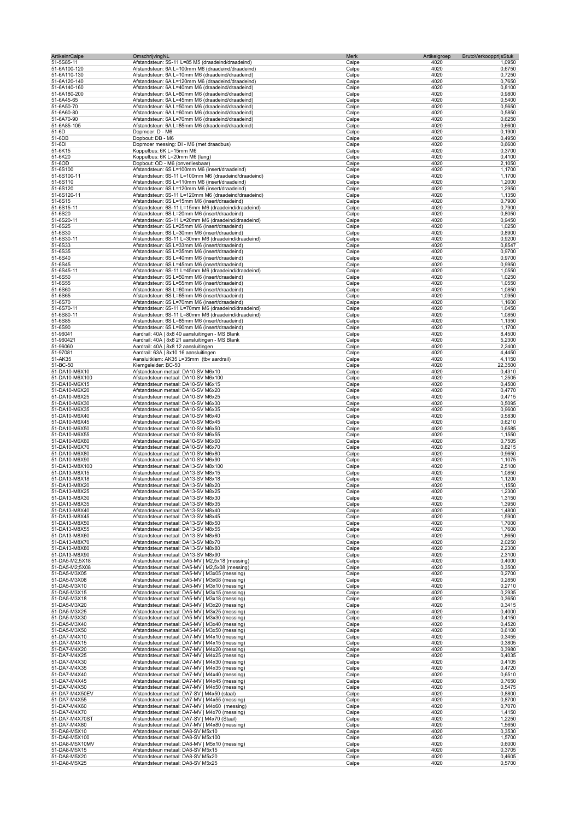| <b>ArtikelnrCalpe</b> | OmschrijvingNL                                       | Merk           | Artikelgroep<br>BrutoVerkoopprijsStuk |         |
|-----------------------|------------------------------------------------------|----------------|---------------------------------------|---------|
| 51-5S85-11            | Afstandsteun: 5S-11 L=85 M5 (draadeind/draadeind)    | Calpe          | 4020                                  | 1,0950  |
| 51-6A100-120          | Afstandsteun: 6A L=100mm M6 (draadeind/draadeind)    | Calpe          | 4020                                  | 0,6750  |
| 51-6A110-130          | Afstandsteun: 6A L=10mm M6 (draadeind/draadeind)     | Calpe          | 4020                                  | 0,7250  |
| 51-6A120-140          | Afstandsteun: 6A L=120mm M6 (draadeind/draadeind)    | Calpe          | 4020                                  | 0,7650  |
| 51-6A140-160          | Afstandsteun: 6A L=40mm M6 (draadeind/draadeind)     | Calpe          | 4020                                  | 0,8100  |
| 51-6A180-200          | Afstandsteun: 6A L=80mm M6 (draadeind/draadeind)     | Calpe          | 4020                                  | 0,9800  |
| 51-6A45-65            | Afstandsteun: 6A L=45mm M6 (draadeind/draadeind)     | Calpe          | 4020                                  | 0,5400  |
| 51-6A50-70            | Afstandsteun: 6A L=50mm M6 (draadeind/draadeind)     | Calpe          | 4020                                  | 0,5650  |
| 51-6A60-80            | Afstandsteun: 6A L=60mm M6 (draadeind/draadeind)     | Calpe          | 4020                                  | 0,5850  |
| 51-6A70-90            | Afstandsteun: 6A L=70mm M6 (draadeind/draadeind)     | Calpe          | 4020                                  | 0,6250  |
| 51-6A85-105           | Afstandsteun: 6A L=85mm M6 (draadeind/draadeind)     | Calpe          | 4020                                  | 0,6600  |
| 51-6D                 | Dopmoer: D - M6                                      | Calpe          | 4020                                  | 0,1900  |
| 51-6DB                | Dopbout: DB - M6                                     | Calpe          | 4020                                  | 0,4950  |
| 51-6DI                | Dopmoer messing: DI - M6 (met draadbus)              | Calpe          | 4020                                  | 0,6600  |
| 51-6K15               | Koppelbus: 6K L=15mm M6                              | Calpe          | 4020                                  | 0,3700  |
| 51-6K20               | Koppelbus: 6K L=20mm M6 (lang)                       | Calpe          | 4020                                  | 0,4100  |
| 51-6OD                | Dopbout: OD - M6 (onverliesbaar)                     | Calpe          | 4020                                  | 2,1050  |
| 51-6S100              | Afstandsteun: 6S L=100mm M6 (insert/draadeind)       | Calpe          | 4020                                  | 1,1700  |
| 51-6S100-11           | Afstandsteun: 6S-11 L=100mm M6 (draadeind/draadeind) | Calpe          | 4020                                  | 1,1700  |
| 51-6S110              | Afstandsteun: 6S L=110mm M6 (insert/draadeind)       | Calpe          | 4020                                  | 1,2000  |
| 51-6S120              | Afstandsteun: 6S L=120mm M6 (insert/draadeind)       | Calpe          | 4020                                  | 1,2950  |
| 51-6S120-11           | Afstandsteun: 6S-11 L=120mm M6 (draadeind/draadeind) | Calpe          | 4020                                  | 1,1350  |
| 51-6S15               | Afstandsteun: 6S L=15mm M6 (insert/draadeind)        | Calpe          | 4020                                  | 0,7900  |
| 51-6S15-11            | Afstandsteun: 6S-11 L=15mm M6 (draadeind/draadeind)  | Calpe          | 4020                                  | 0,7900  |
| 51-6S20               | Afstandsteun: 6S L=20mm M6 (insert/draadeind)        | Calpe          | 4020                                  | 0,8050  |
| 51-6S20-11            | Afstandsteun: 6S-11 L=20mm M6 (draadeind/draadeind)  | Calpe          | 4020                                  | 0,9450  |
| 51-6S25               | Afstandsteun: 6S L=25mm M6 (insert/draadeind)        | Calpe          | 4020                                  | 1,0250  |
| 51-6S30               | Afstandsteun: 6S L=30mm M6 (insert/draadeind)        | Calpe          | 4020                                  | 0,8900  |
| 51-6S30-11            | Afstandsteun: 6S-11 L=30mm M6 (draadeind/draadeind)  | Calpe          | 4020                                  | 0,9200  |
| 51-6S33               | Afstandsteun: 6S L=33mm M6 (insert/draadeind)        | Calpe          | 4020                                  | 0,8547  |
| 51-6S35               | Afstandsteun: 6S L=35mm M6 (insert/draadeind)        | Calpe          | 4020                                  | 0,9700  |
| 51-6S40               | Afstandsteun: 6S L=40mm M6 (insert/draadeind)        | Calpe          | 4020                                  | 0,9700  |
| 51-6S45               | Afstandsteun: 6S L=45mm M6 (insert/draadeind)        | Calpe          | 4020                                  | 0,9950  |
| 51-6S45-11            | Afstandsteun: 6S-11 L=45mm M6 (draadeind/draadeind)  | Calpe          | 4020                                  | 1,0550  |
| 51-6S50               | Afstandsteun: 6S L=50mm M6 (insert/draadeind)        | Calpe          | 4020                                  | 1,0250  |
| 51-6S55               | Afstandsteun: 6S L=55mm M6 (insert/draadeind)        | Calpe          | 4020                                  | 1,0550  |
| 51-6S60               | Afstandsteun: 6S L=60mm M6 (insert/draadeind)        | Calpe          | 4020                                  | 1,0850  |
| 51-6S65               | Afstandsteun: 6S L=65mm M6 (insert/draadeind)        | Calpe          | 4020                                  | 1,0950  |
| 51-6S70               | Afstandsteun: 6S L=70mm M6 (insert/draadeind)        | Calpe          | 4020                                  | 1,1600  |
| 51-6S70-11            | Afstandsteun: 6S-11 L=70mm M6 (draadeind/draadeind)  | Calpe          | 4020                                  | 1,0450  |
|                       | Afstandsteun: 6S-11 L=80mm M6 (draadeind/draadeind)  |                | 4020                                  | 1,0850  |
| 51-6S80-11<br>51-6S85 | Afstandsteun: 6S L=85mm M6 (insert/draadeind)        | Calpe<br>Calpe | 4020                                  | 1,1350  |
| 51-6S90               | Afstandsteun: 6S L=90mm M6 (insert/draadeind)        | Calpe          | 4020                                  | 1,1700  |
| 51-96041              | Aardrail: 40A   8x8 40 aansluitingen - MS Blank      | Calpe          | 4020                                  | 8,4500  |
| 51-960421             | Aardrail: 40A   8x8 21 aansluitingen - MS Blank      | Calpe          | 4020                                  | 5,2300  |
|                       |                                                      |                |                                       |         |
| 51-96060              | Aardrail: 40A   8x8 12 aansluitingen                 | Calpe          | 4020                                  | 2,2400  |
| 51-97081              | Aardrail: 63A   8x10 16 aansluitingen                | Calpe          | 4020                                  | 4,4450  |
| 51-AK35               | Aansluitklem: AK35 L=35mm (tbv aardrail)             | Calpe          | 4020                                  | 4,1150  |
| 51-BC-50              | Klemgeleider: BC-50                                  | Calpe          | 4020                                  | 22,3500 |
| 51-DA10-M6X10         | Afstandsteun metaal: DA10-SV M6x10                   | Calpe          | 4020                                  | 0,4310  |
| 51-DA10-M6X100        | Afstandsteun metaal: DA10-SV M6x100                  | Calpe          | 4020                                  | 1,2505  |
| 51-DA10-M6X15         | Afstandsteun metaal: DA10-SV M6x15                   | Calpe          | 4020                                  | 0,4500  |
| 51-DA10-M6X20         | Afstandsteun metaal: DA10-SV M6x20                   | Calpe          | 4020                                  | 0,4770  |
| 51-DA10-M6X25         | Afstandsteun metaal: DA10-SV M6x25                   | Calpe          | 4020                                  | 0,4715  |
| 51-DA10-M6X30         | Afstandsteun metaal: DA10-SV M6x30                   | Calpe          | 4020                                  | 0,5095  |
| 51-DA10-M6X35         | Afstandsteun metaal: DA10-SV M6x35                   | Calpe          | 4020                                  | 0,9600  |
| 51-DA10-M6X40         | Afstandsteun metaal: DA10-SV M6x40                   | Calpe          | 4020                                  | 0,5830  |
| 51-DA10-M6X45         | Afstandsteun metaal: DA10-SV M6x45                   | Calpe          | 4020                                  | 0,6210  |
| 51-DA10-M6X50         | Afstandsteun metaal: DA10-SV M6x50                   | Calpe          | 4020                                  | 0,6585  |
| 51-DA10-M6X55         | Afstandsteun metaal: DA10-SV M6x55                   | Calpe          | 4020                                  | 1,1550  |
| 51-DA10-M6X60         | Afstandsteun metaal: DA10-SV M6x60                   | Calpe          | 4020                                  | 0,7505  |
| 51-DA10-M6X70         | Afstandsteun metaal: DA10-SV M6x70                   | Calpe          | 4020                                  | 0,8215  |
| 51-DA10-M6X80         | Afstandsteun metaal: DA10-SV M6x80                   | Calpe          | 4020                                  | 0,9650  |
| 51-DA10-M6X90         | Afstandsteun metaal: DA10-SV M6x90                   | Calpe          | 4020                                  | 1,1075  |
| 51-DA13-M8X100        | Afstandsteun metaal: DA13-SV M8x100                  | Calpe          | 4020                                  | 2,5100  |
| 51-DA13-M8X15         | Afstandsteun metaal: DA13-SV M8x15                   | Calpe          | 4020                                  | 1,0850  |
| 51-DA13-M8X18         | Afstandsteun metaal: DA13-SV M8x18                   | Calpe          | 4020                                  | 1,1200  |
| 51-DA13-M8X20         | Afstandsteun metaal: DA13-SV M8x20                   | Calpe          | 4020                                  | 1,1550  |
| 51-DA13-M8X25         | Atstandsteun metaal: DA13-SV M8x25                   | Calpe          | 4020                                  | 1.2300  |
| 51-DA13-M8X30         | Afstandsteun metaal: DA13-SV M8x30                   | Calpe          | 4020                                  | 1,3150  |
| 51-DA13-M8X35         | Afstandsteun metaal: DA13-SV M8x35                   | Calpe          | 4020                                  | 1,3950  |
| 51-DA13-M8X40         | Afstandsteun metaal: DA13-SV M8x40                   | Calpe          | 4020                                  | 1,4800  |
| 51-DA13-M8X45         | Afstandsteun metaal: DA13-SV M8x45                   | Calpe          | 4020                                  | 1,5900  |
| 51-DA13-M8X50         | Afstandsteun metaal: DA13-SV M8x50                   | Calpe          | 4020                                  | 1,7000  |
| 51-DA13-M8X55         | Afstandsteun metaal: DA13-SV M8x55                   | Calpe          | 4020                                  | 1,7600  |
| 51-DA13-M8X60         | Afstandsteun metaal: DA13-SV M8x60                   | Calpe          | 4020                                  | 1,8650  |
| 51-DA13-M8X70         | Afstandsteun metaal: DA13-SV M8x70                   | Calpe          | 4020                                  | 2,0250  |
| 51-DA13-M8X80         | Afstandsteun metaal: DA13-SV M8x80                   | Calpe          | 4020                                  | 2,2300  |
| 51-DA13-M8X90         | Afstandsteun metaal: DA13-SV M8x90                   | Calpe          | 4020                                  | 2,3100  |
| 51-DA5-M2,5X18        | Afstandsteun metaal: DA5-MV   M2,5x18 (messing)      | Calpe          | 4020                                  | 0,4000  |
| 51-DA5-M2;5X08        | Afstandsteun metaal: DA5-MV   M2,5x08 (messing)      | Calpe          | 4020                                  | 0,3500  |
| 51-DA5-M3X05          | Afstandsteun metaal: DA5-MV   M3x05 (messing)        | Calpe          | 4020                                  | 0,2700  |
| 51-DA5-M3X08          | Afstandsteun metaal: DA5-MV   M3x08 (messing)        | Calpe          | 4020                                  | 0,2850  |
| 51-DA5-M3X10          | Afstandsteun metaal: DA5-MV   M3x10 (messing)        | Calpe          | 4020                                  | 0,2710  |
| 51-DA5-M3X15          | Afstandsteun metaal: DA5-MV   M3x15 (messing)        | Calpe          | 4020                                  | 0,2935  |
| 51-DA5-M3X18          | Afstandsteun metaal: DA5-MV   M3x18 (messing)        | Calpe          | 4020                                  | 0,3650  |
| 51-DA5-M3X20          | Afstandsteun metaal: DA5-MV   M3x20 (messing)        | Calpe          | 4020                                  | 0,3415  |
| 51-DA5-M3X25          | Afstandsteun metaal: DA5-MV   M3x25 (messing)        | Calpe          | 4020                                  | 0,4000  |
| 51-DA5-M3X30          | Afstandsteun metaal: DA5-MV   M3x30 (messing)        | Calpe          | 4020                                  | 0,4150  |
| 51-DA5-M3X40          | Afstandsteun metaal: DA5-MV   M3x40 (messing)        | Calpe          | 4020                                  | 0,4520  |
| 51-DA5-M3X50          | Afstandsteun metaal: DA5-MV   M3x50 (messing)        | Calpe          | 4020                                  | 0,6100  |
| 51-DA7-M4X10          | Afstandsteun metaal: DA7-MV   M4x10 (messing)        | Calpe          | 4020                                  | 0,3455  |
| 51-DA7-M4X15          | Afstandsteun metaal: DA7-MV   M4x15 (messing)        | Calpe          | 4020                                  | 0,3805  |
| 51-DA7-M4X20          | Afstandsteun metaal: DA7-MV   M4x20 (messing)        | Calpe          | 4020                                  | 0,3980  |
| 51-DA7-M4X25          | Afstandsteun metaal: DA7-MV   M4x25 (messing)        | Calpe          | 4020                                  | 0,4035  |
| 51-DA7-M4X30          | Afstandsteun metaal: DA7-MV   M4x30 (messing)        | Calpe          | 4020                                  | 0,4105  |
| 51-DA7-M4X35          | Afstandsteun metaal: DA7-MV   M4x35 (messing)        | Calpe          | 4020                                  | 0,4720  |
| 51-DA7-M4X40          | Afstandsteun metaal: DA7-MV   M4x40 (messing)        | Calpe          | 4020                                  | 0,6510  |
| 51-DA7-M4X45          | Afstandsteun metaal: DA7-MV   M4x45 (messing)        | Calpe          | 4020                                  | 0,7650  |
| 51-DA7-M4X50          | Afstandsteun metaal: DA7-MV   M4x50 (messing)        | Calpe          | 4020                                  | 0,5475  |
| 51-DA7-M4X50EV        | Afstandsteun metaal: DA7-SV   M4x50 (staal)          | Calpe          | 4020                                  | 0,8800  |
| 51-DA7-M4X55          | Afstandsteun metaal: DA7-MV   M4x55 (messing)        |                | 4020                                  | 0,8700  |
|                       |                                                      | Calpe          |                                       |         |
| 51-DA7-M4X60          | Afstandsteun metaal: DA7-MV   M4x60 (messing)        | Calpe          | 4020<br>4020                          | 0,7070  |
| 51-DA7-M4X70          | Afstandsteun metaal: DA7-MV   M4x70 (messing)        | Calpe          |                                       | 1,4150  |
| 51-DA7-M4X70ST        | Afstandsteun metaal: DA7-SV   M4x70 (Staal)          | Calpe          | 4020                                  | 1,2250  |
| 51-DA7-M4X80          | Afstandsteun metaal: DA7-MV   M4x80 (messing)        | Calpe          | 4020                                  | 1,5650  |
| 51-DA8-M5X10          | Afstandsteun metaal: DA8-SV M5x10                    | Calpe          | 4020                                  | 0,3530  |
| 51-DA8-M5X100         | Afstandsteun metaal: DA8-SV M5x100                   | Calpe          | 4020                                  | 1,5700  |
| 51-DA8-M5X10MV        | Afstandsteun metaal: DA8-MV   M5x10 (messing)        | Calpe          | 4020                                  | 0,6000  |
| 51-DA8-M5X15          | Afstandsteun metaal: DA8-SV M5x15                    | Calpe          | 4020                                  | 0,3705  |
| 51-DA8-M5X20          | Afstandsteun metaal: DA8-SV M5x20                    | Calpe          | 4020                                  | 0,4605  |
| 51-DA8-M5X25          | Afstandsteun metaal: DA8-SV M5x25                    | Calpe          | 4020                                  | 0,5700  |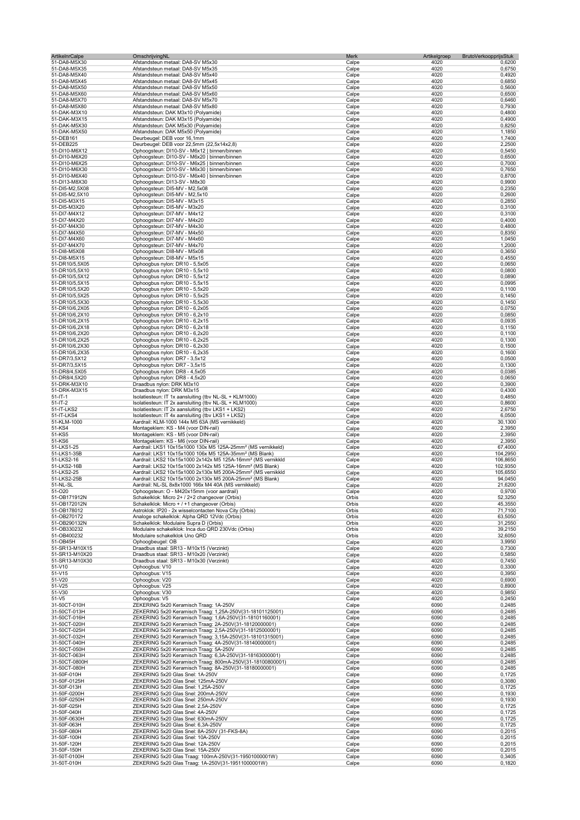| <b>ArtikelnrCalpe</b>            | OmschrijvingNL                                                                                                                                    | Merk           | Artikelgroep<br><b>BrutoVerkoopprijsStuk</b> |                     |
|----------------------------------|---------------------------------------------------------------------------------------------------------------------------------------------------|----------------|----------------------------------------------|---------------------|
| 51-DA8-M5X30                     | Afstandsteun metaal: DA8-SV M5x30                                                                                                                 | Calpe          | 4020                                         | 0,6200              |
| 51-DA8-M5X35                     | Afstandsteun metaal: DA8-SV M5x35                                                                                                                 | Calpe          | 4020<br>4020                                 | 0,6750              |
| 51-DA8-M5X40<br>51-DA8-M5X45     | Afstandsteun metaal: DA8-SV M5x40<br>Afstandsteun metaal: DA8-SV M5x45                                                                            | Calpe<br>Calpe | 4020                                         | 0,4920<br>0,6850    |
| 51-DA8-M5X50                     | Afstandsteun metaal: DA8-SV M5x50                                                                                                                 | Calpe          | 4020                                         | 0,5600              |
| 51-DA8-M5X60                     | Afstandsteun metaal: DA8-SV M5x60                                                                                                                 | Calpe          | 4020                                         | 0,6500              |
| 51-DA8-M5X70                     | Afstandsteun metaal: DA8-SV M5x70                                                                                                                 | Calpe          | 4020                                         | 0,6460              |
| 51-DA8-M5X80                     | Afstandsteun metaal: DA8-SV M5x80                                                                                                                 | Calpe          | 4020<br>4020                                 | 0,7930<br>0,4800    |
| 51-DAK-M3X10<br>51-DAK-M3X15     | Afstandsteun: DAK M3x10 (Polyamide)<br>Afstandsteun: DAK M3x15 (Polyamide)                                                                        | Calpe<br>Calpe | 4020                                         | 0,4900              |
| 51-DAK-M5X30                     | Afstandsteun: DAK M5x30 (Polyamide)                                                                                                               | Calpe          | 4020                                         | 0,8250              |
| 51-DAK-M5X50                     | Afstandsteun: DAK M5x50 (Polyamide)                                                                                                               | Calpe          | 4020                                         | 1,1850              |
| 51-DEB161                        | Deurbeugel: DEB voor 16,1mm                                                                                                                       | Calpe          | 4020                                         | 1,7400              |
| 51-DEB225                        | Deurbeugel: DEB voor 22,5mm (22,5x14x2,8)                                                                                                         | Calpe          | 4020                                         | 2,2500              |
| 51-DI10-M6X12<br>51-DI10-M6X20   | Ophoogsteun: DI10-SV - M6x12   binnen/binnen<br>Ophoogsteun: DI10-SV - M6x20   binnen/binnen                                                      | Calpe<br>Calpe | 4020<br>4020                                 | 0,5450<br>0,6500    |
| 51-DI10-M6X25                    | Ophoogsteun: DI10-SV - M6x25   binnen/binnen                                                                                                      | Calpe          | 4020                                         | 0,7000              |
| 51-DI10-M6X30                    | Ophoogsteun: DI10-SV - M6x30   binnen/binnen                                                                                                      | Calpe          | 4020                                         | 0,7650              |
| 51-DI10-M6X40                    | Ophoogsteun: DI10-SV - M6x40   binnen/binnen                                                                                                      | Calpe          | 4020                                         | 0,8700              |
| 51-DI13-M8X30                    | Ophoogsteun: DI13-SV - M8x30                                                                                                                      | Calpe          | 4020                                         | 0,9900              |
| 51-DI5-M2,5X08<br>51-DI5-M2,5X10 | Ophoogsteun: DI5-MV - M2,5x08<br>Ophoogsteun: DI5-MV - M2,5x10                                                                                    | Calpe<br>Calpe | 4020<br>4020                                 | 0,2350<br>0,2600    |
| 51-DI5-M3X15                     | Ophoogsteun: DI5-MV - M3x15                                                                                                                       | Calpe          | 4020                                         | 0,2850              |
| 51-DI5-M3X20                     | Ophoogsteun: DI5-MV - M3x20                                                                                                                       | Calpe          | 4020                                         | 0,3100              |
| 51-DI7-M4X12                     | Ophoogsteun: DI7-MV - M4x12                                                                                                                       | Calpe          | 4020                                         | 0,3100              |
| 51-DI7-M4X20                     | Ophoogsteun: DI7-MV - M4x20                                                                                                                       | Calpe          | 4020                                         | 0,4000              |
| 51-DI7-M4X30                     | Ophoogsteun: DI7-MV - M4x30                                                                                                                       | Calpe          | 4020<br>4020                                 | 0,4800<br>0,8350    |
| 51-DI7-M4X50<br>51-DI7-M4X60     | Ophoogsteun: DI7-MV - M4x50<br>Ophoogsteun: DI7-MV - M4x60                                                                                        | Calpe<br>Calpe | 4020                                         | 1,0450              |
| 51-DI7-M4X70                     | Ophoogsteun: DI7-MV - M4x70                                                                                                                       | Calpe          | 4020                                         | 1,2000              |
| 51-DI8-M5X08                     | Ophoogsteun: DI8-MV - M5x08                                                                                                                       | Calpe          | 4020                                         | 0,3650              |
| 51-DI8-M5X15                     | Ophoogsteun: DI8-MV - M5x15                                                                                                                       | Calpe          | 4020                                         | 0,4550              |
| 51-DR10/5,5X05                   | Ophoogbus nylon: DR10 - 5,5x05                                                                                                                    | Calpe          | 4020                                         | 0,0650              |
| 51-DR10/5,5X10<br>51-DR10/5,5X12 | Ophoogbus nylon: DR10 - 5,5x10<br>Ophoogbus nylon: DR10 - 5,5x12                                                                                  | Calpe<br>Calpe | 4020<br>4020                                 | 0,0800<br>0,0890    |
| 51-DR10/5,5X15                   | Ophoogbus nylon: DR10 - 5,5x15                                                                                                                    | Calpe          | 4020                                         | 0,0995              |
| 51-DR10/5,5X20                   | Ophoogbus nylon: DR10 - 5,5x20                                                                                                                    | Calpe          | 4020                                         | 0,1100              |
| 51-DR10/5,5X25                   | Ophoogbus nylon: DR10 - 5,5x25                                                                                                                    | Calpe          | 4020                                         | 0,1450              |
| 51-DR10/5,5X30                   | Ophoogbus nylon: DR10 - 5,5x30                                                                                                                    | Calpe          | 4020                                         | 0,1450              |
| 51-DR10/6,2X05                   | Ophoogbus nylon: DR10 - 6,2x05                                                                                                                    | Calpe          | 4020<br>4020                                 | 0,0750<br>0,0850    |
| 51-DR10/6,2X10<br>51-DR10/6,2X15 | Ophoogbus nylon: DR10 - 6,2x10<br>Ophoogbus nylon: DR10 - 6,2x15                                                                                  | Calpe<br>Calpe | 4020                                         | 0,0935              |
| 51-DR10/6,2X18                   | Ophoogbus nylon: DR10 - 6,2x18                                                                                                                    | Calpe          | 4020                                         | 0,1150              |
| 51-DR10/6,2X20                   | Ophoogbus nylon: DR10 - 6,2x20                                                                                                                    | Calpe          | 4020                                         | 0,1100              |
| 51-DR10/6,2X25                   | Ophoogbus nylon: DR10 - 6,2x25                                                                                                                    | Calpe          | 4020                                         | 0,1300              |
| 51-DR10/6,2X30                   | Ophoogbus nylon: DR10 - 6,2x30                                                                                                                    | Calpe          | 4020                                         | 0,1500              |
| 51-DR10/6,2X35<br>51-DR7/3,5X12  | Ophoogbus nylon: DR10 - 6,2x35<br>Ophoogbus nylon: DR7 - 3,5x12                                                                                   | Calpe          | 4020<br>4020                                 | 0,1600<br>0,0500    |
| 51-DR7/3,5X15                    | Ophoogbus nylon: DR7 - 3,5x15                                                                                                                     | Calpe<br>Calpe | 4020                                         | 0,1300              |
| 51-DR8/4,5X05                    | Ophoogbus nylon: DR8 - 4,5x05                                                                                                                     | Calpe          | 4020                                         | 0,0385              |
| 51-DR8/4,5X20                    | Ophoogbus nylon: DR8 - 4,5x20                                                                                                                     | Calpe          | 4020                                         | 0,0650              |
| 51-DRK-M3X10                     | Draadbus nylon: DRK M3x10                                                                                                                         | Calpe          | 4020                                         | 0,3900              |
| 51-DRK-M3X15                     | Draadbus nylon: DRK M3x15                                                                                                                         | Calpe          | 4020                                         | 0,4300              |
| $51 - 1T - 1$<br>$51 - 1T - 2$   | Isolatiesteun: IT 1x aansluiting (tbv NL-SL + KLM1000)<br>Isolatiesteun: IT 2x aansluiting (tbv NL-SL + KLM1000)                                  | Calpe<br>Calpe | 4020<br>4020                                 | 0,4850<br>0,8600    |
| 51-IT-LKS2                       | Isolatiesteun: IT 2x aansluiting (tbv LKS1 + LKS2)                                                                                                | Calpe          | 4020                                         | 2,6750              |
| 51-IT-LKS4                       | Isolatiesteun: IT 4x aansluiting (tbv LKS1 + LKS2)                                                                                                | Calpe          | 4020                                         | 6,0500              |
| 51-KLM-1000                      | Aardrail: KLM-1000 144x M5 63A (MS vernikkeld)                                                                                                    | Calpe          | 4020                                         | 30,1300             |
| 51-KS4                           | Montageklem: KS - M4 (voor DIN-rail)                                                                                                              | Calpe          | 4020                                         | 2,3950              |
| 51-KS5<br>51-KS6                 | Montageklem: KS - M5 (voor DIN-rail)<br>Montageklem: KS - M6 (voor DIN-rail)                                                                      | Calpe<br>Calpe | 4020<br>4020                                 | 2,3950<br>2,3950    |
| 51-LKS1-25                       | Aardrail: LKS1 10x15x1000 130x M5 125A-25mm <sup>2</sup> (MS vernikkeld)                                                                          | Calpe          | 4020                                         | 67,4000             |
| 51-LKS1-35B                      | Aardrail: LKS1 10x15x1000 106x M5 125A-35mm <sup>2</sup> (MS Blank)                                                                               | Calpe          | 4020                                         | 104,2950            |
| 51-LKS2-16                       | Aardrail: LKS2 10x15x1000 2x142x M5 125A-16mm <sup>2</sup> (MS vernikkld                                                                          | Calpe          | 4020                                         | 106,8650            |
| 51-LKS2-16B                      | Aardrail: LKS2 10x15x1000 2x142x M5 125A-16mm <sup>2</sup> (MS Blank)                                                                             | Calpe          | 4020                                         | 102,9350            |
| 51-LKS2-25<br>51-LKS2-25B        | Aardrail: LKS2 10x15x1000 2x130x M5 200A-25mm <sup>2</sup> (MS vernikkld<br>Aardrail: LKS2 10x15x1000 2x130x M5 200A-25mm <sup>2</sup> (MS Blank) | Calpe<br>Calpe | 4020<br>4020                                 | 105,6550<br>94,0450 |
| 51-NL-SL                         | Aardrail: NL-SL 8x8x1000 166x M4 40A (MS vernikkeld)                                                                                              | Calpe          | 4020                                         | 21,6200             |
| 51-020                           | Ophoogsteun: O - M420x15mm (voor aardrail)                                                                                                        | Calpe          | 4020                                         | 0,9700              |
| 51-OB171912N                     | Schakelklok: Micro 2+ / 2+2 changeover (Orbis)                                                                                                    | Orbis          | 4020                                         | 52,3250             |
| 51-OB172012N                     | Schakelklok: Micro + / +1 changeover (Orbis)                                                                                                      | Orbis          | 4020                                         | 45,3550             |
| 51-OB178012<br>51-OB270172       | Astroklok: IP20 - 2x wisselcontacten Nova City (Orbis)<br>Analoge schakelklok: Alpha QRD 12Vdc (Orbis)                                            | Orbis<br>Orbis | 4020<br>4020                                 | 71,7100<br>63,5050  |
| 51-OB290132N                     | Schakelklok: Modulaire Supra D (Orbis)                                                                                                            | Orbis          | 4020                                         | 31,2550             |
| 51-OB330232                      | Modulaire schakelklok: Inca duo QRD 230Vdc (Orbis)                                                                                                | Orbis          | 4020                                         | 39,2150             |
| 51-OB400232                      | Modulaire schakelklok Uno QRD                                                                                                                     | Orbis          | 4020                                         | 32,6050             |
| 51-OB45H                         | Ophoogbeugel: OB                                                                                                                                  | Calpe          | 4020                                         | 3,9950              |
| 51-SR13-M10X15<br>51-SR13-M10X20 | Draadbus staal: SR13 - M10x15 (Verzinkt)<br>Draadbus staal: SR13 - M10x20 (Verzinkt)                                                              | Calpe<br>Calpe | 4020<br>4020                                 | 0,7300<br>0,5850    |
| 51-SR13-M10X30                   | Draadbus staal: SR13 - M10x30 (Verzinkt)                                                                                                          | Calpe          | 4020                                         | 0,7450              |
| 51-V10                           | Ophoogbus: V10                                                                                                                                    | Calpe          | 4020                                         | 0,3300              |
| 51-V15                           | Ophoogbus: V15                                                                                                                                    | Calpe          | 4020                                         | 0,3950              |
| 51-V20                           | Ophoogbus: V20                                                                                                                                    | Calpe          | 4020                                         | 0,6900              |
| 51-V25<br>51-V30                 | Ophoogbus: V25<br>Ophoogbus: V30                                                                                                                  | Calpe<br>Calpe | 4020<br>4020                                 | 0,8900<br>0,9850    |
| 51-V5                            | Ophoogbus: V5                                                                                                                                     | Calpe          | 4020                                         | 0,2450              |
| 31-50CT-010H                     | ZEKERING 5x20 Keramisch Traag: 1A-250V                                                                                                            | Calpe          | 6090                                         | 0,2485              |
| 31-50CT-013H                     | ZEKERING 5x20 Keramisch Traag: 1,25A-250V(31-18101125001)                                                                                         | Calpe          | 6090                                         | 0,2485              |
| 31-50CT-016H                     | ZEKERING 5x20 Keramisch Traag: 1,6A-250V(31-18101160001)                                                                                          | Calpe          | 6090                                         | 0,2485              |
| 31-50CT-020H<br>31-50CT-025H     | ZEKERING 5x20 Keramisch Traag: 2A-250V(31-18120000001)<br>ZEKERING 5x20 Keramisch Traag: 2,5A-250V(31-18125000001)                                | Calpe<br>Calpe | 6090<br>6090                                 | 0,2485<br>0,2485    |
| 31-50CT-032H                     | ZEKERING 5x20 Keramisch Traag: 3,15A-250V(31-18101315001)                                                                                         | Calpe          | 6090                                         | 0,2485              |
| 31-50CT-040H                     | ZEKERING 5x20 Keramisch Traag: 4A-250V(31-18140000001)                                                                                            | Calpe          | 6090                                         | 0,2485              |
| 31-50CT-050H                     | ZEKERING 5x20 Keramisch Traag: 5A-250V                                                                                                            | Calpe          | 6090                                         | 0,2485              |
| 31-50CT-063H                     | ZEKERING 5x20 Keramisch Traag: 6,3A-250V(31-18163000001)                                                                                          | Calpe          | 6090                                         | 0,2485              |
| 31-50CT-0800H<br>31-50CT-080H    | ZEKERING 5x20 Keramisch Traag: 800mA-250V(31-18100800001)<br>ZEKERING 5x20 Keramisch Traag: 8A-250V(31-18180000001)                               | Calpe<br>Calpe | 6090<br>6090                                 | 0,2485<br>0,2485    |
| 31-50F-010H                      | ZEKERING 5x20 Glas Snel: 1A-250V                                                                                                                  | Calpe          | 6090                                         | 0,1725              |
| 31-50F-0125H                     | ZEKERING 5x20 Glas Snel: 125mA-250V                                                                                                               | Calpe          | 6090                                         | 0,3080              |
| 31-50F-013H                      | ZEKERING 5x20 Glas Snel: 1,25A-250V                                                                                                               | Calpe          | 6090                                         | 0,1725              |
| 31-50F-0200H                     | ZEKERING 5x20 Glas Snel: 200mA-250V                                                                                                               | Calpe          | 6090                                         | 0,1930              |
| 31-50F-0250H<br>31-50F-025H      | ZEKERING 5x20 Glas Snel: 250mA-250V<br>ZEKERING 5x20 Glas Snel: 2,5A-250V                                                                         | Calpe<br>Calpe | 6090<br>6090                                 | 0,1930<br>0,1725    |
| 31-50F-040H                      | ZEKERING 5x20 Glas Snel: 4A-250V                                                                                                                  | Calpe          | 6090                                         | 0,1725              |
| 31-50F-0630H                     | ZEKERING 5x20 Glas Snel: 630mA-250V                                                                                                               | Calpe          | 6090                                         | 0,1725              |
| 31-50F-063H                      | ZEKERING 5x20 Glas Snel: 6,3A-250V                                                                                                                | Calpe          | 6090                                         | 0,1725              |
| 31-50F-080H                      | ZEKERING 5x20 Glas Snel: 8A-250V (31-FKS-8A)                                                                                                      | Calpe          | 6090                                         | 0,2015              |
| 31-50F-100H<br>31-50F-120H       | ZEKERING 5x20 Glas Snel: 10A-250V<br>ZEKERING 5x20 Glas Snel: 12A-250V                                                                            | Calpe<br>Calpe | 6090<br>6090                                 | 0,2015<br>0,2015    |
| 31-50F-150H                      | ZEKERING 5x20 Glas Snel: 15A-250V                                                                                                                 | Calpe          | 6090                                         | 0,2015              |
| 31-50T-0100H                     | ZEKERING 5x20 Glas Traag: 100mA-250V(31-19501000001W)                                                                                             | Calpe          | 6090                                         | 0,3405              |
| 31-50T-010H                      | ZEKERING 5x20 Glas Traag: 1A-250V(31-19511000001W)                                                                                                | Calpe          | 6090                                         | 0,1820              |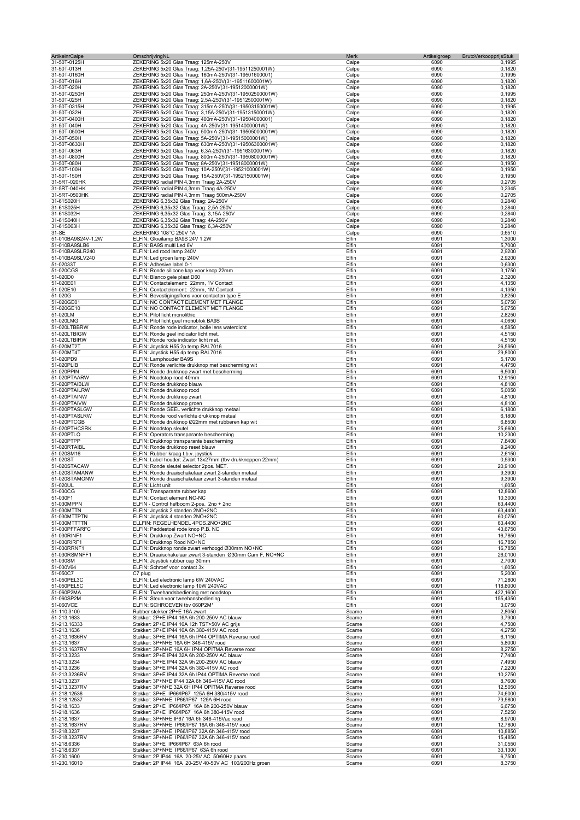| <b>ArtikelnrCalpe</b>            | OmschrijvingNL                                                                                                | Merk           | Artikelgroep | BrutoVerkoopprijsStuk |
|----------------------------------|---------------------------------------------------------------------------------------------------------------|----------------|--------------|-----------------------|
| 31-50T-0125H                     | ZEKERING 5x20 Glas Traag: 125mA-250V                                                                          | Calpe          | 6090         | 0,1995                |
| 31-50T-013H<br>31-50T-0160H      | ZEKERING 5x20 Glas Traag: 1,25A-250V(31-19511250001W)                                                         | Calpe          | 6090<br>6090 | 0,1820<br>0,1995      |
| 31-50T-016H                      | ZEKERING 5x20 Glas Traag: 160mA-250V(31-19501600001)<br>ZEKERING 5x20 Glas Traag: 1,6A-250V(31-19511600001W)  | Calpe<br>Calpe | 6090         | 0,1820                |
| 31-50T-020H                      | ZEKERING 5x20 Glas Traag: 2A-250V(31-19512000001W)                                                            | Calpe          | 6090         | 0,1820                |
| 31-50T-0250H                     | ZEKERING 5x20 Glas Traag: 250mA-250V(31-19502500001W)                                                         | Calpe          | 6090         | 0,1995                |
| 31-50T-025H                      | ZEKERING 5x20 Glas Traag: 2,5A-250V(31-19512500001W)                                                          | Calpe          | 6090         | 0,1820                |
| 31-50T-0315H                     | ZEKERING 5x20 Glas Traag: 315mA-250V(31-19503150001W)                                                         | Calpe          | 6090         | 0,1995                |
| 31-50T-032H                      | ZEKERING 5x20 Glas Traag: 3,15A-250V(31-19513150001W)                                                         | Calpe          | 6090         | 0,1820                |
| 31-50T-0400H                     | ZEKERING 5x20 Glas Traag: 400mA-250V(31-19504000001)                                                          | Calpe          | 6090         | 0,1820                |
| 31-50T-040H                      | ZEKERING 5x20 Glas Traag: 4A-250V(31-19514000001W)                                                            | Calpe          | 6090         | 0,1820                |
| 31-50T-0500H                     | ZEKERING 5x20 Glas Traag: 500mA-250V(31-19505000001W)                                                         | Calpe          | 6090         | 0,1820                |
| 31-50T-050H                      | ZEKERING 5x20 Glas Traag: 5A-250V(31-19515000001W)                                                            | Calpe          | 6090         | 0,1820                |
| 31-50T-0630H<br>31-50T-063H      | ZEKERING 5x20 Glas Traag: 630mA-250V(31-19506300001W)<br>ZEKERING 5x20 Glas Traag: 6,3A-250V(31-19516300001W) | Calpe<br>Calpe | 6090<br>6090 | 0,1820<br>0,1820      |
| 31-50T-0800H                     | ZEKERING 5x20 Glas Traag: 800mA-250V(31-19508000001W)                                                         | Calpe          | 6090         | 0,1820                |
| 31-50T-080H                      | ZEKERING 5x20 Glas Traag: 8A-250V(31-19518000001W)                                                            | Calpe          | 6090         | 0,1950                |
| 31-50T-100H                      | ZEKERING 5x20 Glas Traag: 10A-250V(31-19521000001W)                                                           | Calpe          | 6090         | 0,1950                |
| 31-50T-150H                      | ZEKERING 5x20 Glas Traag: 15A-250V(31-19521500001W)                                                           | Calpe          | 6090         | 0,1950                |
| 31-5RT-020HK                     | ZEKERING radial PIN 4,3mm Traag 2A-250V                                                                       | Calpe          | 6090         | 0,2705                |
| 31-5RT-040HK                     | ZEKERING radial PIN 4,3mm Traag 4A-250V                                                                       | Calpe          | 6090         | 0,2345                |
| 31-5RT-0500HK                    | ZEKERING radial PIN 4,3mm Traag 500mA-250V                                                                    | Calpe          | 6090         | 0,2705                |
| 31-61S020H                       | ZEKERING 6,35x32 Glas Traag: 2A-250V                                                                          | Calpe          | 6090         | 0,2840                |
| 31-61S025H                       | ZEKERING 6,35x32 Glas Traag: 2,5A-250V                                                                        | Calpe          | 6090         | 0,2840                |
| 31-61S032H                       | ZEKERING 6,35x32 Glas Traag: 3,15A-250V                                                                       | Calpe          | 6090         | 0,2840                |
| 31-61S040H                       | ZEKERING 6,35x32 Glas Traag: 4A-250V                                                                          | Calpe          | 6090         | 0,2840                |
| 31-61S063H                       | ZEKERING 6,35x32 Glas Traag: 6,3A-250V                                                                        | Calpe          | 6090         | 0,2840                |
| 31-SE                            | ZEKERING 108°C 250V 1A                                                                                        | Calpe          | 6090         | 0,6510                |
| 51-010BA9S24V-1.2W               | ELFIN: Gloeilamp BA9S 24V 1.2W                                                                                | Elfin          | 6091         | 1,3000                |
| 51-010BA9SLB6<br>51-010BA9SLR240 | ELFIN: BA9S multi Led 6V<br>ELFIN: Led rood lamp 240V                                                         | Elfin<br>Elfin | 6091<br>6091 | 5,7000                |
| 51-010BA9SLV240                  | ELFIN: Led groen lamp 240V                                                                                    | Elfin          | 6091         | 2,9200<br>2,9200      |
| 51-02033T                        | ELFIN: Adhesive label 0-1                                                                                     | Elfin          | 6091         | 0,6300                |
| 51-020CGS                        | ELFIN: Ronde silicone kap voor knop 22mm                                                                      | Elfin          | 6091         | 3,1750                |
| 51-020D0                         | ELFIN: Blanco gele plaat D60                                                                                  | Elfin          | 6091         | 2,3200                |
| 51-020E01                        | ELFIN: Contactelement: 22mm, 1V Contact                                                                       | Elfin          | 6091         | 4,1350                |
| 51-020E10                        | ELFIN: Contactelement: 22mm, 1M Contact                                                                       | Elfin          | 6091         | 4,1350                |
| 51-020G                          | ELFIN: Bevestigingsflens voor contacten type E                                                                | Elfin          | 6091         | 0,8250                |
| 51-020GE01                       | ELFIN: NC CONTACT ELEMENT MET FLANGE                                                                          | Elfin          | 6091         | 5,0750                |
| 51-020GE10                       | ELFIN: NO CONTACT ELEMENT MET FLANGE                                                                          | Elfin          | 6091         | 5,0750                |
| 51-020LM                         | ELFIN: Pilot licht monolithic                                                                                 | Elfin          | 6091         | 2,8250                |
| 51-020LMG                        | ELFIN: Pilot licht geel monoblok BA9S                                                                         | Elfin          | 6091         | 4,0650                |
| 51-020LTBBRW                     | ELFIN: Ronde rode indicator, bolle lens waterdicht                                                            | Elfin          | 6091         | 4,5850                |
| 51-020LTBIGW                     | ELFIN: Ronde geel indicator licht met.                                                                        | Elfin          | 6091         | 4,5150                |
| 51-020LTBIRW                     | ELFIN: Ronde rode indicator licht met.                                                                        | Elfin          | 6091         | 4,5150                |
| 51-020MT2T                       | ELFIN: Joystick H55 2p temp RAL7016                                                                           | Elfin          | 6091         | 26,5950               |
| 51-020MT4T                       | ELFIN: Joystick H55 4p temp RAL7016                                                                           | Elfin<br>Elfin | 6091         | 29,8000               |
| 51-020PD9<br>51-020PLIB          | ELFIN: Lamphouder BA9S<br>ELFIN: Ronde verlichte drukknop met bescherming wit                                 | Elfin          | 6091<br>6091 | 5,1700<br>4,4750      |
| 51-020PPIN                       | ELFIN: Ronde drukknop zwart met bescherming                                                                   | Elfin          | 6091         | 6,5000                |
| 51-020PTAARW                     | ELFIN: Noodstop rood 40mm                                                                                     | Elfin          | 6091         | 12,9150               |
| 51-020PTAIBLW                    | ELFIN: Ronde drukknop blauw                                                                                   | Elfin          | 6091         | 4,8100                |
| 51-020PTAILRW                    | ELFIN: Ronde drukknop rood                                                                                    | Elfin          | 6091         | 5,0050                |
| 51-020PTAINW                     | ELFIN: Ronde drukknop zwart                                                                                   | Elfin          | 6091         | 4,8100                |
| 51-020PTAIVW                     | ELFIN: Ronde drukknop groen                                                                                   | Elfin          | 6091         | 4,8100                |
| 51-020PTASLGW                    | ELFIN: Ronde GEEL verlichte drukknop metaal                                                                   | Elfin          | 6091         | 6,1800                |
| 51-020PTASLRW                    | ELFIN: Ronde rood verlichte drukknop metaal                                                                   | Elfin          | 6091         | 6,1800                |
| 51-020PTCGB                      | ELFIN: Ronde drukknop Ø22mm met rubberen kap wit                                                              | Elfin          | 6091         | 6,8500                |
| 51-020PTHCSRK                    | ELFIN: Noodstop sleutel                                                                                       | Elfin          | 6091         | 25,6600               |
| 51-020PTLO                       | ELFIN: Operators transparante bescherming                                                                     | Elfin          | 6091         | 10,2300               |
| 51-020PTPP                       | ELFIN: Drukknop transparante bescherming                                                                      | Elfin          | 6091         | 7,8400                |
| 51-020RTAIBL                     | ELFIN: Ronde drukknop reset blauw                                                                             | Elfin          | 6091         | 9,2400                |
| 51-020SM16                       | ELFIN: Rubber kraag t.b.v. joystick                                                                           | Elfin          | 6091         | 2,6150                |
| 51-020ST<br>51-020STACAW         | ELFIN: Label houder: Zwart 13x27mm (tbv drukknoppen 22mm)<br>ELFIN: Ronde sleutel selector 2pos. MET.         | Elfin<br>Elfin | 6091<br>6091 | 0,5300<br>20,9100     |
| 51-020STAMANW                    | ELFIN: Ronde draaischakelaar zwart 2-standen metaal                                                           | Elfin          | 6091         | 9,3900                |
| 51-020STAMONW                    | ELFIN: Ronde draaischakelaar zwart 3-standen metaal                                                           | Elfin          | 6091         | 9,3900                |
| 51-020UL                         | ELFIN: Licht unit                                                                                             | Elfin          | 6091         | 1,6050                |
| 51-030CG                         | ELFIN: Transparante rubber kap                                                                                | Eltın          | 6091         | 12.8600               |
| 51-030F1                         | ELFIN: Contact element NO-NC                                                                                  | Elfin          | 6091         | 10,3000               |
| 51-030MPPN                       | ELFIN - Control hefboom 2-pos. 2no + 2nc                                                                      | Elfin          | 6091         | 63,4400               |
| 51-030MTTN                       | ELFIN: Joystick 2 standen 2NO+2NC                                                                             | Elfin          | 6091         | 63,4400               |
| 51-030MTTPTN                     | ELFIN: Joystick 4 standen 2NO+2NC                                                                             | Elfin          | 6091         | 60,0750               |
| 51-030MTTTTN                     | ELLFIN: REGELHENDEL 4POS.2NO+2NC                                                                              | Elfin          | 6091         | 63,4400               |
| 51-030PFFARFC                    | ELFIN: Paddestoel rode knop P.B. NC                                                                           | Elfin          | 6091         | 43,6750               |
| 51-030RINF1                      | ELFIN: Drukknop Zwart NO+NC                                                                                   | Elfin          | 6091         | 16,7850               |
| 51-030RIRF1                      | ELFIN: Drukknop Rood NO+NC                                                                                    | Elfin          | 6091         | 16,7850               |
| 51-030RRNF1<br>51-030RSMNFF1     | ELFIN: Drukknop ronde zwart verhoogd Ø30mm NO+NC<br>ELFIN: Draaischakelaar zwart 3-standen Ø30mm Cam F, NO+NC | Elfin<br>Elfin | 6091<br>6091 | 16,7850<br>26,0100    |
| 51-030SM                         | ELFIN: Jovstick rubber cap 30mm                                                                               | Elfin          | 6091         | 2,7000                |
| 51-030V64                        | ELFIN: Schroef voor contact 3x                                                                                | Elfin          | 6091         | 1,6050                |
| 51-050C7                         | C7 plug                                                                                                       | Elfin          | 6091         | 5,2000                |
| 51-050PEL3C                      | ELFIN: Led electronic lamp 6W 240VAC                                                                          | Elfin          | 6091         | 71,2800               |
| 51-050PEL5C                      | ELFIN: Led electronic lamp 10W 240VAC                                                                         | Elfin          | 6091         | 118,8000              |
| 51-060P2MA                       | ELFIN: Tweehandsbediening met noodstop                                                                        | Elfin          | 6091         | 422,1600              |
| 51-060SP2M                       | ELFIN: Steun voor tweehansbediening                                                                           | Elfin          | 6091         | 155,4350              |
| 51-060VCE                        | ELFIN: SCHROEVEN tbv 060P2M*                                                                                  | Elfin          | 6091         | 3,0750                |
| 51-110.3100                      | Rubber stekker 2P+E 16A zwart                                                                                 | Scame          | 6091         | 2,8050                |
| 51-213.1633                      | Stekker: 2P+E IP44 16A 6h 200-250V AC blauw                                                                   | Scame          | 6091         | 3,7900                |
| 51-213.16333<br>51-213.1636      | Stekker: 2P+E IP44 16A 12h TST>50V AC grijs<br>Stekker: 3P+E IP44 16A 6h 380-415V AC rood                     | Scame<br>Scame | 6091<br>6091 | 4,7500<br>4,2750      |
| 51-213.1636RV                    | Stekker: 3P+E IP44 16A 6h IP44 OPTIMA Reverse rood                                                            | Scame          | 6091         | 6,1150                |
| 51-213.1637                      | Stekker: 3P+N+E 16A 6H 346-415V rood                                                                          | Scame          | 6091         | 5,8000                |
| 51-213.1637RV                    | Stekker: 3P+N+E 16A 6H IP44 OPITMA Reverse rood                                                               | Scame          | 6091         | 8,2750                |
| 51-213.3233                      | Stekker: 2P+E IP44 32A 6h 200-250V AC blauw                                                                   | Scame          | 6091         | 7,7400                |
| 51-213.3234                      | Stekker: 3P+E IP44 32A 9h 200-250V AC blauw                                                                   | Scame          | 6091         | 7,4950                |
| 51-213.3236                      | Stekker: 3P+E IP44 32A 6h 380-415V AC rood                                                                    | Scame          | 6091         | 7,2200                |
| 51-213.3236RV                    | Stekker: 3P+E IP44 32A 6h IP44 OPTIMA Reverse rood                                                            | Scame          | 6091         | 10,2750               |
| 51-213.3237                      | Stekker: 3P+N+E IP44 32A 6h 346-415V AC rood                                                                  | Scame          | 6091         | 8,7600                |
| 51-213.3237RV                    | Stekker: 3P+N+E 32A 6H IP44 OPITMA Reverse rood                                                               | Scame          | 6091         | 12,5050               |
| 51-218.12536                     | Stekker: 3P+E IP66/IP67 125A 6H 380/415V rood                                                                 | Scame          | 6091         | 74,6000               |
| 51-218.12537                     | Stekker: 3P+N+E IP66/IP67 125A 6H rood                                                                        | Scame          | 6091         | 79,5800               |
| 51-218.1633                      | Stekker: 2P+E IP66/IP67 16A 6h 200-250V blauw                                                                 | Scame          | 6091         | 6,6750                |
| 51-218.1636<br>51-218.1637       | Stekker: 3P+E IP66/IP67 16A 6h 380-415V rood<br>Stekker: 3P+N+E IP67 16A 6h 346-415Vac rood                   | Scame          | 6091<br>6091 | 7,5250                |
| 51-218.1637RV                    | Stekker: 3P+N+E IP66/IP67 16A 6h 346-415V rood                                                                | Scame<br>Scame | 6091         | 8,9700<br>12,7800     |
| 51-218.3237                      | Stekker: 3P+N+E IP66/IP67 32A 6h 346-415V rood                                                                | Scame          | 6091         | 10,8850               |
| 51-218.3237RV                    | Stekker: 3P+N+E IP66/IP67 32A 6h 346-415V rood                                                                | Scame          | 6091         | 15,4850               |
| 51-218.6336                      | Stekker: 3P+E IP66/IP67 63A 6h rood                                                                           | Scame          | 6091         | 31,0550               |
| 51-218.6337                      | Stekker: 3P+N+E IP66/IP67 63A 6h rood                                                                         | Scame          | 6091         | 33,1300               |
| 51-230.1600                      | Stekker: 2P IP44 16A 20-25V AC 50/60Hz paars                                                                  | Scame          | 6091         | 6,7500                |
| 51-230.16010                     | Stekker: 2P IP44 16A 20-25V 40-50V AC 100/200Hz groen                                                         | Scame          | 6091         | 8,3750                |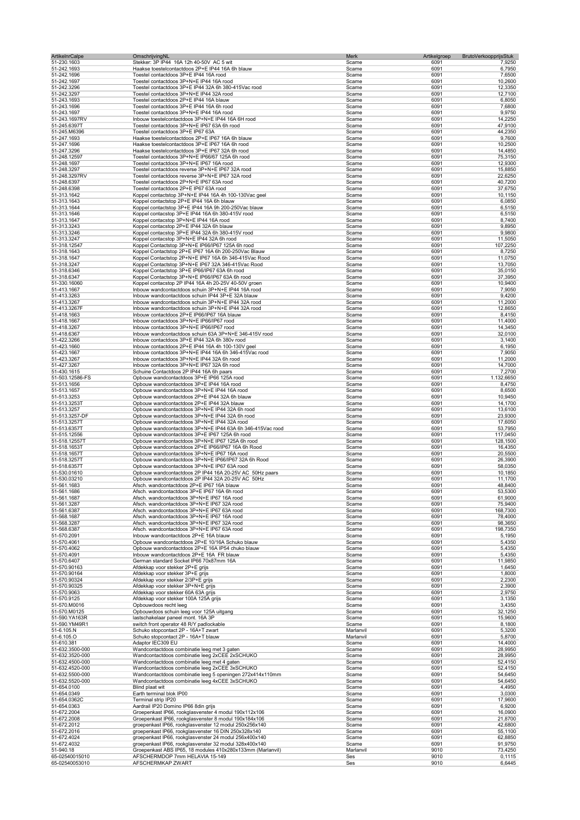| <b>ArtikelnrCalpe</b>              | OmschrijvingNL                                                                                                   | Merk<br>Artikelgroep           | BrutoVerkoopprijsStuk |
|------------------------------------|------------------------------------------------------------------------------------------------------------------|--------------------------------|-----------------------|
| 51-230.1603                        | Stekker: 3P IP44 16A 12h 40-50V AC 5 wit                                                                         | Scame<br>6091                  | 7,9250                |
| 51-242.1693<br>51-242.1696         | Haakse toestelcontactdoos 2P+E IP44 16A 6h blauw<br>Toestel contactdoos 3P+E IP44 16A rood                       | Scame<br>6091<br>Scame<br>6091 | 6,7950<br>7,6500      |
| 51-242.1697                        | Toestel contactdoos 3P+N+E IP44 16A rood                                                                         | 6091<br>Scame                  | 10,2600               |
| 51-242.3296                        | Toestel contactdoos 3P+E IP44 32A 6h 380-415Vac rood                                                             | 6091<br>Scame                  | 12,3350               |
| 51-242.3297                        | Toestel contactdoos 3P+N+E IP44 32A rood                                                                         | Scame<br>6091                  | 12,7100               |
| 51-243.1693                        | Toestel contactdoos 2P+E IP44 16A blauw                                                                          | 6091<br>Scame                  | 6,8050                |
| 51-243.1696                        | Toestel contactdoos 3P+E IP44 16A 6h rood                                                                        | 6091<br>Scame                  | 7,6800                |
| 51-243.1697                        | Toestel contactdoos 3P+N+E IP44 16A rood                                                                         | Scame<br>6091                  | 9,9750                |
| 51-243.1697RV<br>51-245.6397T      | Inbouw toestelcontactdoos 3P+N+E IP44 16A 6H rood<br>Toestel contactdoos 3P+N+E IP67 63A 6h rood                 | Scame<br>6091<br>6091<br>Scame | 14,2250<br>47,9100    |
| 51-245.M6396                       | Toestel contactdoos 3P+E IP67 63A                                                                                | Scame<br>6091                  | 44,2350               |
| 51-247.1693                        | Haakse toestelcontactdoos 2P+E IP67 16A 6h blauw                                                                 | Scame<br>6091                  | 9,7600                |
| 51-247.1696                        | Haakse toestelcontactdoos 3P+E IP67 16A 6h rood                                                                  | 6091<br>Scame                  | 10,2500               |
| 51-247.3296                        | Haakse toestelcontactdoos 3P+E IP67 32A 6h rood                                                                  | 6091<br>Scame                  | 14,4850               |
| 51-248.12597                       | Toestel contactdoos 3P+N+E IP66/67 125A 6h rood                                                                  | 6091<br>Scame                  | 75,3150               |
| 51-248.1697                        | Toestel contactdoos 3P+N+E IP67 16A rood                                                                         | 6091<br>Scame                  | 12,9300               |
| 51-248.3297<br>51-248.3297RV       | Toestel contactdoos reverse 3P+N+E IP67 32A rood<br>Toestel contactdoos reverse 3P+N+E IP67 32A rood             | 6091<br>Scame<br>Scame<br>6091 | 15,8850<br>22,6250    |
| 51-248.6397                        | Toestel contactdoos 2P+N+E IP67 63A rood                                                                         | 6091<br>Scame                  | 40,7200               |
| 51-248.6398                        | Toestel contactdoos 2P+E IP67 63A rood                                                                           | Scame<br>6091                  | 37,6750               |
| 51-313.1642                        | Koppel contactstop 3P+N+E IP44 16A 4h 100-130Vac geel                                                            | Scame<br>6091                  | 10,1150               |
| 51-313.1643                        | Koppel contactstop 2P+E IP44 16A 6h blauw                                                                        | Scame<br>6091                  | 6,0850                |
| 51-313.1644                        | Koppel contactstop 3P+E IP44 16A 9h 200-250Vac blauw                                                             | Scame<br>6091                  | 6,5150                |
| 51-313.1646                        | Koppel contacstop 3P+E IP44 16A 6h 380-415V rood                                                                 | Scame<br>6091                  | 6,5150                |
| 51-313.1647                        | Koppel contacstop 3P+N+E IP44 16A rood                                                                           | 6091<br>Scame                  | 8,7400                |
| 51-313.3243                        | Koppel contacstop 2P+E IP44 32A 6h blauw                                                                         | Scame<br>6091                  | 9,8950                |
| 51-313.3246<br>51-313.3247         | Koppel contacstop 3P+E IP44 32A 6h 380-415V rood<br>Koppel contacstop 3P+N+E IP44 32A 6h rood                    | 6091<br>Scame<br>6091<br>Scame | 9,9800<br>11,5050     |
| 51-318.12547                       | Koppel Contactstop 3P+N+E IP66/IP67 125A 6h rood                                                                 | 6091<br>Scame                  | 107,2250              |
| 51-318.1643                        | Koppel Contactstop 2P+E IP67 16A 6h 200-250Vac Blauw                                                             | Scame<br>6091                  | 8,7250                |
| 51-318.1647                        | Koppel Contactstop 2P+N+E IP67 16A 6h 346-415Vac Rood                                                            | 6091<br>Scame                  | 11,0750               |
| 51-318.3247                        | Koppel Contactstop 3P+N+E IP67 32A 346-415Vac Rood                                                               | 6091<br>Scame                  | 13,7050               |
| 51-318.6346                        | Koppel Contactstop 3P+E IP66/IP67 63A 6h rood                                                                    | Scame<br>6091                  | 35,0150               |
| 51-318.6347                        | Koppel Contactstop 3P+N+E IP66/IP67 63A 6h rood                                                                  | Scame<br>6091                  | 37,3950               |
| 51-330.16060                       | Koppel contacstop 2P IP44 16A 4h 20-25V 40-50V groen                                                             | 6091<br>Scame                  | 10,9400               |
| 51-413.1667                        | Inbouw wandcontactdoos schuin 3P+N+E IP44 16A rood                                                               | Scame<br>6091                  | 7,9050                |
| 51-413.3263                        | Inbouw wandcontactdoos schuin IP44 3P+E 32A blauw                                                                | 6091<br>Scame<br>6091          | 9,4200                |
| 51-413.3267<br>51-413.3267F        | Inbouw wandcontactdoos schuin 3P+N+E IP44 32A rood<br>Inbouw wandcontactdoos schuin 3P+N+E IP44 32A rood         | Scame<br>6091<br>Scame         | 11,2000<br>12,8650    |
| 51-418.1663                        | Inbouw contactdoos 2P+E IP66/IP67 16A blauw                                                                      | 6091<br>Scame                  | 8,4150                |
| 51-418.1667                        | Inbouw contactdoos 3P+N+E IP66/IP67 rood                                                                         | 6091<br>Scame                  | 11,4000               |
| 51-418.3267                        | Inbouw contactdoos 3P+N+E IP66/IP67 rood                                                                         | 6091<br>Scame                  | 14,3450               |
| 51-418.6367                        | Inbouw wandcontactdoos schuin 63A 3P+N+E 346-415V rood                                                           | Scame<br>6091                  | 32,0100               |
| 51-422.3266                        | Inbouw contactdoos 3P+E IP44 32A 6h 380v rood                                                                    | Scame<br>6091                  | 3,1400                |
| 51-423.1660                        | Inbouw contactdoos 2P+E IP44 16A 4h 100-130V geel                                                                | Scame<br>6091                  | 6,1950                |
| 51-423.1667                        | Inbouw contactdoos 3P+N+E IP44 16A 6h 346-415Vac rood                                                            | Scame<br>6091                  | 7,9050                |
| 51-423.3267                        | Inbouw contactdoos 3P+N+E IP44 32A 6h rood                                                                       | Scame<br>6091                  | 11,2000               |
| 51-427.3267<br>51-430.1615         | Inbouw contactdoos 3P+N+E IP67 32A 6h rood<br>Schuine Contactdoos 2P IP44 16A 6h paars                           | Scame<br>6091<br>Scame<br>6091 | 14,7000<br>7,2700     |
| 51-503.12586-FS                    | Opbouw wandcontactdoos 3P+E IP66 125A rood                                                                       | 6091<br>Scame                  | 1.132,6650            |
| 51-513.1656                        | Opbouw wandcontactdoos 3P+E IP44 16A rood                                                                        | Scame<br>6091                  | 8,4750                |
| 51-513.1657                        | Opbouw wandcontactdoos 3P+N+E IP44 16A rood                                                                      | Scame<br>6091                  | 8,6500                |
| 51-513.3253                        | Opbouw wandcontactdoos 2P+E IP44 32A 6h blauw                                                                    | 6091<br>Scame                  | 10,9450               |
| 51-513.3253T                       | Opbouw wandcontactdoos 2P+E IP44 32A blauw                                                                       | 6091<br>Scame                  | 14,1700               |
| 51-513.3257                        | Opbouw wandcontactdoos 3P+N+E IP44 32A 6h rood                                                                   | Scame<br>6091                  | 13,6100               |
| 51-513.3257-DF                     | Opbouw wandcontactdoos 3P+N+E IP44 32A 6h rood                                                                   | 6091<br>Scame                  | 23,9300               |
| 51-513.3257T                       | Opbouw wandcontactdoos 3P+N+E IP44 32A rood                                                                      | 6091<br>Scame<br>Scame<br>6091 | 17,6050               |
| 51-513.6357T<br>51-515.12556       | Opbouw wandcontactdoos 3P+N+E IP44 63A 6h 346-415Vac rood<br>Opbouw wandcontactdoos 3P+E IP67 125A 6h rood       | Scame<br>6091                  | 53,7950<br>117,0450   |
| 51-518.12557T                      | Opbouw wandcontactdoos 3P+N+E IP67 125A 6h rood                                                                  | 6091<br>Scame                  | 128,1500              |
| 51-518.1653T                       | Opbouw wandcontactdoos 2P+E IP66/IP67 16A 6h Rood                                                                | Scame<br>6091                  | 16,4350               |
| 51-518.1657T                       | Opbouw wandcontactdoos 3P+N+E IP67 16A rood                                                                      | 6091<br>Scame                  | 20,5500               |
| 51-518.3257T                       | Opbouw wandcontactdoos 3P+N+E IP66/IP67 32A 6h Rood                                                              | Scame<br>6091                  | 26,3900               |
| 51-518.6357T                       | Opbouw wandcontactdoos 3P+N+E IP67 63A rood                                                                      | Scame<br>6091                  | 58,0350               |
| 51-530.01610                       | Opbouw wandcontactdoos 2P IP44 16A 20-25V AC 50Hz paars                                                          | Scame<br>6091                  | 10,1850               |
| 51-530.03210                       | Opbouw wandcontactdoos 2P IP44 32A 20-25V AC 50Hz                                                                | 6091<br>Scame                  | 11,1700               |
| 51-561.1683                        | Afsch. wandcontactdoos 2P+E IP67 16A blauw                                                                       | Scame<br>6091                  | 48,8400               |
| 51-561.1686<br>51-561.1687         | Afsch. wandcontactdoos 3P+E IP67 16A 6h rood<br>Afsch. wandcontactdoos 3P+N+E IP67 16A rood                      | Scame<br>6091<br>6091<br>Scame | 53,5300<br>61,9000    |
| 51-561.3287                        | Afsch. wandcontactdoos 3P+N+E IP67 32A rood                                                                      | 6091<br>Scame                  | 75,9400               |
| 51-561.6387                        | Afsch. wandcontactdoos 3P+N+E IP67 63A rood                                                                      | Scame<br>6091                  | 168,7300              |
| 51-568.1687                        | Afsch. wandcontactdoos 3P+N+E IP67 16A rood                                                                      | 6091<br>Scame                  | 78,4000               |
| 51-568.3287                        | Afsch. wandcontactdoos 3P+N+E IP67 32A rood                                                                      | 6091<br>Scame                  | 98,3650               |
| 51-568.6387                        | Afsch. wandcontactdoos 3P+N+E IP67 63A rood                                                                      | Scame<br>6091                  | 198,7350              |
| 51-570.2091                        | Inbouw wandcontactdoos 2P+E 16A blauw                                                                            | 6091<br>Scame                  | 5,1950                |
| 51-570.4061                        | Opbouw wandcontactdoos 2P+E 10/16A Schuko blauw                                                                  | 6091<br>Scame                  | 5,4350                |
| 51-570.4062<br>51-570.4091         | Opbouw wandcontactdoos 2P+E 16A IP54 chuko blauw<br>Inbouw wandcontactdoos 2P+E 16A FR blauw                     | 6091<br>Scame<br>6091          | 5,4350<br>5,4350      |
| 51-570.6407                        | German standard Socket IP66 70x87mm 16A                                                                          | Scame<br>6091<br>Scame         | 11,9850               |
| 51-570.90163                       | Afdekkap voor stekker 2P+E grijs                                                                                 | Scame<br>6091                  | 1,6450                |
| 51-570.90164                       | Afdekkap voor stekker 3P+E grijs                                                                                 | 6091<br>Scame                  | 1,8000                |
| 51-570.90324                       | Afdekkap voor stekker 2/3P+E grijs                                                                               | Scame<br>6091                  | 2,2300                |
| 51-570.90325                       | Afdekkap voor stekker 3P+N+E grijs                                                                               | Scame<br>6091                  | 2,3900                |
| 51-570.9063                        | Afdekkap voor stekker 60A 63A grijs                                                                              | 6091<br>Scame                  | 2,9750                |
| 51-570.9125                        | Afdekkap voor stekker 100A 125A grijs                                                                            | 6091<br>Scame                  | 3,1350                |
| 51-570.M0016                       | Opbouwdoos recht leeg                                                                                            | Scame<br>6091                  | 3,4350                |
| 51-570.M0125<br>51-590.YA163R      | Opbouwdoos schuin leeg voor 125A uitgang<br>lastschakelaar paneel mont. 16A 3P                                   | 6091<br>Scame<br>6091<br>Scame | 32,1250<br>15,9600    |
| 51-590.YM49R1                      | switch front operator 48 R/Y padlockable                                                                         | Scame<br>6091                  | 8,1800                |
| 51-6.105.N                         | Schuko stopcontact 2P - 16A+T zwart                                                                              | 6091<br>Marlanvil              | 5,3200                |
| 51-6.105.O                         | Schuko stopcontact 2P - 16A+T blauw                                                                              | 6091<br>Marlanvil              | 5,8700                |
| 51-610.381                         | Adaptor IEC309 EU                                                                                                | 6091<br>Scame                  | 14,4000               |
| 51-632.3500-000                    | Wandcontactdoos combinatie leeg met 3 gaten                                                                      | 6091<br>Scame                  | 28,9950               |
| 51-632.3520-000                    | Wandcontactdoos combinatie leeg 2xCEE 2xSCHUKO                                                                   | Scame<br>6091                  | 28,9950               |
| 51-632.4500-000                    | Wandcontactdoos combinatie leeg met 4 gaten                                                                      | Scame<br>6091                  | 52,4150               |
| 51-632.4520-000                    | Wandcontactdoos combinatie leeg 2xCEE 3xSCHUKO                                                                   | Scame<br>6091<br>6091          | 52,4150               |
| 51-632.5500-000<br>51-632.5520-000 | Wandcontactdoos combinatie leeg 5 openingen 272x414x110mm<br>Wandcontactdoos combinatie leeg 4xCEE 3xSCHUKO      | Scame<br>6091<br>Scame         | 54,6450<br>54,6450    |
| 51-654.0100                        | Blind plaat wit                                                                                                  | 6091<br>Scame                  | 4,4950                |
| 51-654.0349                        | Earth terminal blok IP00                                                                                         | 6091<br>Scame                  | 3,0300                |
| 51-654.0362C                       | Terminal strip IP20                                                                                              | 6091<br>Scame                  | 17,9600               |
| 51-654.0363                        | Aardrail IP20 Domino IP66 8din grijs                                                                             | 6091<br>Scame                  | 6,9200                |
| 51-672.2004                        | Groepenkast IP66, rookglasvenster 4 modul 190x112x106                                                            | 6091<br>Scame                  | 16,0900               |
| 51-672.2008                        | Groepenkast IP66, rookglasvenster 8 modul 190x184x106                                                            | 6091<br>Scame                  | 21,8700               |
| 51-672.2012                        | groepenkast IP66, rookglasvenster 12 modul 250x256x140                                                           | Scame<br>6091                  | 42,6800               |
| 51-672.2016                        | groepenkast IP66, rookglasvenster 16 DIN 250x328x140                                                             | Scame<br>6091                  | 55,1100               |
| 51-672.4024<br>51-672.4032         | groepenkast IP66, rookglasvenster 24 modul 256x400x140<br>groepenkast IP66, rookglasvenster 32 modul 328x400x140 | Scame<br>6091<br>Scame<br>6091 | 62,8850<br>91,9750    |
| 51-940.18                          | Groepenkast ABS IP65, 18 modules 410x280x133mm (Marlanvil)                                                       | 9010<br>Marlanvil              | 73,4250               |
| 65-02540015010                     | AFSCHERMDOP 7mm HELAVIA 15-149                                                                                   | Ses<br>9010                    | 0,1115                |
| 65-02540053010                     | AFSCHERMKAP ZWART                                                                                                | Ses<br>9010                    | 6,6445                |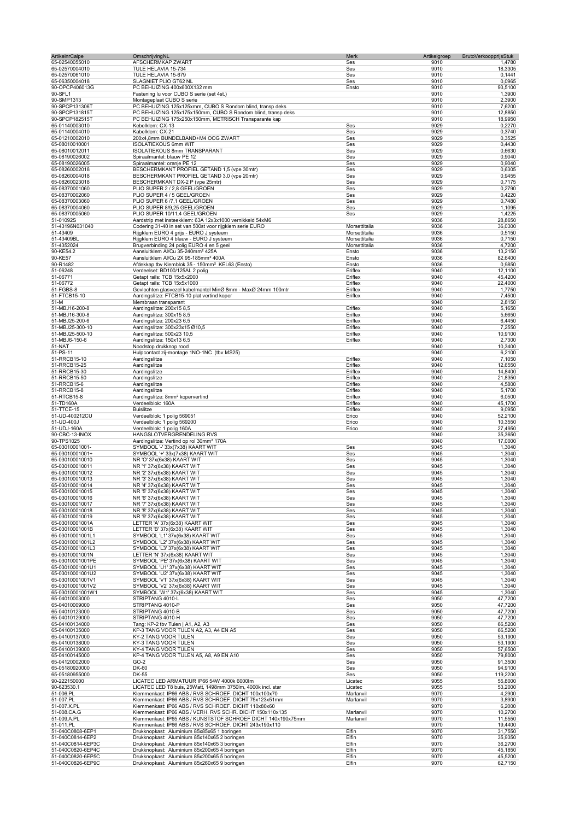| <b>ArtikelnrCalpe</b>                | OmschrijvingNL                                                                                                         | Merk               | Artikelgroep | BrutoVerkoopprijsStuk |                    |
|--------------------------------------|------------------------------------------------------------------------------------------------------------------------|--------------------|--------------|-----------------------|--------------------|
| 65-02540055010                       | AFSCHERMKAP ZWART                                                                                                      | Ses                | 9010         |                       | 1,4780             |
| 65-02570004010                       | TULE HELAVIA 15-734                                                                                                    | Ses                | 9010         |                       | 18,3305            |
| 65-02570061010                       | TULE HELAVIA 15-679                                                                                                    | Ses                | 9010         |                       | 0,1441             |
| 65-06350004018<br>90-OPCP406013G     | SLAGNIET PLIO GT62 NL<br>PC BEHUIZING 400x600X132 mm                                                                   | Ses<br>Ensto       | 9010<br>9010 |                       | 0,0965<br>93,5100  |
| 90-SFL1                              | Fastening lu voor CUBO S serie (set 4st.)                                                                              |                    | 9010         |                       | 1,3900             |
| 90-SMP1313                           | Montageplaat CUBO S serie                                                                                              |                    | 9010         |                       | 2,3900             |
| 90-SPCP131306T                       | PC BEHUIZING 125x125xmm, CUBO S Rondom blind, transp deks                                                              |                    | 9010         |                       | 7,6200             |
| 90-SPCP131815T                       | PC BEHUIZING 125x175x150mm, CUBO S Rondom blind, transp deks                                                           |                    | 9010         |                       | 12,8850            |
| 90-SPCP182515T                       | PC BEHUIZING 175x250x150mm, METRISCH Transparante kap                                                                  |                    | 9010         |                       | 18,9950            |
| 65-01140003010                       | Kebelklem: CX-13                                                                                                       | Ses                | 9029         |                       | 0,2270             |
| 65-01140004010                       | Kabelklem: CX-21                                                                                                       | Ses                | 9029         |                       | 0,3740             |
| 65-01210002010                       | 200x4,8mm BUNDELBAND+M4 OOG ZWART                                                                                      | Ses                | 9029         |                       | 0,3525             |
| 65-08010010001<br>65-08010012011     | <b>ISOLATIEKOUS 6mm WIT</b><br>ISOLATIEKOUS 8mm TRANSPARANT                                                            | Ses<br>Ses         | 9029<br>9029 |                       | 0,4430<br>0,6630   |
| 65-08190026002                       | Spiraalmantel: blauw PE 12                                                                                             | Ses                | 9029         |                       | 0,9040             |
| 65-08190026005                       | Spiraalmantel: oranje PE 12                                                                                            | Ses                | 9029         |                       | 0,9040             |
| 65-08260002018                       | BESCHERMKANT PROFIEL GETAND 1,5 (vpe 30mtr)                                                                            | Ses                | 9029         |                       | 0,6305             |
| 65-08260004018                       | BESCHERMKANT PROFIEL GETAND 3,0 (vpe 20mtr)                                                                            | Ses                | 9029         |                       | 0,9455             |
| 65-08260023018                       | BESCHERMKANT DX-2 P (vpe 25mtr)                                                                                        | Ses                | 9029         |                       | 0,7175             |
| 65-08370001060                       | PLIO SUPER 2 / 2,8 GEEL/GROEN                                                                                          | Ses                | 9029         |                       | 0,2790             |
| 65-08370002060                       | PLIO SUPER 4 / 5 GEEL/GROEN                                                                                            | Ses                | 9029         |                       | 0,4220             |
| 65-08370003060                       | PLIO SUPER 6 /7,1 GEEL/GROEN                                                                                           | Ses                | 9029         |                       | 0,7480             |
| 65-08370004060                       | PLIO SUPER 8/9,25 GEEL/GROEN                                                                                           | Ses                | 9029         |                       | 1,1095             |
| 65-08370005060                       | PLIO SUPER 10/11,4 GEEL/GROEN                                                                                          | Ses                | 9029         |                       | 1,4225             |
| 51-01092S<br>51-43196N031040         | Aardstrip met insteekklem: 63A 12x3x1000 vernikkeld 54xM6                                                              | Morsettitalia      | 9036<br>9036 |                       | 28,8650            |
| 51-43409                             | Codering 31-40 in set van 500st voor rijgklem serie EURO<br>Rijgklem EURO 4 grijs - EURO J systeem                     | Morsettitalia      | 9036         |                       | 36,0300<br>0,5150  |
| 51-43409BL                           | Rijgklem EURO 4 blauw - EURO J systeem                                                                                 | Morsettitalia      | 9036         |                       | 0,7150             |
| 51-4352024                           | Brugverbinding 24 polig EURO 4 en 5 geel                                                                               | Morsettitalia      | 9036         |                       | 4,7200             |
| 90-KE54.2                            | Aansluitklem Al/Cu 35-240mm <sup>2</sup> 425A                                                                          | Ensto              | 9036         |                       | 13,2150            |
| 90-KE57                              | Aansluitklem Al/Cu 2X 95-185mm <sup>2</sup> 400A                                                                       | Ensto              | 9036         |                       | 82,6400            |
| 90-R1482                             | Afdekkap tbv Klemblok 35 - 150mm <sup>2</sup> KEL63 (Ensto)                                                            | Ensto              | 9036         |                       | 0,9850             |
| 51-06248                             | Verdeelset: BD100/125AL 2 polig                                                                                        | Eriflex            | 9040         |                       | 12,1100            |
| 51-06771                             | Getapt rails: TCB 15x5x2000                                                                                            | Eriflex            | 9040         |                       | 45,4200            |
| 51-06772                             | Getapt rails: TCB 15x5x1000                                                                                            | Eriflex            | 9040         |                       | 22,4000            |
| 51-FGBS-8                            | Gevlochten glasvezel kabelmantel MinØ 8mm - MaxØ 24mm 100mtr                                                           | Eriflex            | 9040         |                       | 1,7750             |
| 51-FTCB15-10                         | Aardingslitze: FTCB15-10 plat vertind koper                                                                            | Eriflex            | 9040         |                       | 7,4500             |
| 51-M                                 | Membraan transparant                                                                                                   |                    | 9040         |                       | 2,8150             |
| 51-MBJ16-200-8                       | Aardingslitze: 200x15 8,5                                                                                              | Eriflex            | 9040         |                       | 5,1650             |
| 51-MBJ16-300-8                       | Aardingslitze: 300x15 8,5                                                                                              | Eriflex            | 9040         |                       | 5,6650             |
| 51-MBJ25-200-6                       | Aardingslitze: 200x23 6,5                                                                                              | Eriflex            | 9040         |                       | 6,4450             |
| 51-MBJ25-300-10<br>51-MBJ25-500-10   | Aardingslitze: 300x23x15 Ø10,5<br>Aardingslitze: 500x23 10,5                                                           | Eriflex<br>Eriflex | 9040<br>9040 |                       | 7,2550<br>10,9100  |
| 51-MBJ6-150-6                        | Aardingslitze: 150x13 6,5                                                                                              | Eriflex            | 9040         |                       | 2,7300             |
| 51-NAT                               | Noodstop drukknop rood                                                                                                 |                    | 9040         |                       | 10,3400            |
| 51-PS-11                             | Hulpcontact zij-montage 1NO-1NC (tbv MS25)                                                                             |                    | 9040         |                       | 6,2100             |
| 51-RRCB15-10                         | Aardingslitze                                                                                                          | Eriflex            | 9040         |                       | 7,1050             |
| 51-RRCB15-25                         | Aardingslitze                                                                                                          | Eriflex            | 9040         |                       | 12,6550            |
| 51-RRCB15-30                         | Aardingslitze                                                                                                          | Eriflex            | 9040         |                       | 14,8400            |
| 51-RRCB15-50                         | Aardingslitze                                                                                                          | Eriflex            | 9040         |                       | 21,8350            |
| 51-RRCB15-6                          | Aardingslitze                                                                                                          | Eriflex            | 9040         |                       | 4,5800             |
| 51-RRCB15-8                          | Aardingslitze                                                                                                          | Eriflex            | 9040         |                       | 5,1700             |
| 51-RTCB15-8                          | Aardingslitze: 8mm <sup>2</sup> kopervertind                                                                           | Eriflex            | 9040         |                       | 6,0500             |
| 51-TD160A                            | Verdeelblok: 160A                                                                                                      | Eriflex            | 9040         |                       | 45,1700            |
| 51-TTCE-15                           | <b>Buislitze</b><br>Verdeelblok: 1 polig 569051                                                                        | Eriflex            | 9040<br>9040 |                       | 9,0950<br>52,2100  |
| 51-UD-400212CU<br>51-UD-400J         | Verdeelblok: 1 polig 569200                                                                                            | Erico<br>Erico     | 9040         |                       | 10,3550            |
| 51-UDJ-160A                          | Verdeelblok: 1 polig 160A                                                                                              | Erico              | 9040         |                       | 27,4950            |
| 90-CBC-13-INOX                       | HANGSLOTVERGRENDELING RVS                                                                                              |                    | 9040         |                       | 35,3650            |
| 90-TPS1025                           | Aardingslitze: Vertind op rol 30mm <sup>2</sup> 170A                                                                   |                    | 9040         |                       | 17,0000            |
| 65-03010001001-                      | SYMBOOL '-' 33x(7x38) KAART WIT                                                                                        | Ses                | 9045         |                       | 1,3040             |
| 65-03010001001+                      | SYMBOOL '+' 33x(7x38) KAART WIT                                                                                        | Ses                | 9045         |                       | 1,3040             |
| 65-030100010010                      | NR 'O' 37x(6x38) KAART WIT                                                                                             | Ses                | 9045         |                       | 1,3040             |
| 65-030100010011                      | NR '1' 37x(6x38) KAART WIT                                                                                             | Ses                | 9045         |                       | 1,3040             |
| 65-030100010012                      | NR '2' 37x(6x38) KAART WIT                                                                                             | Ses                | 9045         |                       | 1,3040             |
| 65-030100010013                      | NR '3' 37x(6x38) KAART WIT                                                                                             | Ses                | 9045         |                       | 1,3040             |
| 65-030100010014                      | NR '4' 37x(6x38) KAART WIT                                                                                             | Ses                | 9045         |                       | 1,3040             |
| 65-030100010015                      | NR '5' 37x(6x38) KAART WIT                                                                                             | Ses                | 9045         |                       | 1,3040             |
| 65-030100010016<br>65-030100010017   | NR '6' 37x(6x38) KAART WIT<br>NR '7' 37x(6x38) KAART WIT                                                               | Ses                | 9045<br>9045 |                       | 1,3040             |
| 65-030100010018                      | NR '8' 37x(6x38) KAART WIT                                                                                             | Ses<br>Ses         | 9045         |                       | 1,3040<br>1,3040   |
| 65-030100010019                      | NR '9' 37x(6x38) KAART WIT                                                                                             | Ses                | 9045         |                       | 1,3040             |
| 65-03010001001A                      | LETTER 'A' 37x(6x38) KAART WIT                                                                                         | Ses                | 9045         |                       | 1,3040             |
| 65-03010001001B                      | LETTER 'B' 37x(6x38) KAART WIT                                                                                         | Ses                | 9045         |                       | 1,3040             |
| 65-03010001001L1                     | SYMBOOL 'L1' 37x(6x38) KAART WIT                                                                                       | Ses                | 9045         |                       | 1,3040             |
| 65-03010001001L2                     | SYMBOOL 'L2' 37x(6x38) KAART WIT                                                                                       | Ses                | 9045         |                       | 1,3040             |
| 65-03010001001L3                     | SYMBOOL 'L3' 37x(6x38) KAART WIT                                                                                       | Ses                | 9045         |                       | 1,3040             |
| 65-03010001001N                      | LETTER 'N' 37x(6x38) KAART WIT                                                                                         | Ses                | 9045         |                       | 1,3040             |
| 65-03010001001PE                     | SYMBOOL 'PE' 37x(6x38) KAART WIT                                                                                       | Ses                | 9045         |                       | 1,3040             |
| 65-03010001001U1                     | SYMBOOL 'U1' 37x(6x38) KAART WIT                                                                                       | Ses                | 9045         |                       | 1,3040             |
| 65-03010001001U2<br>65-03010001001V1 | SYMBOOL 'U2' 37x(6x38) KAART WIT<br>SYMBOOL 'V1' 37x(6x38) KAART WIT                                                   | Ses                | 9045<br>9045 |                       | 1,3040             |
| 65-03010001001V2                     | SYMBOOL 'V2' 37x(6x38) KAART WIT                                                                                       | Ses<br>Ses         | 9045         |                       | 1,3040<br>1,3040   |
| 65-03010001001W1                     | SYMBOOL 'W1' 37x(6x38) KAART WIT                                                                                       | Ses                | 9045         |                       | 1,3040             |
| 65-04010003000                       | STRIPTANG 4010-L                                                                                                       | Ses                | 9050         |                       | 47,7200            |
| 65-04010009000                       | STRIPTANG 4010-P                                                                                                       | Ses                | 9050         |                       | 47,7200            |
| 65-04010123000                       | STRIPTANG 4010-B                                                                                                       | Ses                | 9050         |                       | 47,7200            |
| 65-04010129000                       | STRIPTANG 4010-H                                                                                                       | Ses                | 9050         |                       | 47,7200            |
| 65-04100134000                       | Tang: KP-2 tbv Tulen   A1, A2, A3                                                                                      | Ses                | 9050         |                       | 66,5200            |
| 65-04100135000                       | KP-3 TANG VOOR TULEN A2, A3, A4 EN A5                                                                                  | Ses                | 9050         |                       | 66,5200            |
| 65-04100137000                       | KY-2 TANG VOOR TULEN                                                                                                   | Ses                | 9050         |                       | 53,1900            |
| 65-04100138000<br>65-04100139000     | KY-3 TANG VOOR TULEN<br>KY-4 TANG VOOR TULEN                                                                           | Ses<br>Ses         | 9050<br>9050 |                       | 53,1900<br>57,6500 |
| 65-04100145000                       | KP-4 TANG VOOR TULEN A5, A8, A9 EN A10                                                                                 | Ses                | 9050         |                       | 79,8000            |
| 65-04120002000                       | GO-2                                                                                                                   | Ses                | 9050         |                       | 91,3500            |
| 65-05180920000                       | DK-60                                                                                                                  | Ses                | 9050         |                       | 94,9100            |
| 65-05180955000                       | DK-55                                                                                                                  | Ses                | 9050         |                       | 119,2200           |
| 90-222150000                         | LICATEC LED ARMATUUR IP66 54W 4000k 6000lm                                                                             | Licatec            | 9055         |                       | 55,8000            |
| 90-623530.1                          | LICATEC LED T8 buis, 25Watt, 1498mm 3750lm, 4000k incl. star                                                           | Licatec            | 9055         |                       | 53,2000            |
| 51-006.PL                            | Klemmenkast: IP66 ABS / RVS SCHROEF. DICHT 100x100x70                                                                  | Marlanvil          | 9070         |                       | 4,2900             |
| 51-007.PL                            | Klemmenkast: IP66 ABS / RVS SCHROEF. DICHT 75x123x51mm                                                                 | Marlanvil          | 9070         |                       | 3,8900             |
| 51-007.X.PL                          | Klemmenkast: IP66 ABS / RVS SCHROEF. DICHT 110x80x60                                                                   |                    | 9070         |                       | 6,2000             |
| 51-008.CA.G                          | Klemmenkast: IP66 ABS / VERH. RVS SCHR. DICHT 150x110x135                                                              | Marlanvil          | 9070         |                       | 10,2700            |
| 51-009.A.PL<br>51-011.PL             | Klemmenkast: IP65 ABS / KUNSTSTOF SCHROEF DICHT 140x190x75mm<br>Klemmenkast: IP66 ABS / RVS SCHROEF. DICHT 243x190x110 | Marlanvil          | 9070<br>9070 |                       | 11,5550<br>19,4400 |
| 51-040C0808-6EP1                     | Drukknopkast: Aluminium 85x85x65 1 boringen                                                                            | Elfin              | 9070         |                       | 31,7550            |
| 51-040C0814-6EP2                     | Drukknopkast: Aluminium 85x140x65 2 boringen                                                                           | Elfin              | 9070         |                       | 35,9350            |
| 51-040C0814-6EP3C                    | Drukknopkast: Aluminium 85x140x65 3 boringen                                                                           | Elfin              | 9070         |                       | 36,2700            |
| 51-040C0820-6EP4C                    | Drukknopkast: Aluminium 85x200x65 4 boringen                                                                           | Elfin              | 9070         |                       | 45,1850            |
| 51-040C0820-6EP5C                    | Drukknopkast: Aluminium 85x200x65 5 boringen                                                                           | Elfin              | 9070         |                       | 45,5200            |
| 51-040C0826-6EP9C                    | Drukknopkast: Aluminium 85x260x65 9 boringen                                                                           | Elfin              | 9070         |                       | 62,7150            |